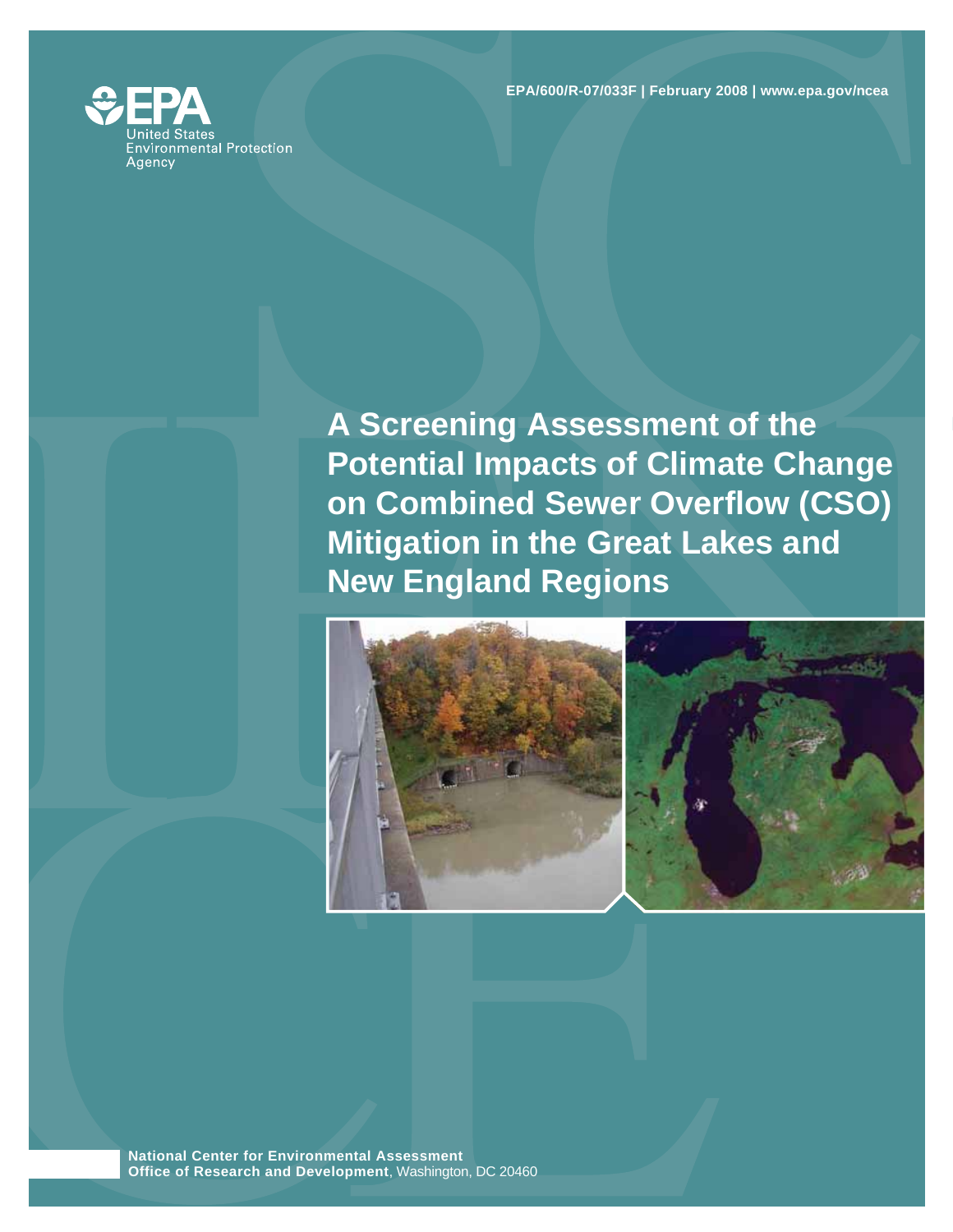**EPA/600/R-07/033F | February 2008 | www.epa.gov/ncea** 



**A Screening Assessment of the Potential Impacts of Climate Change on Combined Sewer Overflow (CSO) Mitigation in the Great Lakes and New England Regions** 





**National Center for Environmental Assessment Office of Research and Development**, Washington, DC 20460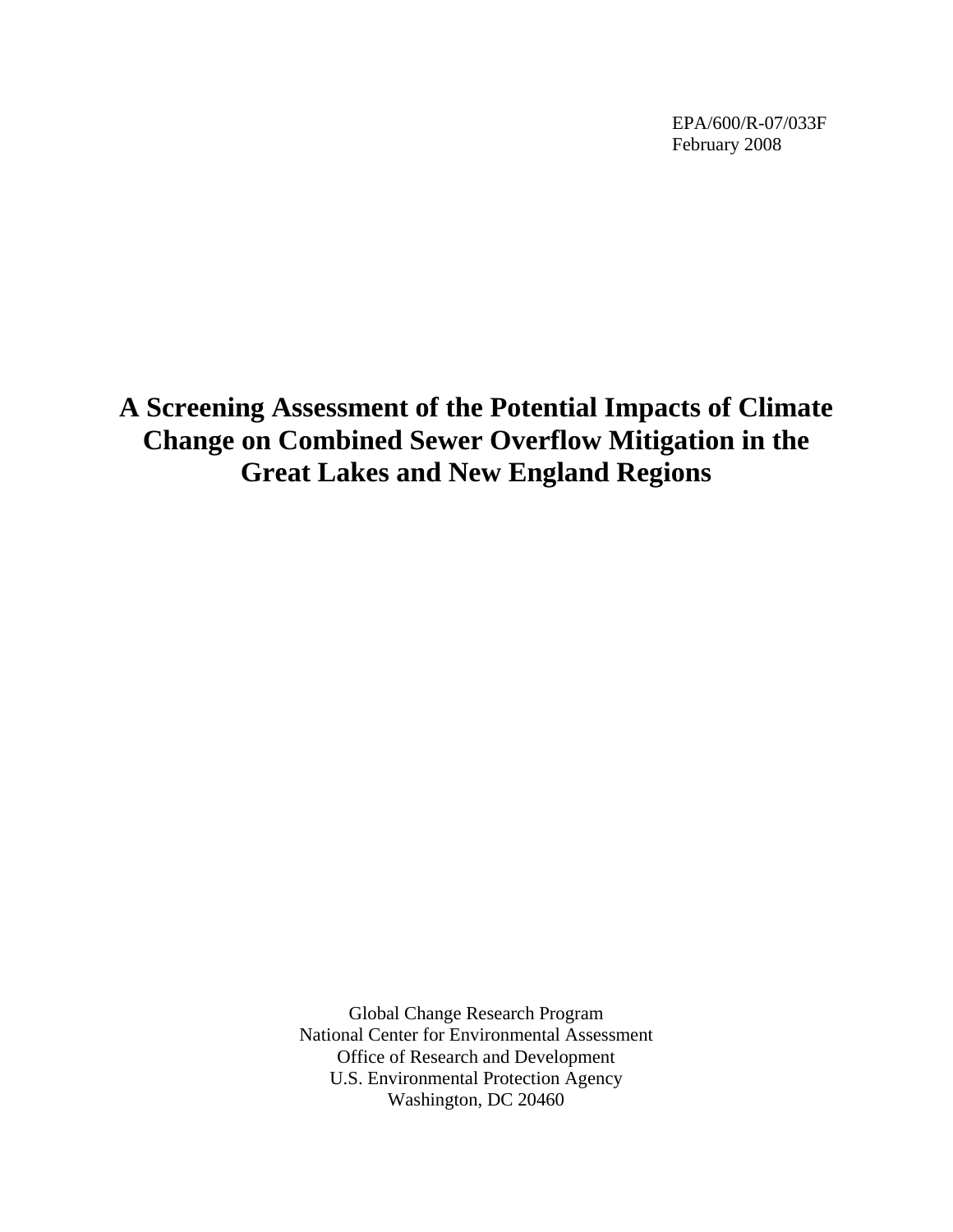EPA/600/R-07/033F February 2008

**A Screening Assessment of the Potential Impacts of Climate Change on Combined Sewer Overflow Mitigation in the Great Lakes and New England Regions** 

> Global Change Research Program National Center for Environmental Assessment Office of Research and Development U.S. Environmental Protection Agency Washington, DC 20460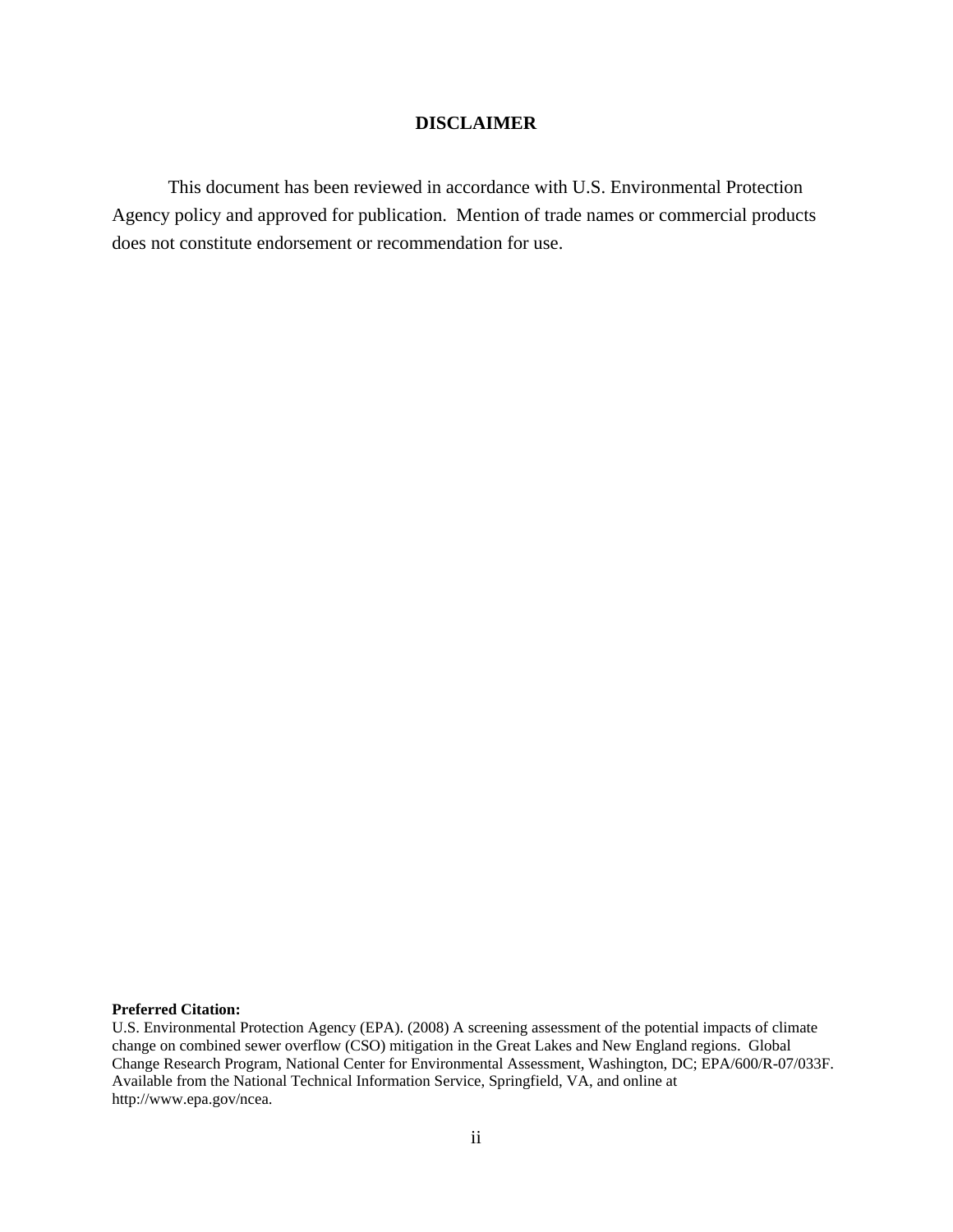## **DISCLAIMER**

This document has been reviewed in accordance with U.S. Environmental Protection Agency policy and approved for publication. Mention of trade names or commercial products does not constitute endorsement or recommendation for use.

#### **Preferred Citation:**

U.S. Environmental Protection Agency (EPA). (2008) A screening assessment of the potential impacts of climate change on combined sewer overflow (CSO) mitigation in the Great Lakes and New England regions. Global Change Research Program, National Center for Environmental Assessment, Washington, DC; EPA/600/R-07/033F. Available from the National Technical Information Service, Springfield, VA, and online at http://www.epa.gov/ncea.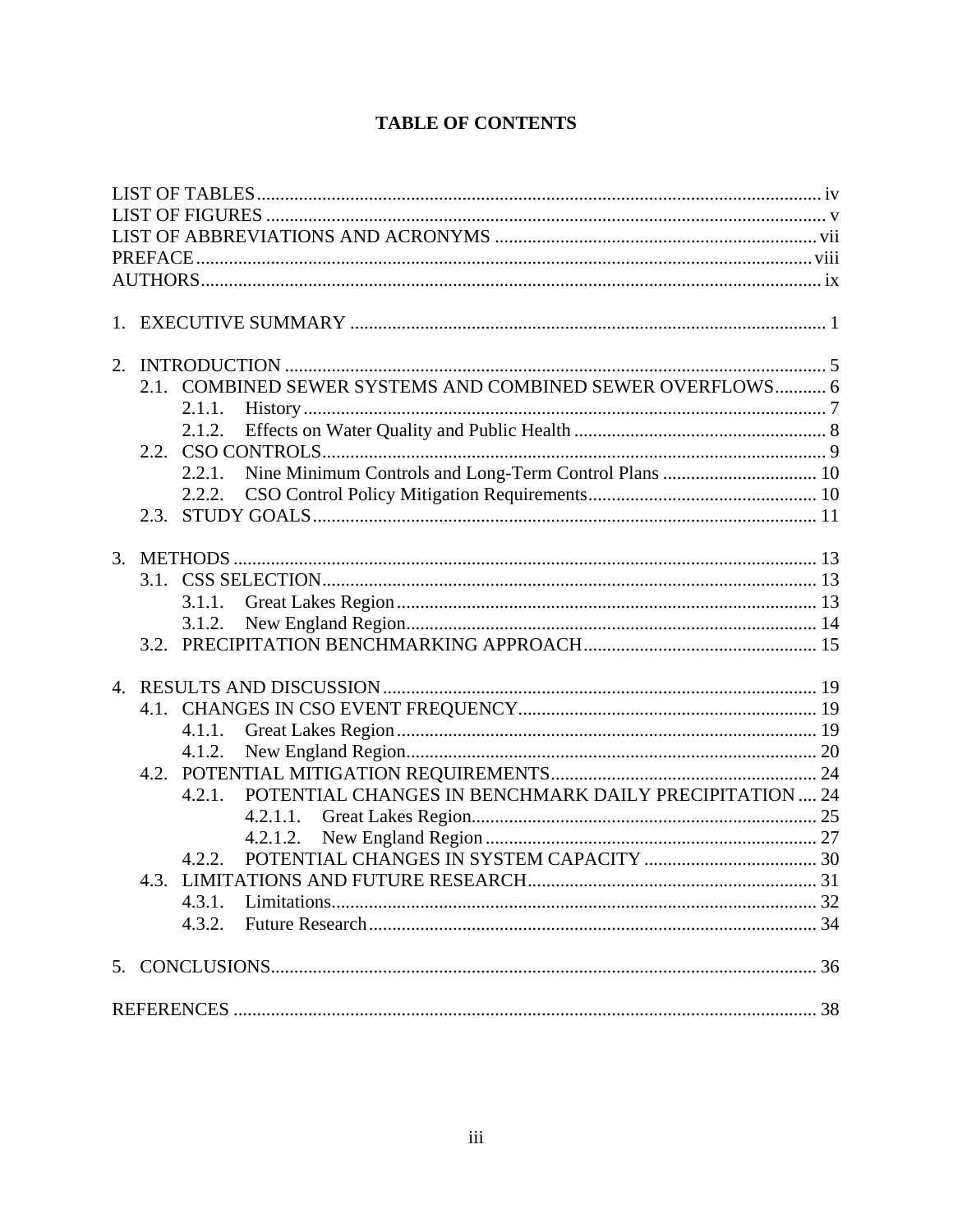# **TABLE OF CONTENTS**

|  | 2.1. COMBINED SEWER SYSTEMS AND COMBINED SEWER OVERFLOWS 6       |  |
|--|------------------------------------------------------------------|--|
|  | 2.1.1.                                                           |  |
|  |                                                                  |  |
|  |                                                                  |  |
|  | 2.2.1.                                                           |  |
|  | 2.2.2.                                                           |  |
|  |                                                                  |  |
|  |                                                                  |  |
|  |                                                                  |  |
|  |                                                                  |  |
|  | 3.1.1.                                                           |  |
|  | 3.1.2.                                                           |  |
|  |                                                                  |  |
|  |                                                                  |  |
|  |                                                                  |  |
|  |                                                                  |  |
|  | 4.1.1.                                                           |  |
|  | 4.1.2.                                                           |  |
|  |                                                                  |  |
|  | POTENTIAL CHANGES IN BENCHMARK DAILY PRECIPITATION  24<br>4.2.1. |  |
|  |                                                                  |  |
|  |                                                                  |  |
|  | 4.2.2.                                                           |  |
|  |                                                                  |  |
|  | 4.3.1.                                                           |  |
|  |                                                                  |  |
|  |                                                                  |  |
|  |                                                                  |  |
|  |                                                                  |  |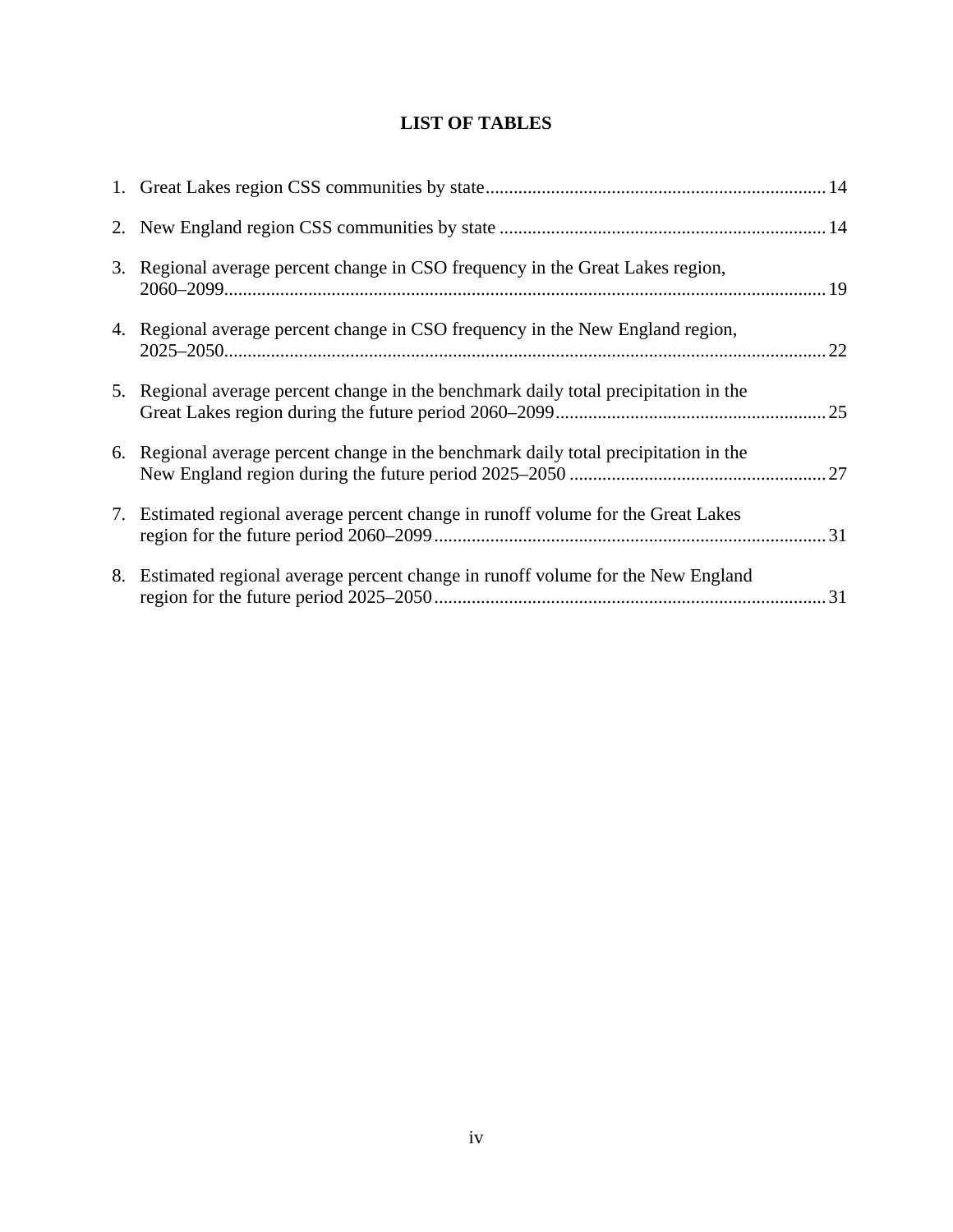# **LIST OF TABLES**

<span id="page-4-0"></span>

| 3. Regional average percent change in CSO frequency in the Great Lakes region,       |  |
|--------------------------------------------------------------------------------------|--|
| 4. Regional average percent change in CSO frequency in the New England region,       |  |
| 5. Regional average percent change in the benchmark daily total precipitation in the |  |
| 6. Regional average percent change in the benchmark daily total precipitation in the |  |
| 7. Estimated regional average percent change in runoff volume for the Great Lakes    |  |
| 8. Estimated regional average percent change in runoff volume for the New England    |  |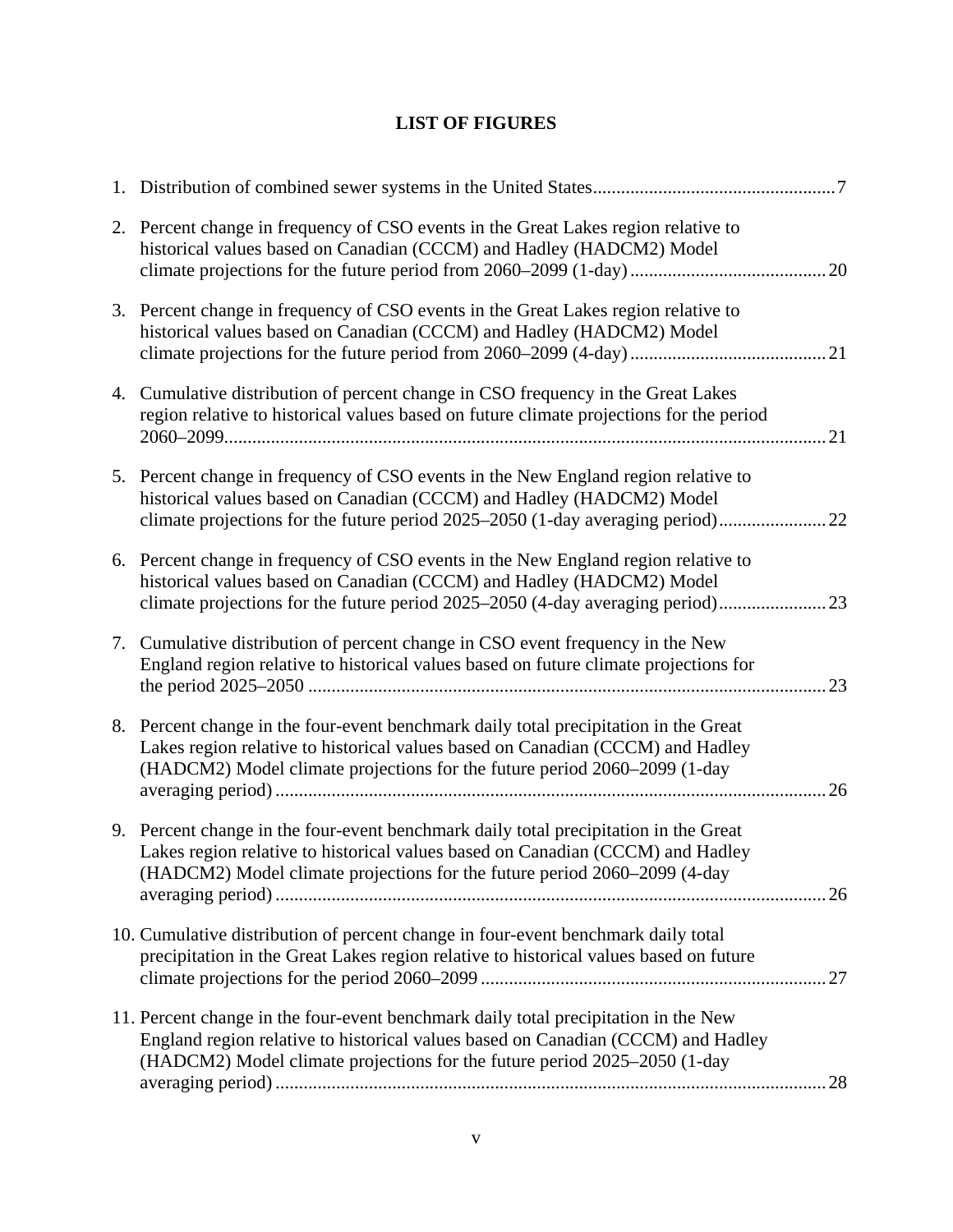# **LIST OF FIGURES**

<span id="page-5-0"></span>

| 2. Percent change in frequency of CSO events in the Great Lakes region relative to<br>historical values based on Canadian (CCCM) and Hadley (HADCM2) Model                                                                                           | 20 |
|------------------------------------------------------------------------------------------------------------------------------------------------------------------------------------------------------------------------------------------------------|----|
| 3. Percent change in frequency of CSO events in the Great Lakes region relative to<br>historical values based on Canadian (CCCM) and Hadley (HADCM2) Model                                                                                           |    |
| 4. Cumulative distribution of percent change in CSO frequency in the Great Lakes<br>region relative to historical values based on future climate projections for the period                                                                          |    |
| 5. Percent change in frequency of CSO events in the New England region relative to<br>historical values based on Canadian (CCCM) and Hadley (HADCM2) Model<br>climate projections for the future period 2025–2050 (1-day averaging period)           |    |
| 6. Percent change in frequency of CSO events in the New England region relative to<br>historical values based on Canadian (CCCM) and Hadley (HADCM2) Model<br>climate projections for the future period 2025–2050 (4-day averaging period)           |    |
| 7. Cumulative distribution of percent change in CSO event frequency in the New<br>England region relative to historical values based on future climate projections for                                                                               | 23 |
| 8. Percent change in the four-event benchmark daily total precipitation in the Great<br>Lakes region relative to historical values based on Canadian (CCCM) and Hadley<br>(HADCM2) Model climate projections for the future period 2060–2099 (1-day  | 26 |
| 9. Percent change in the four-event benchmark daily total precipitation in the Great<br>Lakes region relative to historical values based on Canadian (CCCM) and Hadley<br>(HADCM2) Model climate projections for the future period 2060–2099 (4-day  |    |
| 10. Cumulative distribution of percent change in four-event benchmark daily total<br>precipitation in the Great Lakes region relative to historical values based on future                                                                           |    |
| 11. Percent change in the four-event benchmark daily total precipitation in the New<br>England region relative to historical values based on Canadian (CCCM) and Hadley<br>(HADCM2) Model climate projections for the future period 2025–2050 (1-day | 28 |
|                                                                                                                                                                                                                                                      |    |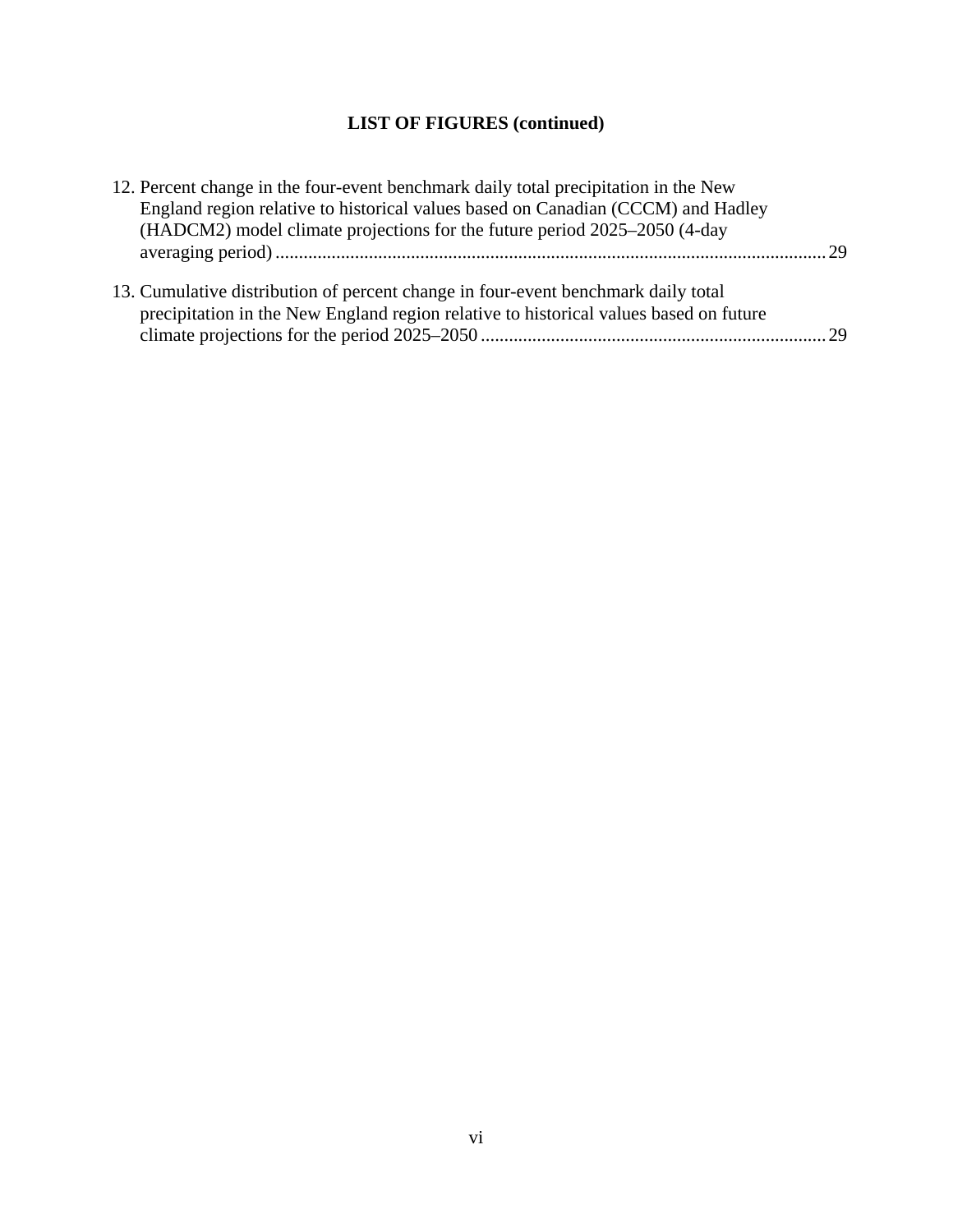# **LIST OF FIGURES (continued)**

| 12. Percent change in the four-event benchmark daily total precipitation in the New   |  |
|---------------------------------------------------------------------------------------|--|
| England region relative to historical values based on Canadian (CCCM) and Hadley      |  |
| (HADCM2) model climate projections for the future period 2025–2050 (4-day             |  |
|                                                                                       |  |
|                                                                                       |  |
| 13. Cumulative distribution of percent change in four-event benchmark daily total     |  |
| precipitation in the New England region relative to historical values based on future |  |
|                                                                                       |  |
|                                                                                       |  |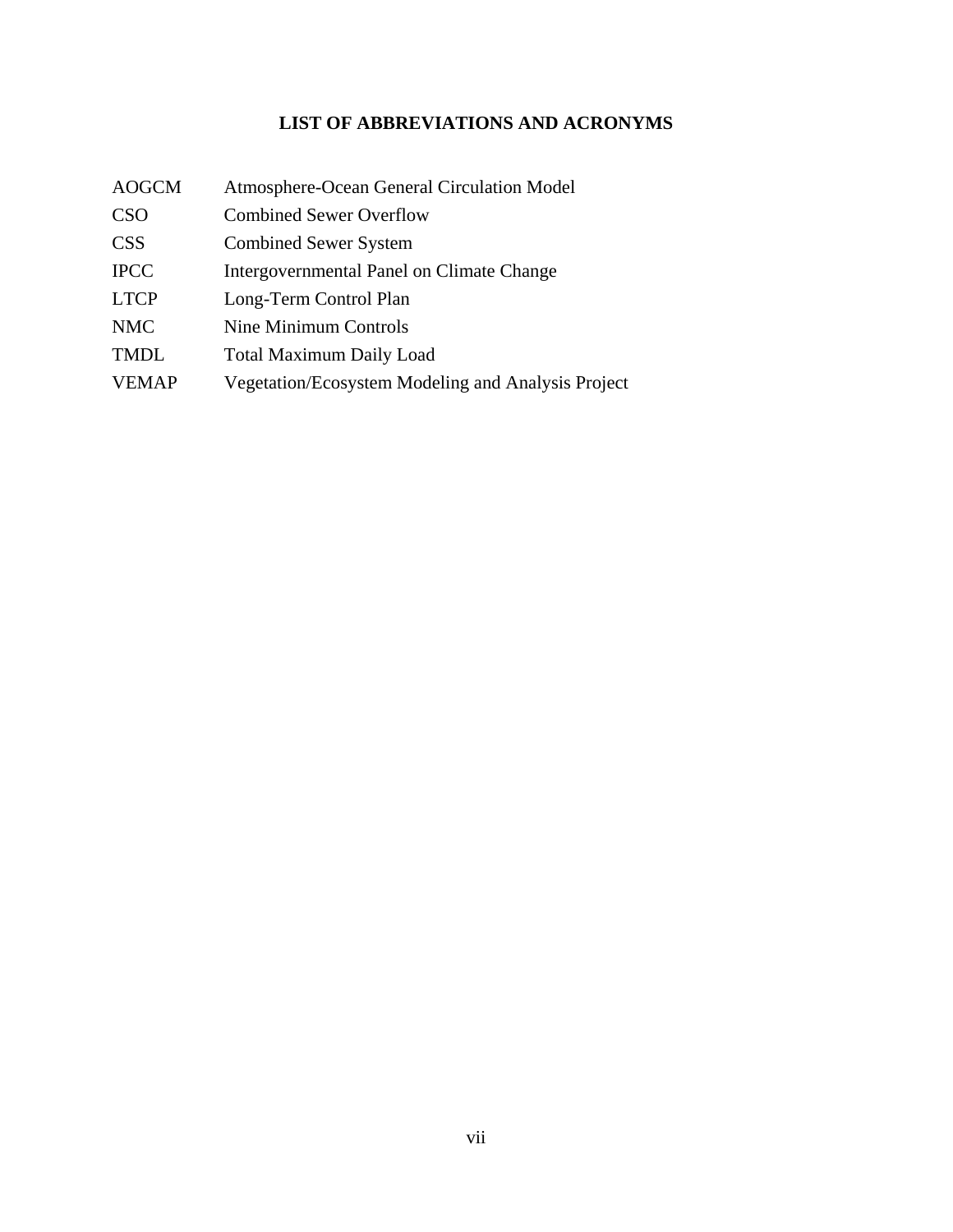# **LIST OF ABBREVIATIONS AND ACRONYMS**

<span id="page-7-0"></span>

| <b>AOGCM</b> | Atmosphere-Ocean General Circulation Model         |
|--------------|----------------------------------------------------|
| <b>CSO</b>   | <b>Combined Sewer Overflow</b>                     |
| <b>CSS</b>   | <b>Combined Sewer System</b>                       |
| <b>IPCC</b>  | Intergovernmental Panel on Climate Change          |
| <b>LTCP</b>  | Long-Term Control Plan                             |
| <b>NMC</b>   | Nine Minimum Controls                              |
| <b>TMDL</b>  | <b>Total Maximum Daily Load</b>                    |
| <b>VEMAP</b> | Vegetation/Ecosystem Modeling and Analysis Project |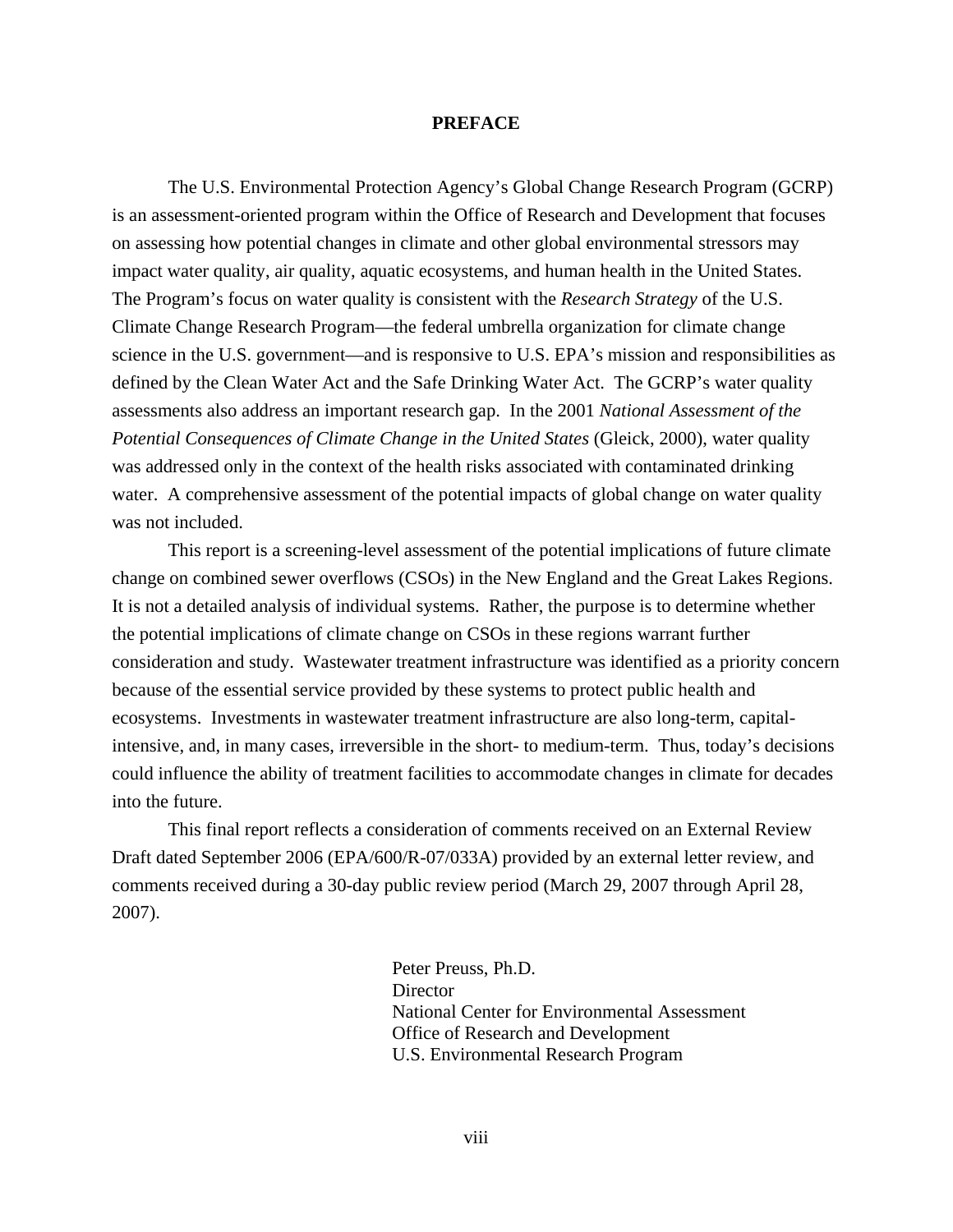#### **PREFACE**

<span id="page-8-0"></span>The U.S. Environmental Protection Agency's Global Change Research Program (GCRP) is an assessment-oriented program within the Office of Research and Development that focuses on assessing how potential changes in climate and other global environmental stressors may impact water quality, air quality, aquatic ecosystems, and human health in the United States. The Program's focus on water quality is consistent with the *Research Strategy* of the U.S. Climate Change Research Program—the federal umbrella organization for climate change science in the U.S. government—and is responsive to U.S. EPA's mission and responsibilities as defined by the Clean Water Act and the Safe Drinking Water Act. The GCRP's water quality assessments also address an important research gap. In the 2001 *National Assessment of the Potential Consequences of Climate Change in the United States* (Gleick, 2000), water quality was addressed only in the context of the health risks associated with contaminated drinking water. A comprehensive assessment of the potential impacts of global change on water quality was not included.

This report is a screening-level assessment of the potential implications of future climate change on combined sewer overflows (CSOs) in the New England and the Great Lakes Regions. It is not a detailed analysis of individual systems. Rather, the purpose is to determine whether the potential implications of climate change on CSOs in these regions warrant further consideration and study. Wastewater treatment infrastructure was identified as a priority concern because of the essential service provided by these systems to protect public health and ecosystems. Investments in wastewater treatment infrastructure are also long-term, capitalintensive, and, in many cases, irreversible in the short- to medium-term. Thus, today's decisions could influence the ability of treatment facilities to accommodate changes in climate for decades into the future.

This final report reflects a consideration of comments received on an External Review Draft dated September 2006 (EPA/600/R-07/033A) provided by an external letter review, and comments received during a 30-day public review period (March 29, 2007 through April 28, 2007).

> Peter Preuss, Ph.D. **Director**  National Center for Environmental Assessment Office of Research and Development U.S. Environmental Research Program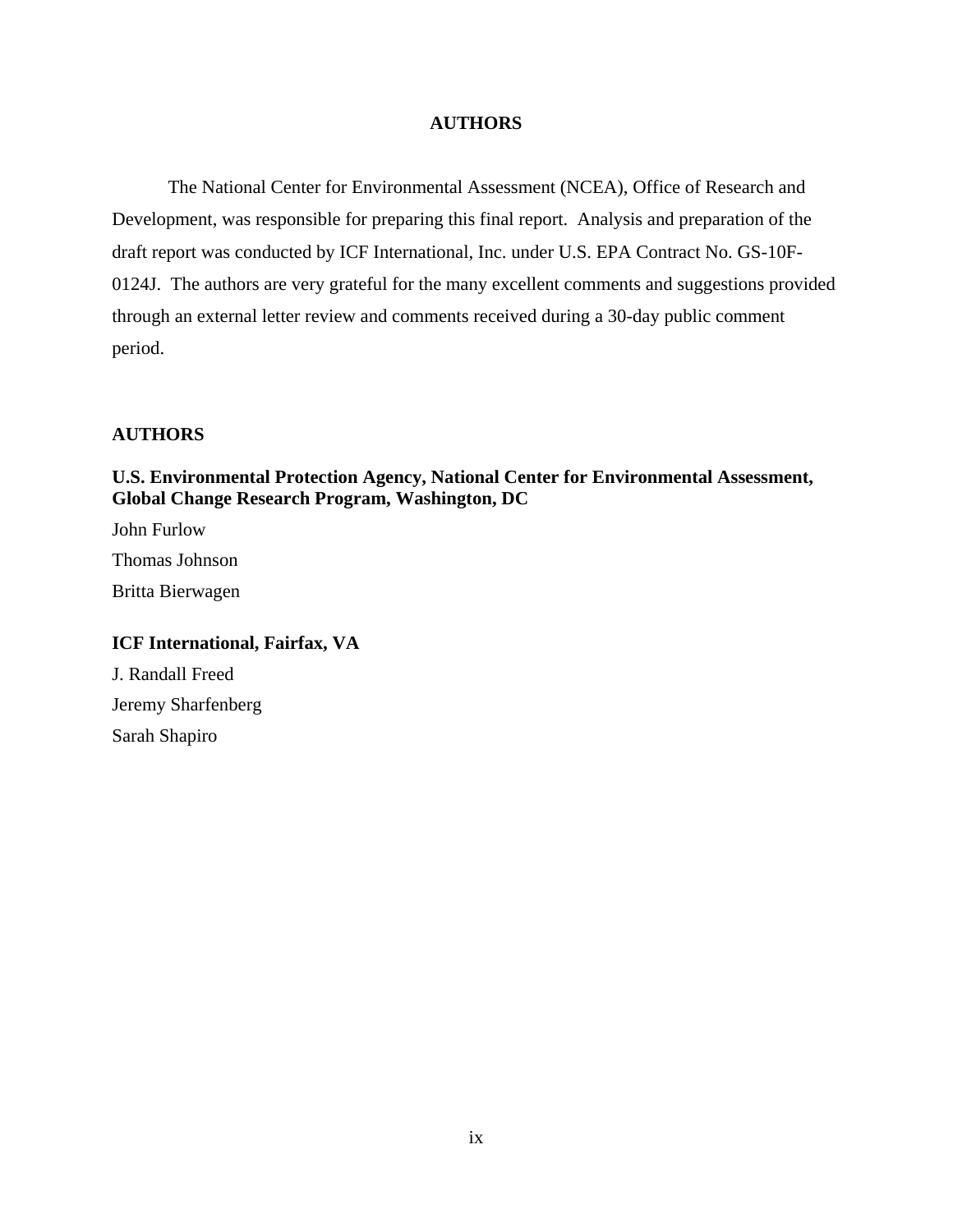## **AUTHORS**

<span id="page-9-0"></span>The National Center for Environmental Assessment (NCEA), Office of Research and Development, was responsible for preparing this final report. Analysis and preparation of the draft report was conducted by ICF International, Inc. under U.S. EPA Contract No. GS-10F-0124J. The authors are very grateful for the many excellent comments and suggestions provided through an external letter review and comments received during a 30-day public comment period.

## **AUTHORS**

## **U.S. Environmental Protection Agency, National Center for Environmental Assessment, Global Change Research Program, Washington, DC**

John Furlow Thomas Johnson Britta Bierwagen

## **ICF International, Fairfax, VA**

J. Randall Freed Jeremy Sharfenberg Sarah Shapiro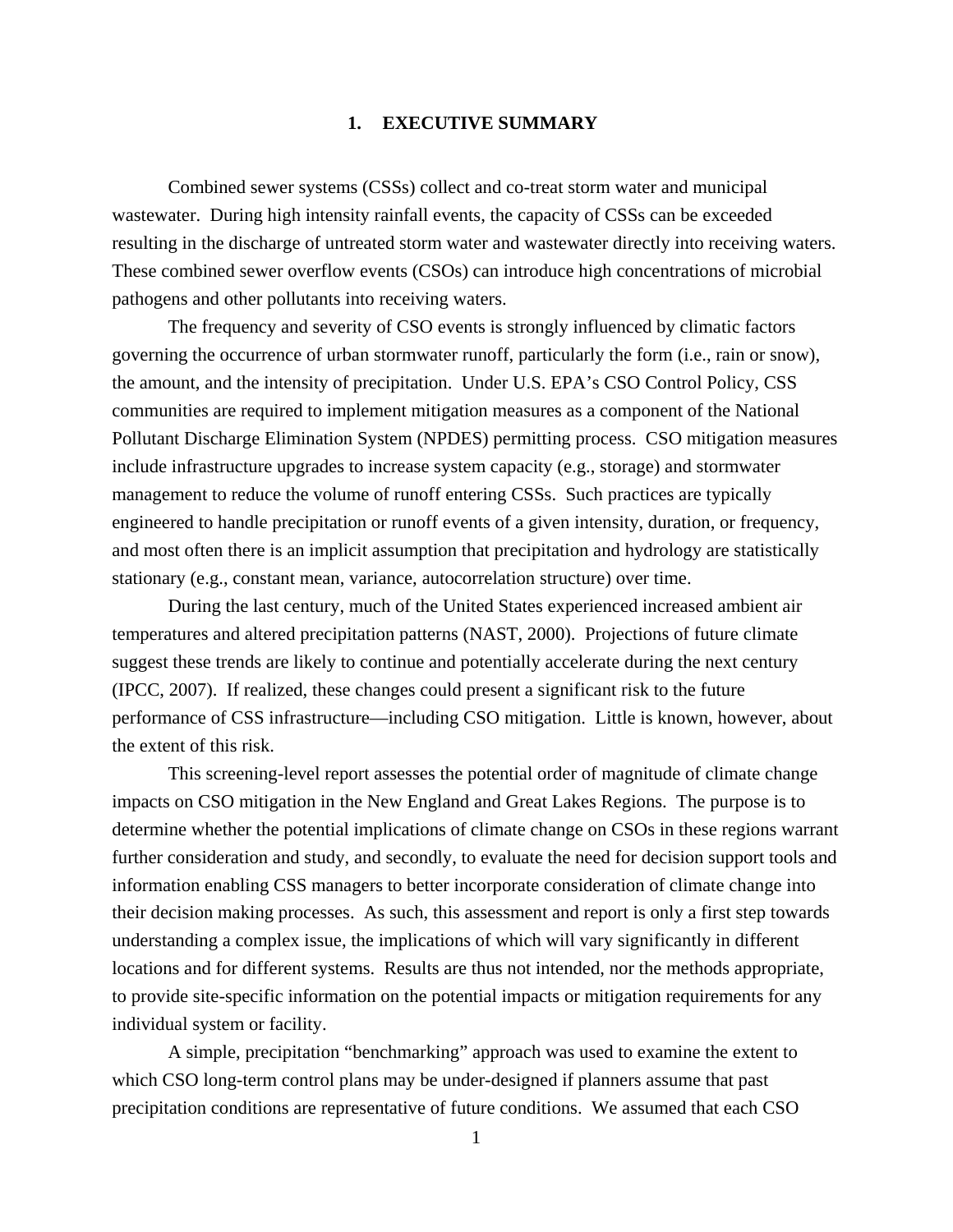### **1. EXECUTIVE SUMMARY**

<span id="page-10-0"></span>Combined sewer systems (CSSs) collect and co-treat storm water and municipal wastewater. During high intensity rainfall events, the capacity of CSSs can be exceeded resulting in the discharge of untreated storm water and wastewater directly into receiving waters. These combined sewer overflow events (CSOs) can introduce high concentrations of microbial pathogens and other pollutants into receiving waters.

The frequency and severity of CSO events is strongly influenced by climatic factors governing the occurrence of urban stormwater runoff, particularly the form (i.e., rain or snow), the amount, and the intensity of precipitation. Under U.S. EPA's CSO Control Policy, CSS communities are required to implement mitigation measures as a component of the National Pollutant Discharge Elimination System (NPDES) permitting process. CSO mitigation measures include infrastructure upgrades to increase system capacity (e.g., storage) and stormwater management to reduce the volume of runoff entering CSSs. Such practices are typically engineered to handle precipitation or runoff events of a given intensity, duration, or frequency, and most often there is an implicit assumption that precipitation and hydrology are statistically stationary (e.g., constant mean, variance, autocorrelation structure) over time.

During the last century, much of the United States experienced increased ambient air temperatures and altered precipitation patterns (NAST, 2000). Projections of future climate suggest these trends are likely to continue and potentially accelerate during the next century (IPCC, 2007). If realized, these changes could present a significant risk to the future performance of CSS infrastructure—including CSO mitigation. Little is known, however, about the extent of this risk.

This screening-level report assesses the potential order of magnitude of climate change impacts on CSO mitigation in the New England and Great Lakes Regions. The purpose is to determine whether the potential implications of climate change on CSOs in these regions warrant further consideration and study, and secondly, to evaluate the need for decision support tools and information enabling CSS managers to better incorporate consideration of climate change into their decision making processes. As such, this assessment and report is only a first step towards understanding a complex issue, the implications of which will vary significantly in different locations and for different systems. Results are thus not intended, nor the methods appropriate, to provide site-specific information on the potential impacts or mitigation requirements for any individual system or facility.

A simple, precipitation "benchmarking" approach was used to examine the extent to which CSO long-term control plans may be under-designed if planners assume that past precipitation conditions are representative of future conditions. We assumed that each CSO

1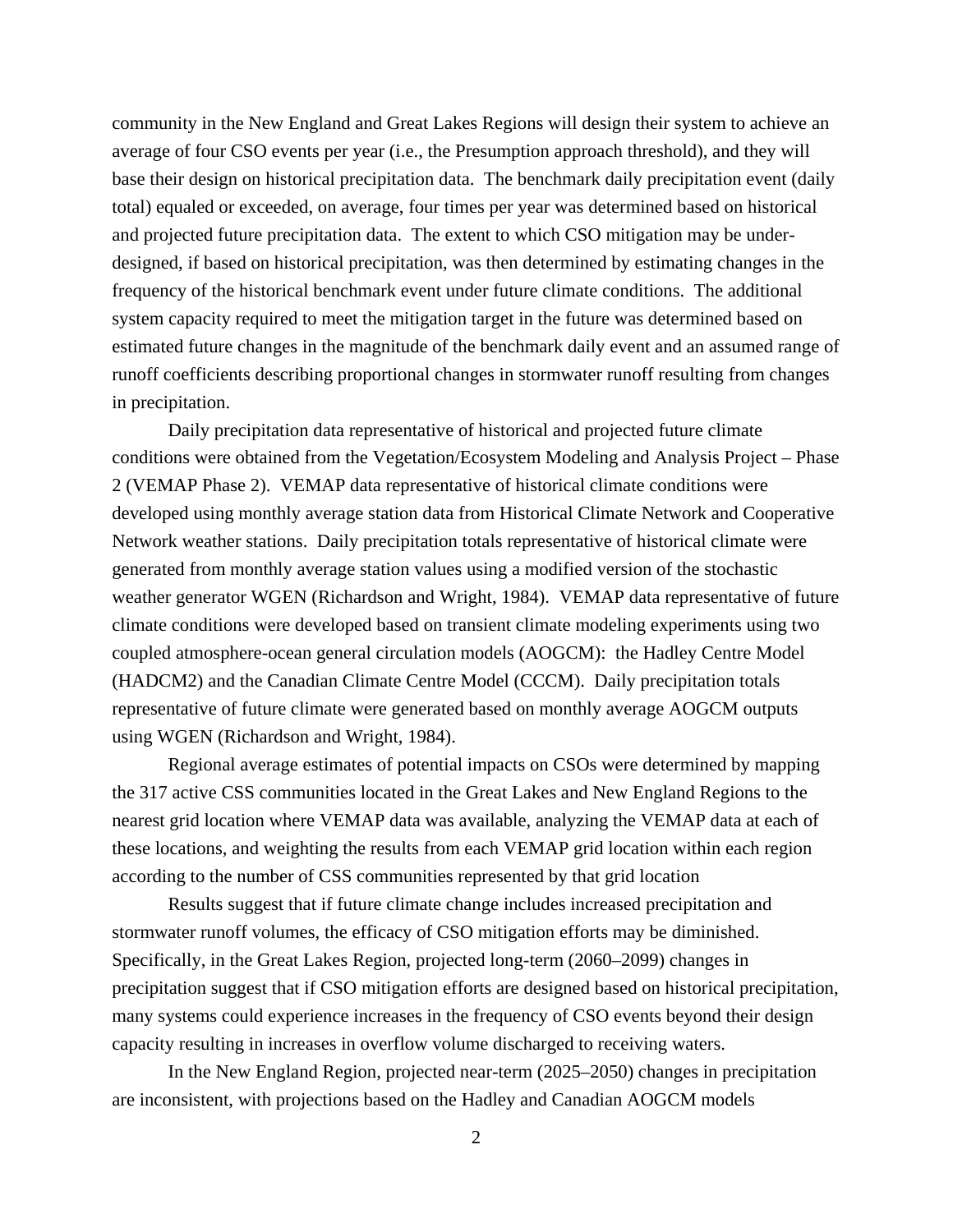community in the New England and Great Lakes Regions will design their system to achieve an average of four CSO events per year (i.e., the Presumption approach threshold), and they will base their design on historical precipitation data. The benchmark daily precipitation event (daily total) equaled or exceeded, on average, four times per year was determined based on historical and projected future precipitation data. The extent to which CSO mitigation may be underdesigned, if based on historical precipitation, was then determined by estimating changes in the frequency of the historical benchmark event under future climate conditions. The additional system capacity required to meet the mitigation target in the future was determined based on estimated future changes in the magnitude of the benchmark daily event and an assumed range of runoff coefficients describing proportional changes in stormwater runoff resulting from changes in precipitation.

Daily precipitation data representative of historical and projected future climate conditions were obtained from the Vegetation/Ecosystem Modeling and Analysis Project – Phase 2 (VEMAP Phase 2). VEMAP data representative of historical climate conditions were developed using monthly average station data from Historical Climate Network and Cooperative Network weather stations. Daily precipitation totals representative of historical climate were generated from monthly average station values using a modified version of the stochastic weather generator WGEN (Richardson and Wright, 1984). VEMAP data representative of future climate conditions were developed based on transient climate modeling experiments using two coupled atmosphere-ocean general circulation models (AOGCM): the Hadley Centre Model (HADCM2) and the Canadian Climate Centre Model (CCCM). Daily precipitation totals representative of future climate were generated based on monthly average AOGCM outputs using WGEN (Richardson and Wright, 1984).

Regional average estimates of potential impacts on CSOs were determined by mapping the 317 active CSS communities located in the Great Lakes and New England Regions to the nearest grid location where VEMAP data was available, analyzing the VEMAP data at each of these locations, and weighting the results from each VEMAP grid location within each region according to the number of CSS communities represented by that grid location

Results suggest that if future climate change includes increased precipitation and stormwater runoff volumes, the efficacy of CSO mitigation efforts may be diminished. Specifically, in the Great Lakes Region, projected long-term (2060–2099) changes in precipitation suggest that if CSO mitigation efforts are designed based on historical precipitation, many systems could experience increases in the frequency of CSO events beyond their design capacity resulting in increases in overflow volume discharged to receiving waters.

In the New England Region, projected near-term (2025–2050) changes in precipitation are inconsistent, with projections based on the Hadley and Canadian AOGCM models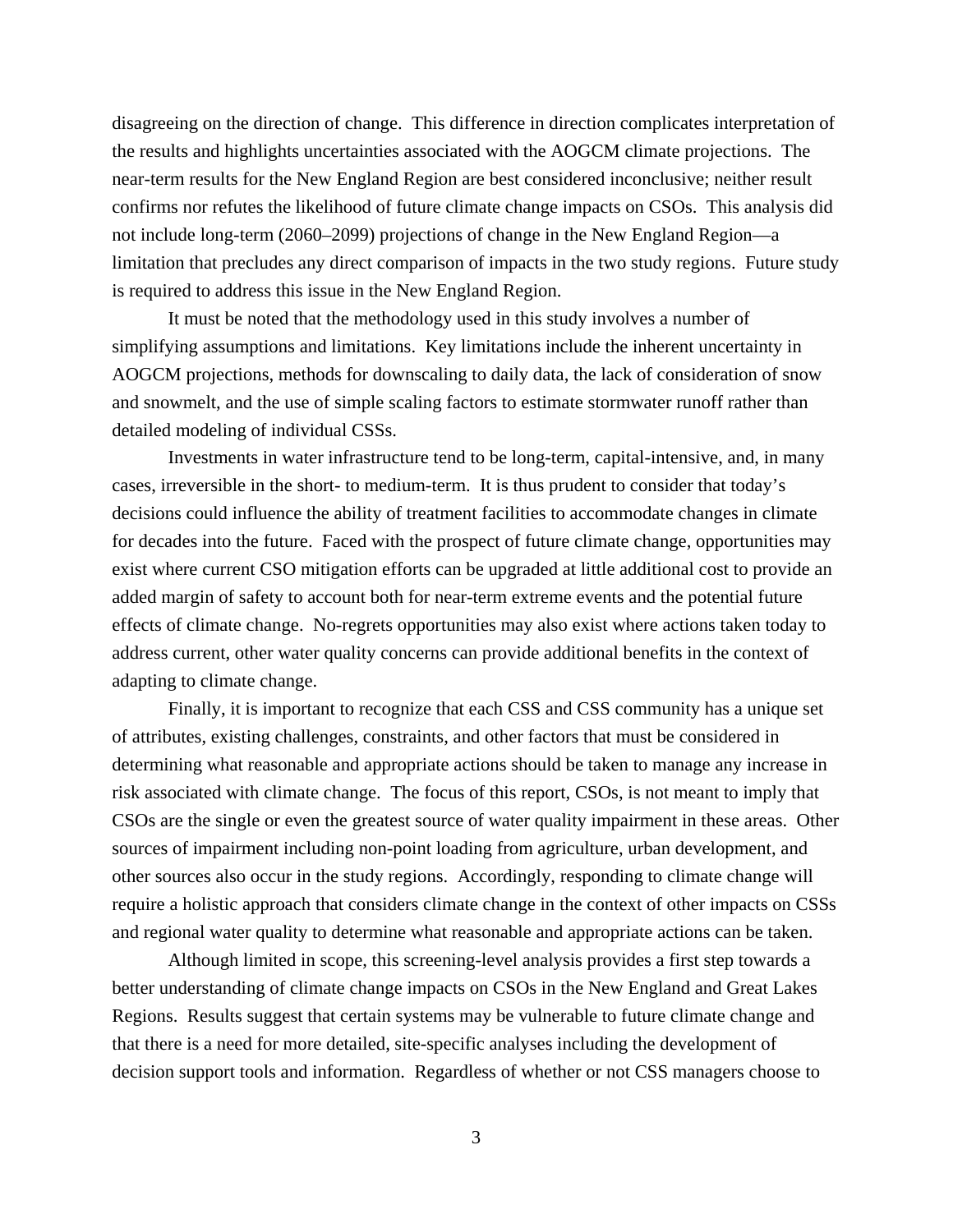disagreeing on the direction of change. This difference in direction complicates interpretation of the results and highlights uncertainties associated with the AOGCM climate projections. The near-term results for the New England Region are best considered inconclusive; neither result confirms nor refutes the likelihood of future climate change impacts on CSOs. This analysis did not include long-term (2060–2099) projections of change in the New England Region—a limitation that precludes any direct comparison of impacts in the two study regions. Future study is required to address this issue in the New England Region.

It must be noted that the methodology used in this study involves a number of simplifying assumptions and limitations. Key limitations include the inherent uncertainty in AOGCM projections, methods for downscaling to daily data, the lack of consideration of snow and snowmelt, and the use of simple scaling factors to estimate stormwater runoff rather than detailed modeling of individual CSSs.

Investments in water infrastructure tend to be long-term, capital-intensive, and, in many cases, irreversible in the short- to medium-term. It is thus prudent to consider that today's decisions could influence the ability of treatment facilities to accommodate changes in climate for decades into the future. Faced with the prospect of future climate change, opportunities may exist where current CSO mitigation efforts can be upgraded at little additional cost to provide an added margin of safety to account both for near-term extreme events and the potential future effects of climate change. No-regrets opportunities may also exist where actions taken today to address current, other water quality concerns can provide additional benefits in the context of adapting to climate change.

Finally, it is important to recognize that each CSS and CSS community has a unique set of attributes, existing challenges, constraints, and other factors that must be considered in determining what reasonable and appropriate actions should be taken to manage any increase in risk associated with climate change. The focus of this report, CSOs, is not meant to imply that CSOs are the single or even the greatest source of water quality impairment in these areas. Other sources of impairment including non-point loading from agriculture, urban development, and other sources also occur in the study regions. Accordingly, responding to climate change will require a holistic approach that considers climate change in the context of other impacts on CSSs and regional water quality to determine what reasonable and appropriate actions can be taken.

Although limited in scope, this screening-level analysis provides a first step towards a better understanding of climate change impacts on CSOs in the New England and Great Lakes Regions. Results suggest that certain systems may be vulnerable to future climate change and that there is a need for more detailed, site-specific analyses including the development of decision support tools and information. Regardless of whether or not CSS managers choose to

3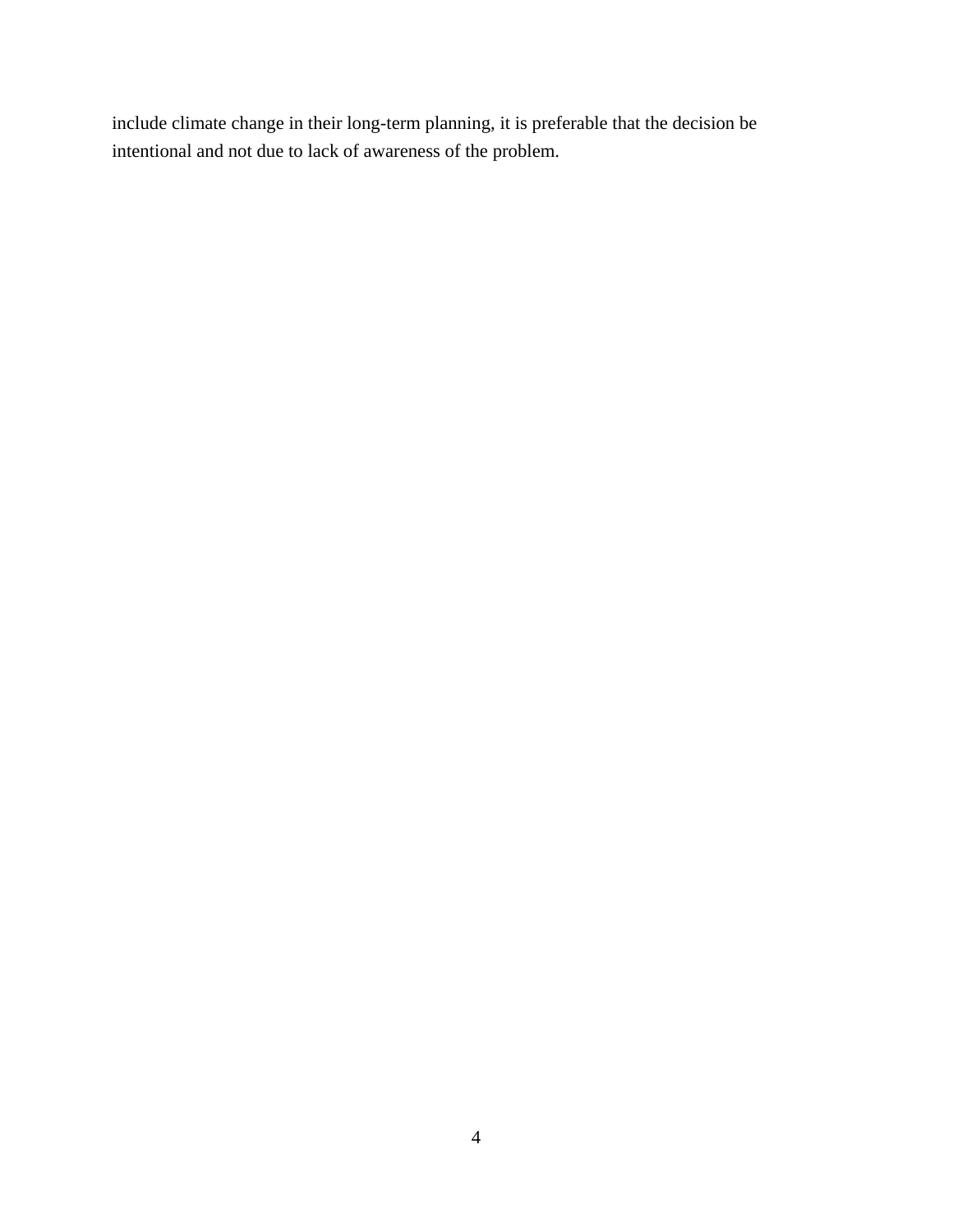include climate change in their long-term planning, it is preferable that the decision be intentional and not due to lack of awareness of the problem.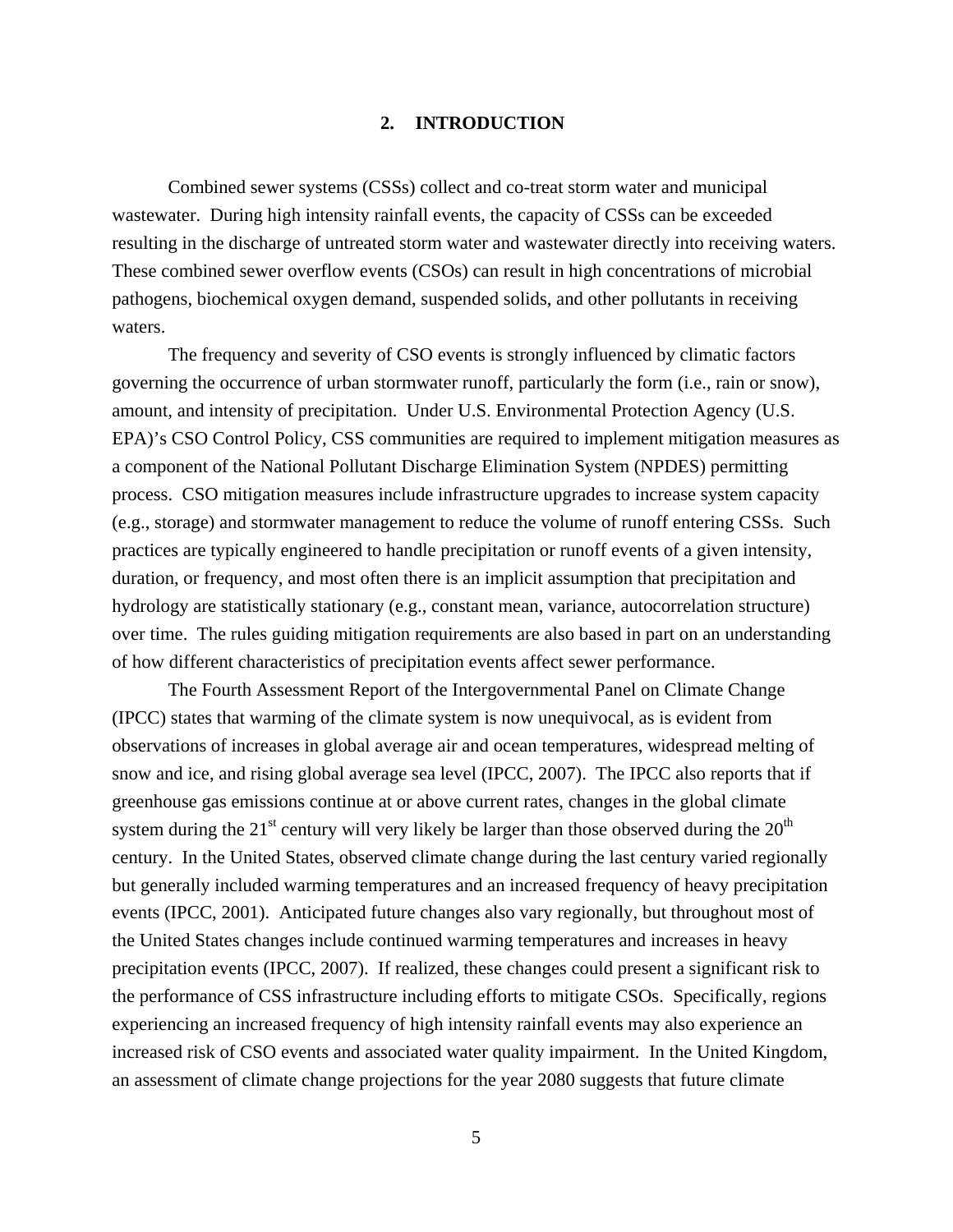#### **2. INTRODUCTION**

<span id="page-14-0"></span>Combined sewer systems (CSSs) collect and co-treat storm water and municipal wastewater. During high intensity rainfall events, the capacity of CSSs can be exceeded resulting in the discharge of untreated storm water and wastewater directly into receiving waters. These combined sewer overflow events (CSOs) can result in high concentrations of microbial pathogens, biochemical oxygen demand, suspended solids, and other pollutants in receiving waters.

The frequency and severity of CSO events is strongly influenced by climatic factors governing the occurrence of urban stormwater runoff, particularly the form (i.e., rain or snow), amount, and intensity of precipitation. Under U.S. Environmental Protection Agency (U.S. EPA)'s CSO Control Policy, CSS communities are required to implement mitigation measures as a component of the National Pollutant Discharge Elimination System (NPDES) permitting process. CSO mitigation measures include infrastructure upgrades to increase system capacity (e.g., storage) and stormwater management to reduce the volume of runoff entering CSSs. Such practices are typically engineered to handle precipitation or runoff events of a given intensity, duration, or frequency, and most often there is an implicit assumption that precipitation and hydrology are statistically stationary (e.g., constant mean, variance, autocorrelation structure) over time. The rules guiding mitigation requirements are also based in part on an understanding of how different characteristics of precipitation events affect sewer performance.

The Fourth Assessment Report of the Intergovernmental Panel on Climate Change (IPCC) states that warming of the climate system is now unequivocal, as is evident from observations of increases in global average air and ocean temperatures, widespread melting of snow and ice, and rising global average sea level (IPCC, 2007). The IPCC also reports that if greenhouse gas emissions continue at or above current rates, changes in the global climate system during the  $21<sup>st</sup>$  century will very likely be larger than those observed during the  $20<sup>th</sup>$ century. In the United States, observed climate change during the last century varied regionally but generally included warming temperatures and an increased frequency of heavy precipitation events (IPCC, 2001). Anticipated future changes also vary regionally, but throughout most of the United States changes include continued warming temperatures and increases in heavy precipitation events (IPCC, 2007). If realized, these changes could present a significant risk to the performance of CSS infrastructure including efforts to mitigate CSOs. Specifically, regions experiencing an increased frequency of high intensity rainfall events may also experience an increased risk of CSO events and associated water quality impairment. In the United Kingdom, an assessment of climate change projections for the year 2080 suggests that future climate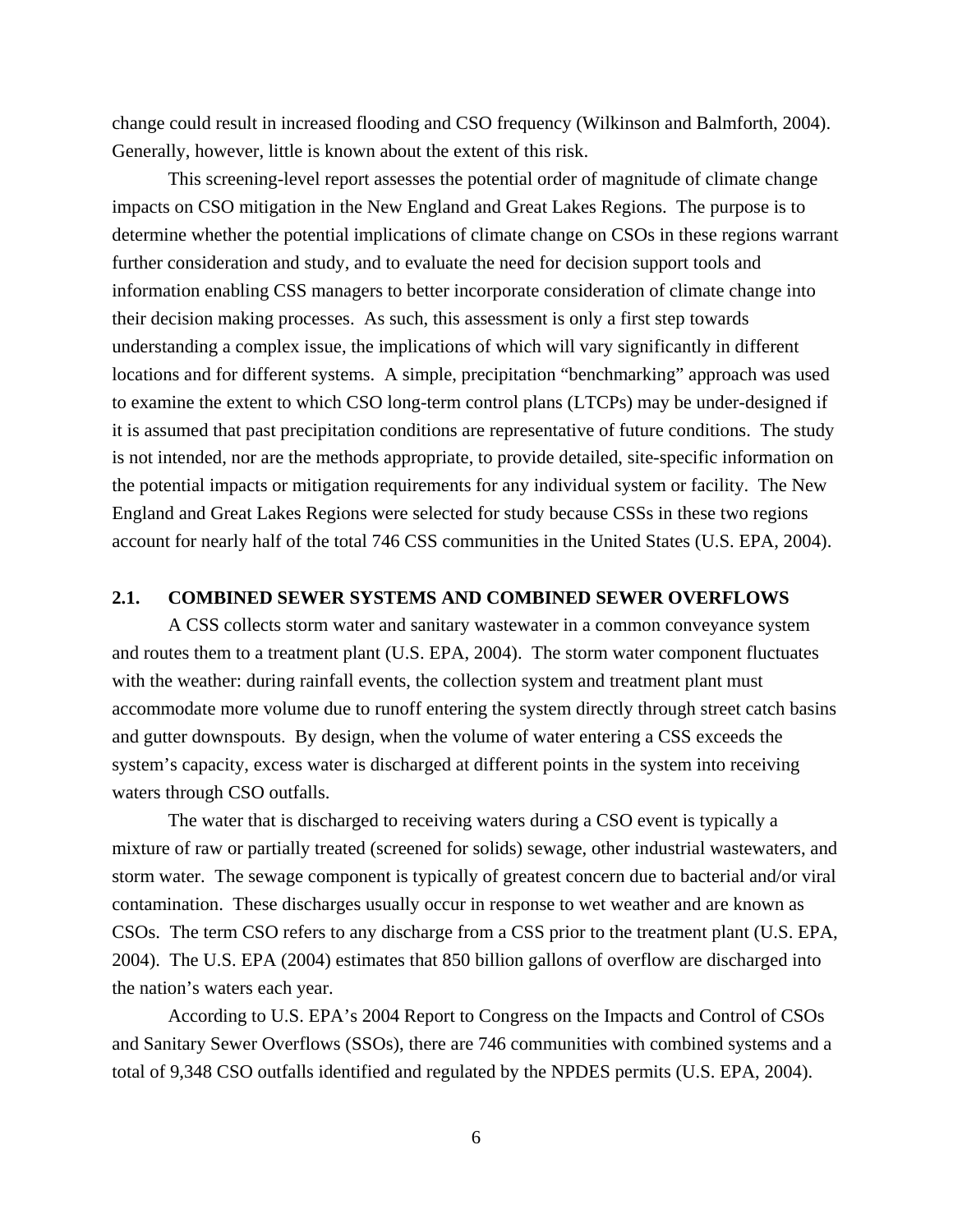<span id="page-15-0"></span>change could result in increased flooding and CSO frequency (Wilkinson and Balmforth, 2004). Generally, however, little is known about the extent of this risk.

This screening-level report assesses the potential order of magnitude of climate change impacts on CSO mitigation in the New England and Great Lakes Regions. The purpose is to determine whether the potential implications of climate change on CSOs in these regions warrant further consideration and study, and to evaluate the need for decision support tools and information enabling CSS managers to better incorporate consideration of climate change into their decision making processes. As such, this assessment is only a first step towards understanding a complex issue, the implications of which will vary significantly in different locations and for different systems. A simple, precipitation "benchmarking" approach was used to examine the extent to which CSO long-term control plans (LTCPs) may be under-designed if it is assumed that past precipitation conditions are representative of future conditions. The study is not intended, nor are the methods appropriate, to provide detailed, site-specific information on the potential impacts or mitigation requirements for any individual system or facility. The New England and Great Lakes Regions were selected for study because CSSs in these two regions account for nearly half of the total 746 CSS communities in the United States (U.S. EPA, 2004).

#### **2.1. COMBINED SEWER SYSTEMS AND COMBINED SEWER OVERFLOWS**

A CSS collects storm water and sanitary wastewater in a common conveyance system and routes them to a treatment plant (U.S. EPA, 2004). The storm water component fluctuates with the weather: during rainfall events, the collection system and treatment plant must accommodate more volume due to runoff entering the system directly through street catch basins and gutter downspouts. By design, when the volume of water entering a CSS exceeds the system's capacity, excess water is discharged at different points in the system into receiving waters through CSO outfalls.

The water that is discharged to receiving waters during a CSO event is typically a mixture of raw or partially treated (screened for solids) sewage, other industrial wastewaters, and storm water. The sewage component is typically of greatest concern due to bacterial and/or viral contamination. These discharges usually occur in response to wet weather and are known as CSOs. The term CSO refers to any discharge from a CSS prior to the treatment plant (U.S. EPA, 2004). The U.S. EPA (2004) estimates that 850 billion gallons of overflow are discharged into the nation's waters each year.

According to U.S. EPA's 2004 Report to Congress on the Impacts and Control of CSOs and Sanitary Sewer Overflows (SSOs), there are 746 communities with combined systems and a total of 9,348 CSO outfalls identified and regulated by the NPDES permits (U.S. EPA, 2004).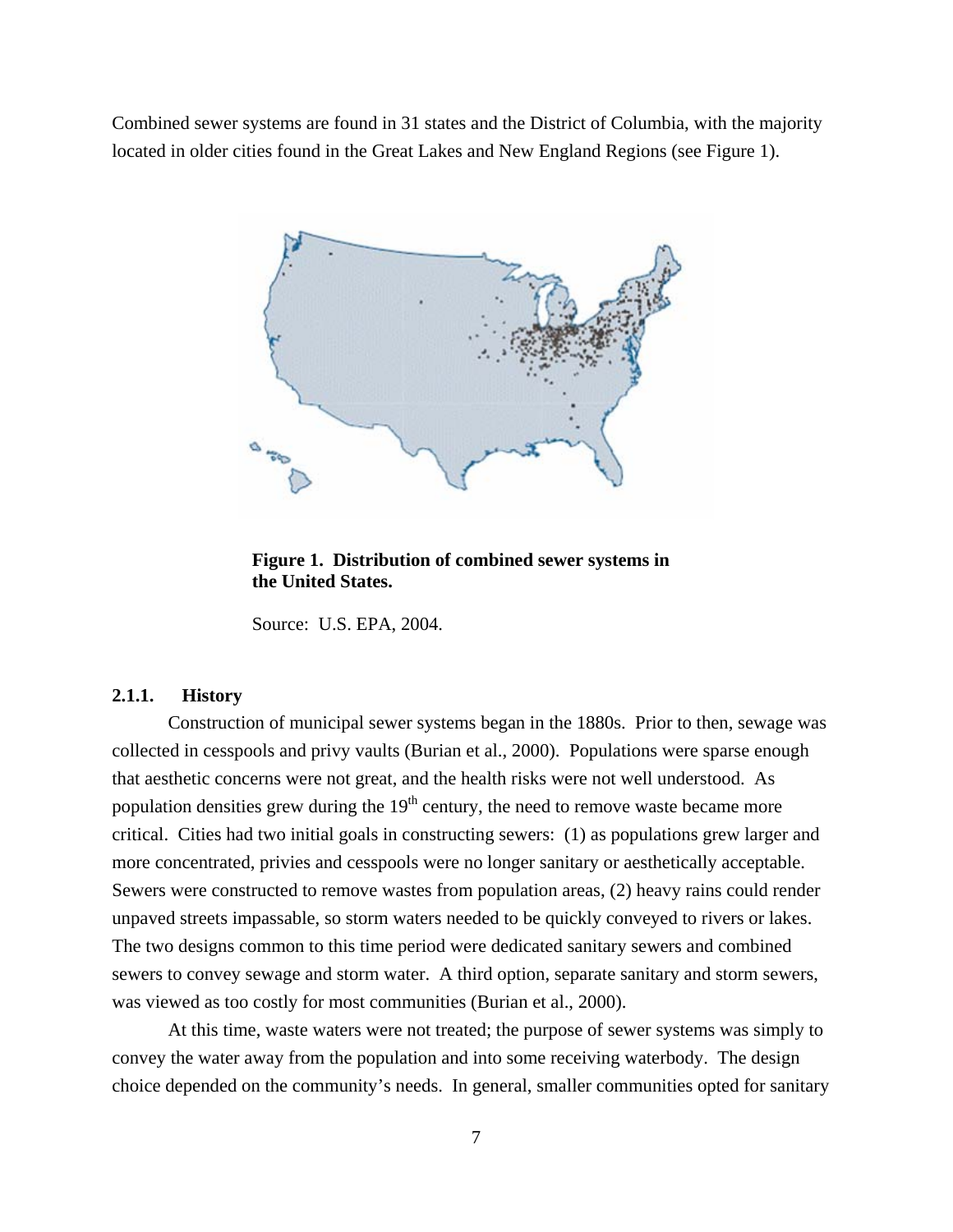<span id="page-16-0"></span>Combined sewer systems are found in 31 states and the District of Columbia, with the majority located in older cities found in the Great Lakes and New England Regions (see Figure 1).



**Figure 1. Distribution of combined sewer systems in the United States.** 

Source: U.S. EPA, 2004.

## **2.1.1. History**

Construction of municipal sewer systems began in the 1880s. Prior to then, sewage was collected in cesspools and privy vaults (Burian et al., 2000). Populations were sparse enough that aesthetic concerns were not great, and the health risks were not well understood. As population densities grew during the  $19<sup>th</sup>$  century, the need to remove waste became more critical. Cities had two initial goals in constructing sewers: (1) as populations grew larger and more concentrated, privies and cesspools were no longer sanitary or aesthetically acceptable. Sewers were constructed to remove wastes from population areas, (2) heavy rains could render unpaved streets impassable, so storm waters needed to be quickly conveyed to rivers or lakes. The two designs common to this time period were dedicated sanitary sewers and combined sewers to convey sewage and storm water. A third option, separate sanitary and storm sewers, was viewed as too costly for most communities (Burian et al., 2000).

At this time, waste waters were not treated; the purpose of sewer systems was simply to convey the water away from the population and into some receiving waterbody. The design choice depended on the community's needs. In general, smaller communities opted for sanitary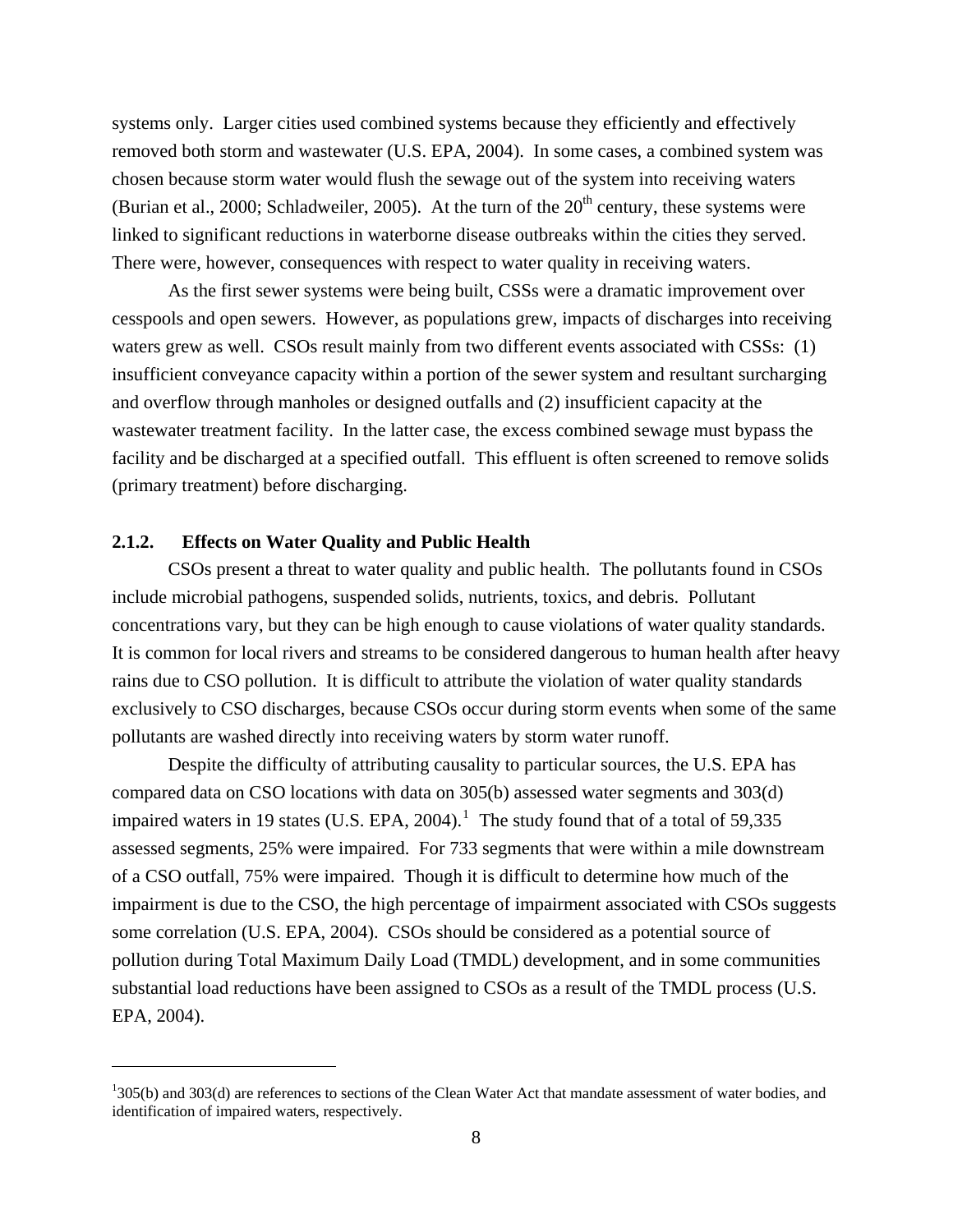<span id="page-17-0"></span>systems only. Larger cities used combined systems because they efficiently and effectively removed both storm and wastewater (U.S. EPA, 2004). In some cases, a combined system was chosen because storm water would flush the sewage out of the system into receiving waters (Burian et al., 2000; Schladweiler, 2005). At the turn of the  $20<sup>th</sup>$  century, these systems were linked to significant reductions in waterborne disease outbreaks within the cities they served. There were, however, consequences with respect to water quality in receiving waters.

As the first sewer systems were being built, CSSs were a dramatic improvement over cesspools and open sewers. However, as populations grew, impacts of discharges into receiving waters grew as well. CSOs result mainly from two different events associated with CSSs: (1) insufficient conveyance capacity within a portion of the sewer system and resultant surcharging and overflow through manholes or designed outfalls and (2) insufficient capacity at the wastewater treatment facility. In the latter case, the excess combined sewage must bypass the facility and be discharged at a specified outfall. This effluent is often screened to remove solids (primary treatment) before discharging.

## **2.1.2. Effects on Water Quality and Public Health**

 $\overline{a}$ 

CSOs present a threat to water quality and public health. The pollutants found in CSOs include microbial pathogens, suspended solids, nutrients, toxics, and debris. Pollutant concentrations vary, but they can be high enough to cause violations of water quality standards. It is common for local rivers and streams to be considered dangerous to human health after heavy rains due to CSO pollution. It is difficult to attribute the violation of water quality standards exclusively to CSO discharges, because CSOs occur during storm events when some of the same pollutants are washed directly into receiving waters by storm water runoff.

Despite the difficulty of attributing causality to particular sources, the U.S. EPA has compared data on CSO locations with data on 305(b) assessed water segments and 303(d) impaired waters in [1](#page-17-1)9 states (U.S. EPA, 2004).<sup>1</sup> The study found that of a total of 59,335 assessed segments, 25% were impaired. For 733 segments that were within a mile downstream of a CSO outfall, 75% were impaired. Though it is difficult to determine how much of the impairment is due to the CSO, the high percentage of impairment associated with CSOs suggests some correlation (U.S. EPA, 2004). CSOs should be considered as a potential source of pollution during Total Maximum Daily Load (TMDL) development, and in some communities substantial load reductions have been assigned to CSOs as a result of the TMDL process (U.S. EPA, 2004).

<span id="page-17-1"></span> $1305(b)$  and  $303(d)$  are references to sections of the Clean Water Act that mandate assessment of water bodies, and identification of impaired waters, respectively.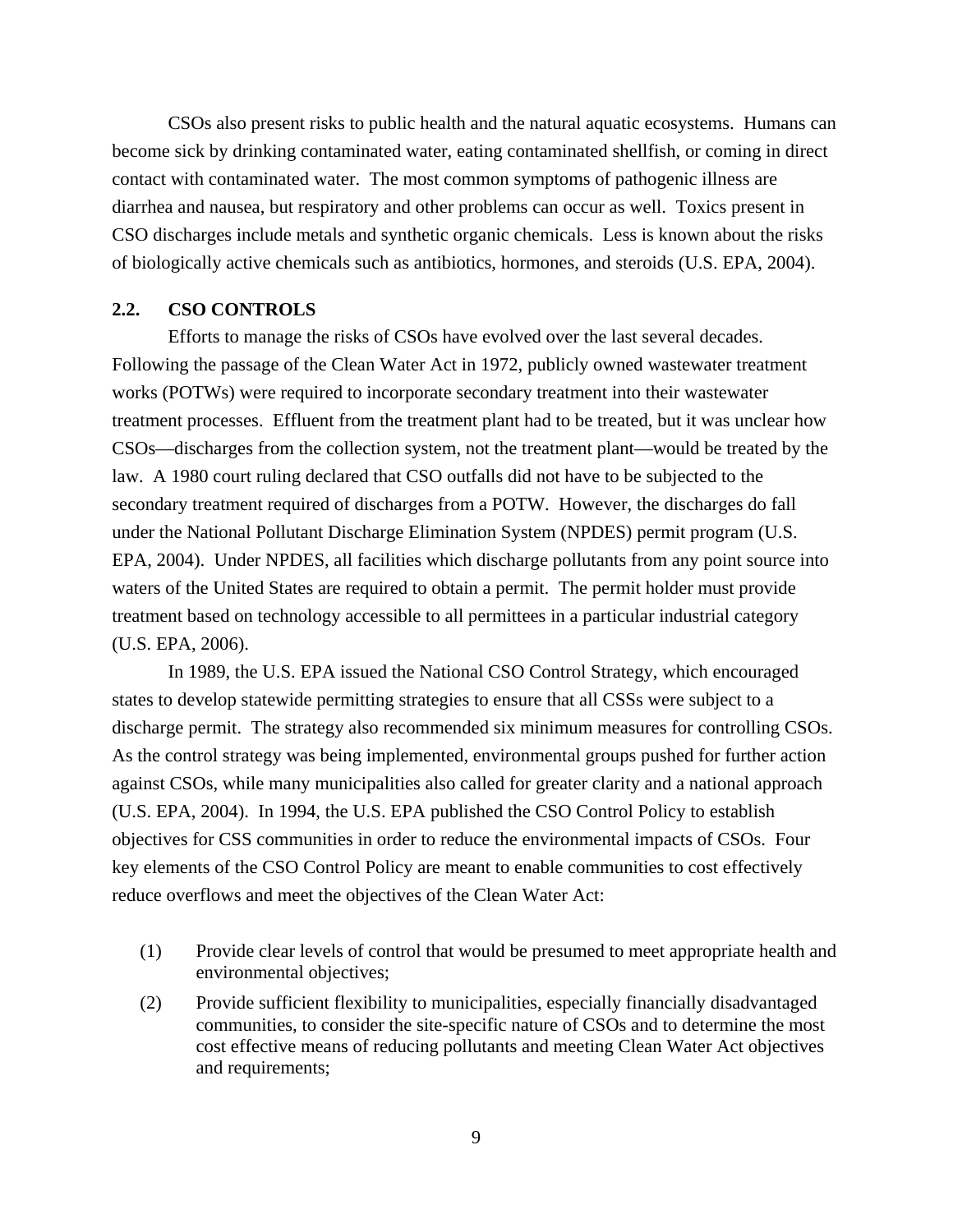<span id="page-18-0"></span>CSOs also present risks to public health and the natural aquatic ecosystems. Humans can become sick by drinking contaminated water, eating contaminated shellfish, or coming in direct contact with contaminated water. The most common symptoms of pathogenic illness are diarrhea and nausea, but respiratory and other problems can occur as well. Toxics present in CSO discharges include metals and synthetic organic chemicals. Less is known about the risks of biologically active chemicals such as antibiotics, hormones, and steroids (U.S. EPA, 2004).

## **2.2. CSO CONTROLS**

Efforts to manage the risks of CSOs have evolved over the last several decades. Following the passage of the Clean Water Act in 1972, publicly owned wastewater treatment works (POTWs) were required to incorporate secondary treatment into their wastewater treatment processes. Effluent from the treatment plant had to be treated, but it was unclear how CSOs—discharges from the collection system, not the treatment plant—would be treated by the law. A 1980 court ruling declared that CSO outfalls did not have to be subjected to the secondary treatment required of discharges from a POTW. However, the discharges do fall under the National Pollutant Discharge Elimination System (NPDES) permit program (U.S. EPA, 2004). Under NPDES, all facilities which discharge pollutants from any point source into waters of the United States are required to obtain a permit. The permit holder must provide treatment based on technology accessible to all permittees in a particular industrial category (U.S. EPA, 2006).

In 1989, the U.S. EPA issued the National CSO Control Strategy, which encouraged states to develop statewide permitting strategies to ensure that all CSSs were subject to a discharge permit. The strategy also recommended six minimum measures for controlling CSOs. As the control strategy was being implemented, environmental groups pushed for further action against CSOs, while many municipalities also called for greater clarity and a national approach (U.S. EPA, 2004). In 1994, the U.S. EPA published the CSO Control Policy to establish objectives for CSS communities in order to reduce the environmental impacts of CSOs. Four key elements of the CSO Control Policy are meant to enable communities to cost effectively reduce overflows and meet the objectives of the Clean Water Act:

- (1) Provide clear levels of control that would be presumed to meet appropriate health and environmental objectives;
- (2) Provide sufficient flexibility to municipalities, especially financially disadvantaged communities, to consider the site-specific nature of CSOs and to determine the most cost effective means of reducing pollutants and meeting Clean Water Act objectives and requirements;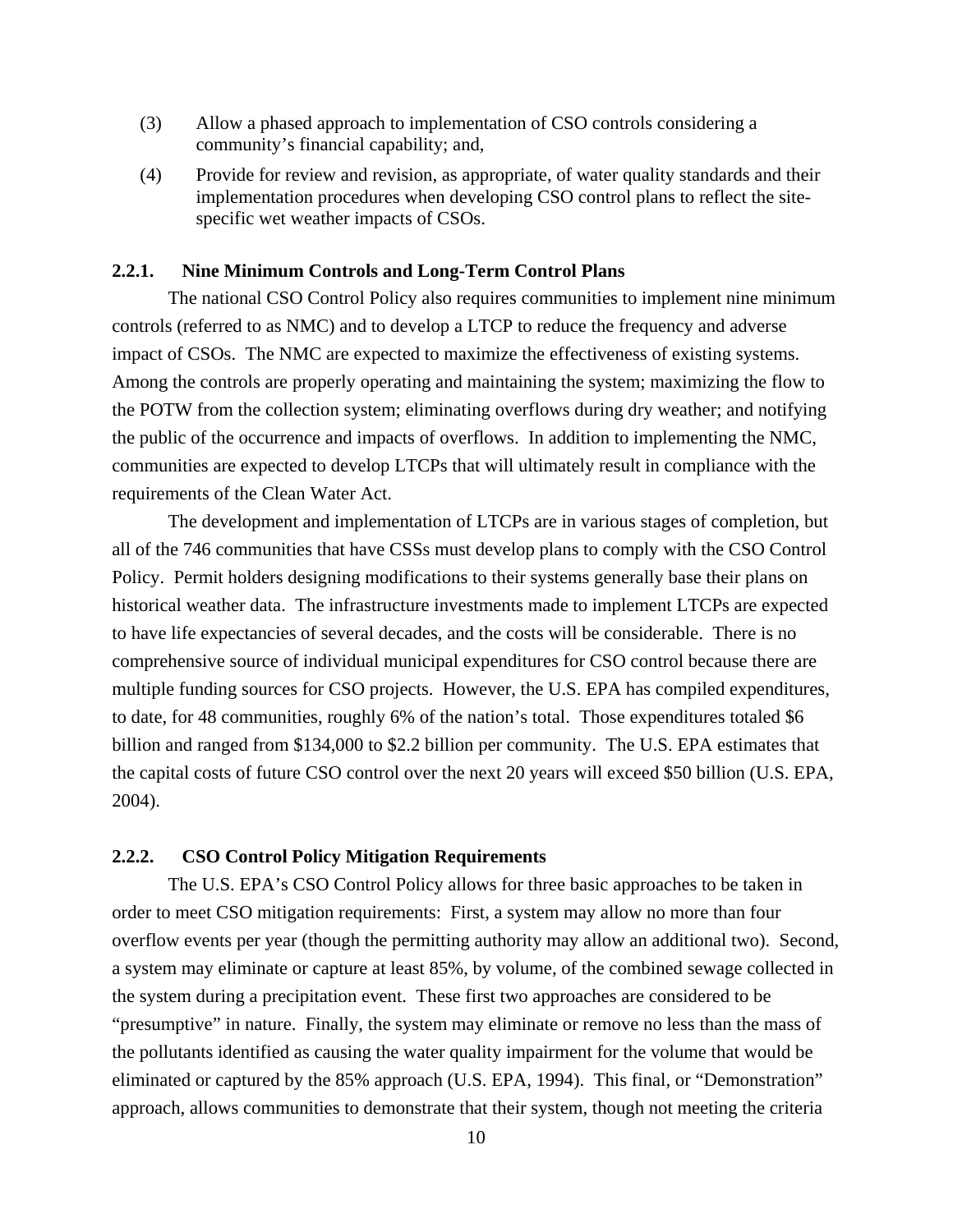- <span id="page-19-0"></span>(3) Allow a phased approach to implementation of CSO controls considering a community's financial capability; and,
- (4) Provide for review and revision, as appropriate, of water quality standards and their implementation procedures when developing CSO control plans to reflect the sitespecific wet weather impacts of CSOs.

## **2.2.1. Nine Minimum Controls and Long-Term Control Plans**

The national CSO Control Policy also requires communities to implement nine minimum controls (referred to as NMC) and to develop a LTCP to reduce the frequency and adverse impact of CSOs. The NMC are expected to maximize the effectiveness of existing systems. Among the controls are properly operating and maintaining the system; maximizing the flow to the POTW from the collection system; eliminating overflows during dry weather; and notifying the public of the occurrence and impacts of overflows. In addition to implementing the NMC, communities are expected to develop LTCPs that will ultimately result in compliance with the requirements of the Clean Water Act.

The development and implementation of LTCPs are in various stages of completion, but all of the 746 communities that have CSSs must develop plans to comply with the CSO Control Policy. Permit holders designing modifications to their systems generally base their plans on historical weather data. The infrastructure investments made to implement LTCPs are expected to have life expectancies of several decades, and the costs will be considerable. There is no comprehensive source of individual municipal expenditures for CSO control because there are multiple funding sources for CSO projects. However, the U.S. EPA has compiled expenditures, to date, for 48 communities, roughly 6% of the nation's total. Those expenditures totaled \$6 billion and ranged from \$134,000 to \$2.2 billion per community. The U.S. EPA estimates that the capital costs of future CSO control over the next 20 years will exceed \$50 billion (U.S. EPA, 2004).

### **2.2.2. CSO Control Policy Mitigation Requirements**

The U.S. EPA's CSO Control Policy allows for three basic approaches to be taken in order to meet CSO mitigation requirements: First, a system may allow no more than four overflow events per year (though the permitting authority may allow an additional two). Second, a system may eliminate or capture at least 85%, by volume, of the combined sewage collected in the system during a precipitation event. These first two approaches are considered to be "presumptive" in nature. Finally, the system may eliminate or remove no less than the mass of the pollutants identified as causing the water quality impairment for the volume that would be eliminated or captured by the 85% approach (U.S. EPA, 1994). This final, or "Demonstration" approach, allows communities to demonstrate that their system, though not meeting the criteria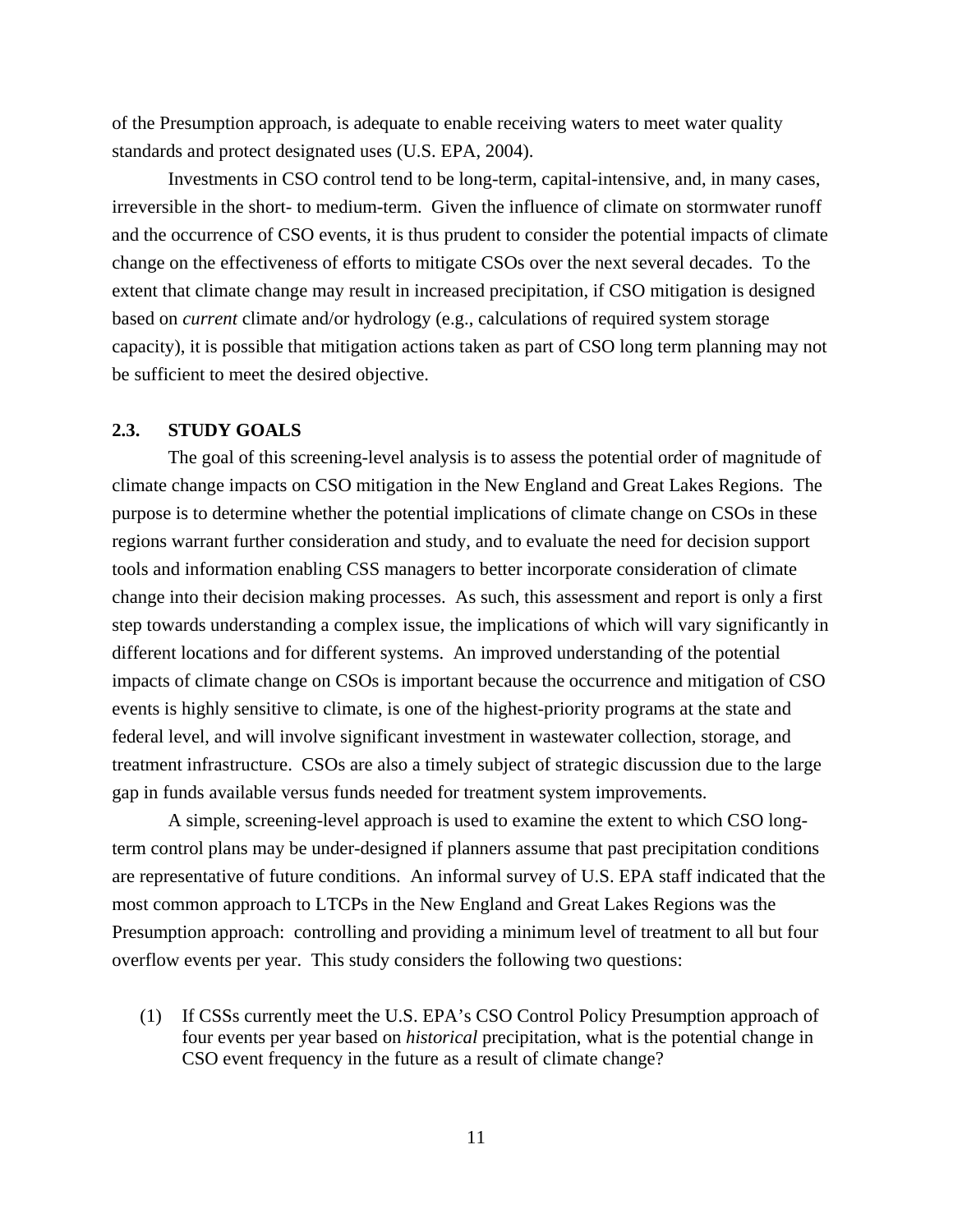<span id="page-20-0"></span>of the Presumption approach, is adequate to enable receiving waters to meet water quality standards and protect designated uses (U.S. EPA, 2004).

Investments in CSO control tend to be long-term, capital-intensive, and, in many cases, irreversible in the short- to medium-term. Given the influence of climate on stormwater runoff and the occurrence of CSO events, it is thus prudent to consider the potential impacts of climate change on the effectiveness of efforts to mitigate CSOs over the next several decades. To the extent that climate change may result in increased precipitation, if CSO mitigation is designed based on *current* climate and/or hydrology (e.g., calculations of required system storage capacity), it is possible that mitigation actions taken as part of CSO long term planning may not be sufficient to meet the desired objective.

## **2.3. STUDY GOALS**

The goal of this screening-level analysis is to assess the potential order of magnitude of climate change impacts on CSO mitigation in the New England and Great Lakes Regions. The purpose is to determine whether the potential implications of climate change on CSOs in these regions warrant further consideration and study, and to evaluate the need for decision support tools and information enabling CSS managers to better incorporate consideration of climate change into their decision making processes. As such, this assessment and report is only a first step towards understanding a complex issue, the implications of which will vary significantly in different locations and for different systems. An improved understanding of the potential impacts of climate change on CSOs is important because the occurrence and mitigation of CSO events is highly sensitive to climate, is one of the highest-priority programs at the state and federal level, and will involve significant investment in wastewater collection, storage, and treatment infrastructure. CSOs are also a timely subject of strategic discussion due to the large gap in funds available versus funds needed for treatment system improvements.

A simple, screening-level approach is used to examine the extent to which CSO longterm control plans may be under-designed if planners assume that past precipitation conditions are representative of future conditions. An informal survey of U.S. EPA staff indicated that the most common approach to LTCPs in the New England and Great Lakes Regions was the Presumption approach: controlling and providing a minimum level of treatment to all but four overflow events per year. This study considers the following two questions:

(1) If CSSs currently meet the U.S. EPA's CSO Control Policy Presumption approach of four events per year based on *historical* precipitation, what is the potential change in CSO event frequency in the future as a result of climate change?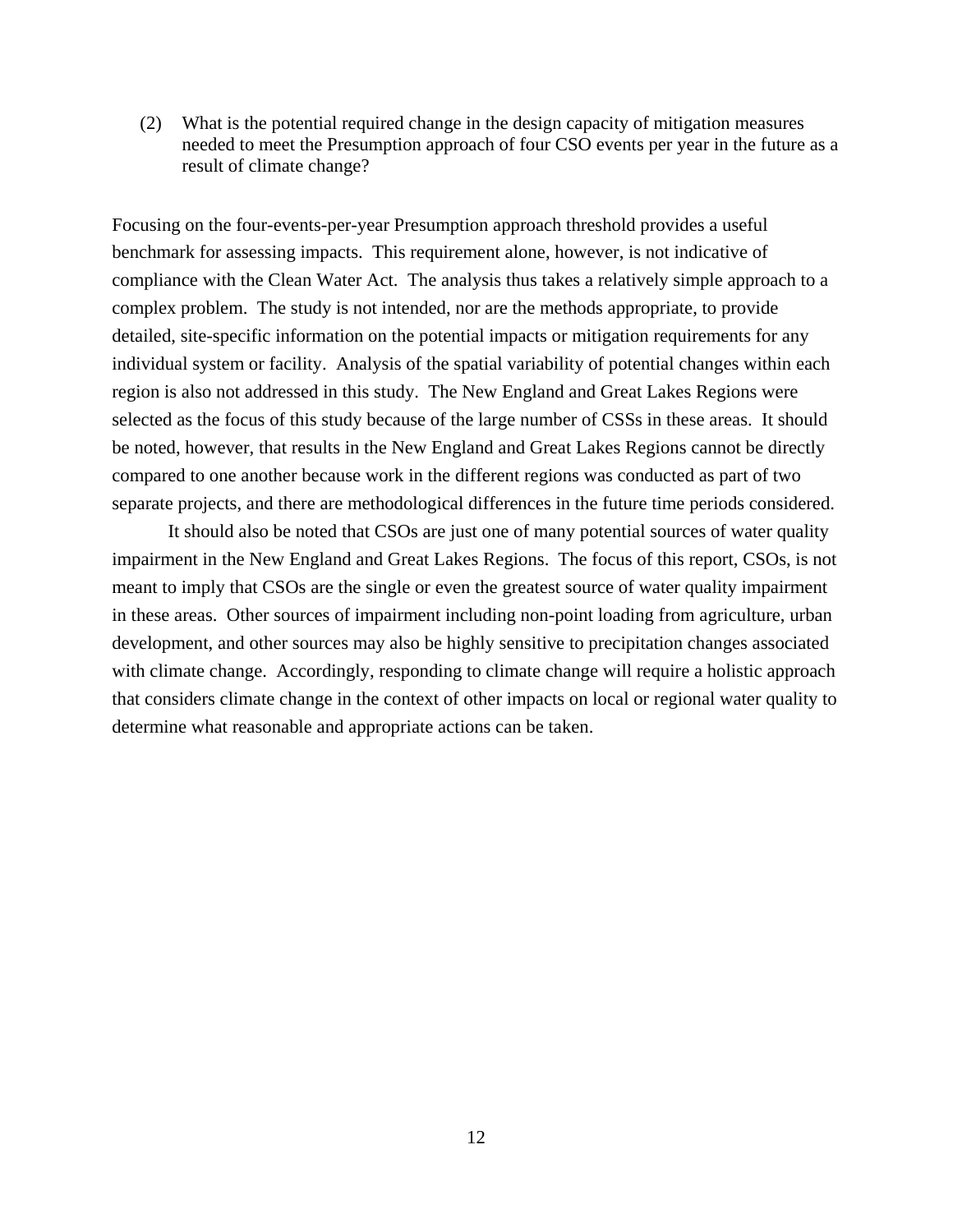(2) What is the potential required change in the design capacity of mitigation measures needed to meet the Presumption approach of four CSO events per year in the future as a result of climate change?

Focusing on the four-events-per-year Presumption approach threshold provides a useful benchmark for assessing impacts. This requirement alone, however, is not indicative of compliance with the Clean Water Act. The analysis thus takes a relatively simple approach to a complex problem. The study is not intended, nor are the methods appropriate, to provide detailed, site-specific information on the potential impacts or mitigation requirements for any individual system or facility. Analysis of the spatial variability of potential changes within each region is also not addressed in this study. The New England and Great Lakes Regions were selected as the focus of this study because of the large number of CSSs in these areas. It should be noted, however, that results in the New England and Great Lakes Regions cannot be directly compared to one another because work in the different regions was conducted as part of two separate projects, and there are methodological differences in the future time periods considered.

It should also be noted that CSOs are just one of many potential sources of water quality impairment in the New England and Great Lakes Regions. The focus of this report, CSOs, is not meant to imply that CSOs are the single or even the greatest source of water quality impairment in these areas. Other sources of impairment including non-point loading from agriculture, urban development, and other sources may also be highly sensitive to precipitation changes associated with climate change. Accordingly, responding to climate change will require a holistic approach that considers climate change in the context of other impacts on local or regional water quality to determine what reasonable and appropriate actions can be taken.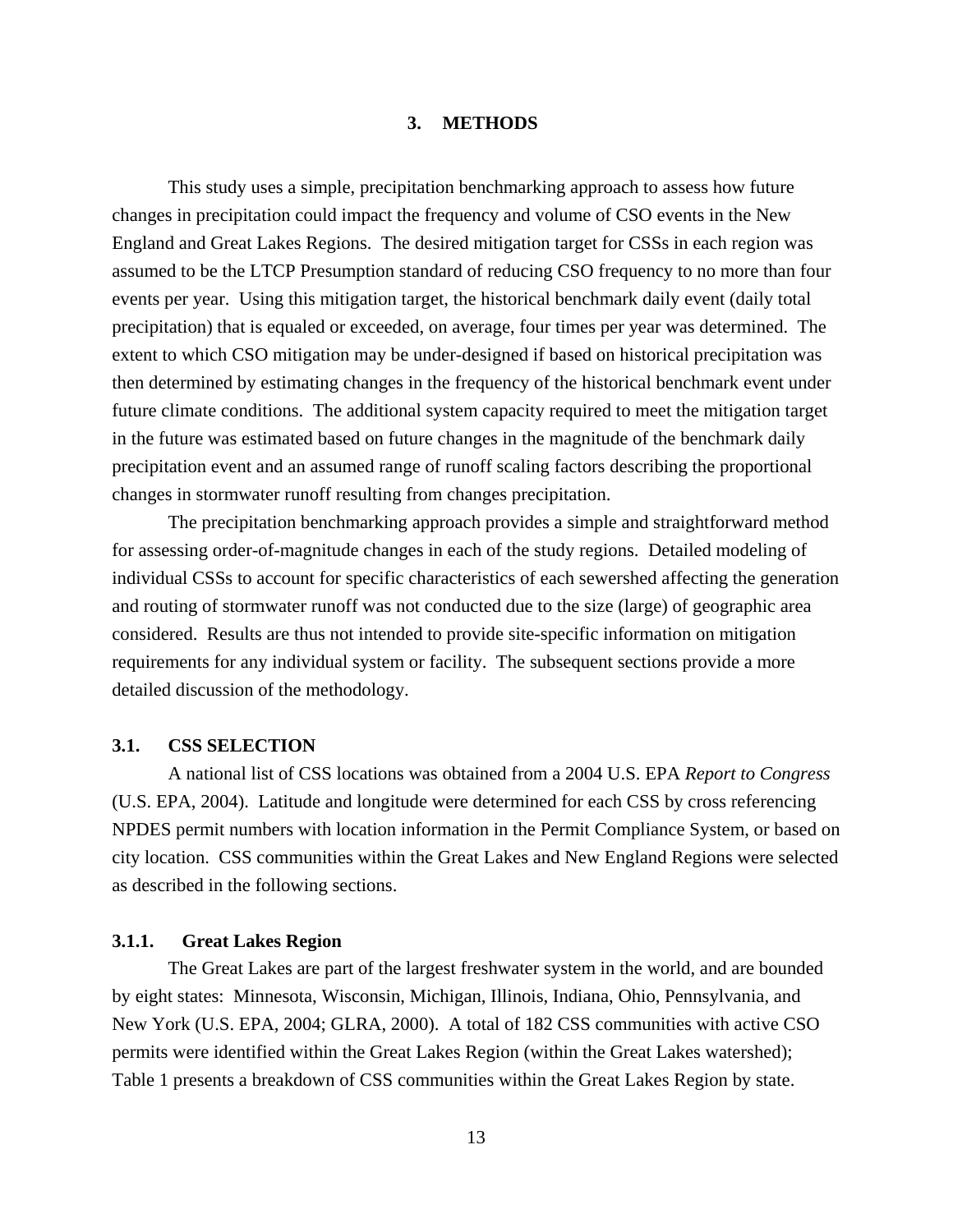#### **3. METHODS**

<span id="page-22-0"></span>This study uses a simple, precipitation benchmarking approach to assess how future changes in precipitation could impact the frequency and volume of CSO events in the New England and Great Lakes Regions. The desired mitigation target for CSSs in each region was assumed to be the LTCP Presumption standard of reducing CSO frequency to no more than four events per year. Using this mitigation target, the historical benchmark daily event (daily total precipitation) that is equaled or exceeded, on average, four times per year was determined. The extent to which CSO mitigation may be under-designed if based on historical precipitation was then determined by estimating changes in the frequency of the historical benchmark event under future climate conditions. The additional system capacity required to meet the mitigation target in the future was estimated based on future changes in the magnitude of the benchmark daily precipitation event and an assumed range of runoff scaling factors describing the proportional changes in stormwater runoff resulting from changes precipitation.

The precipitation benchmarking approach provides a simple and straightforward method for assessing order-of-magnitude changes in each of the study regions. Detailed modeling of individual CSSs to account for specific characteristics of each sewershed affecting the generation and routing of stormwater runoff was not conducted due to the size (large) of geographic area considered. Results are thus not intended to provide site-specific information on mitigation requirements for any individual system or facility. The subsequent sections provide a more detailed discussion of the methodology.

#### **3.1. CSS SELECTION**

A national list of CSS locations was obtained from a 2004 U.S. EPA *Report to Congress* (U.S. EPA, 2004). Latitude and longitude were determined for each CSS by cross referencing NPDES permit numbers with location information in the Permit Compliance System, or based on city location. CSS communities within the Great Lakes and New England Regions were selected as described in the following sections.

## **3.1.1. Great Lakes Region**

 The Great Lakes are part of the largest freshwater system in the world, and are bounded by eight states: Minnesota, Wisconsin, Michigan, Illinois, Indiana, Ohio, Pennsylvania, and New York (U.S. EPA, 2004; GLRA, 2000). A total of 182 CSS communities with active CSO permits were identified within the Great Lakes Region (within the Great Lakes watershed); Table 1 presents a breakdown of CSS communities within the Great Lakes Region by state.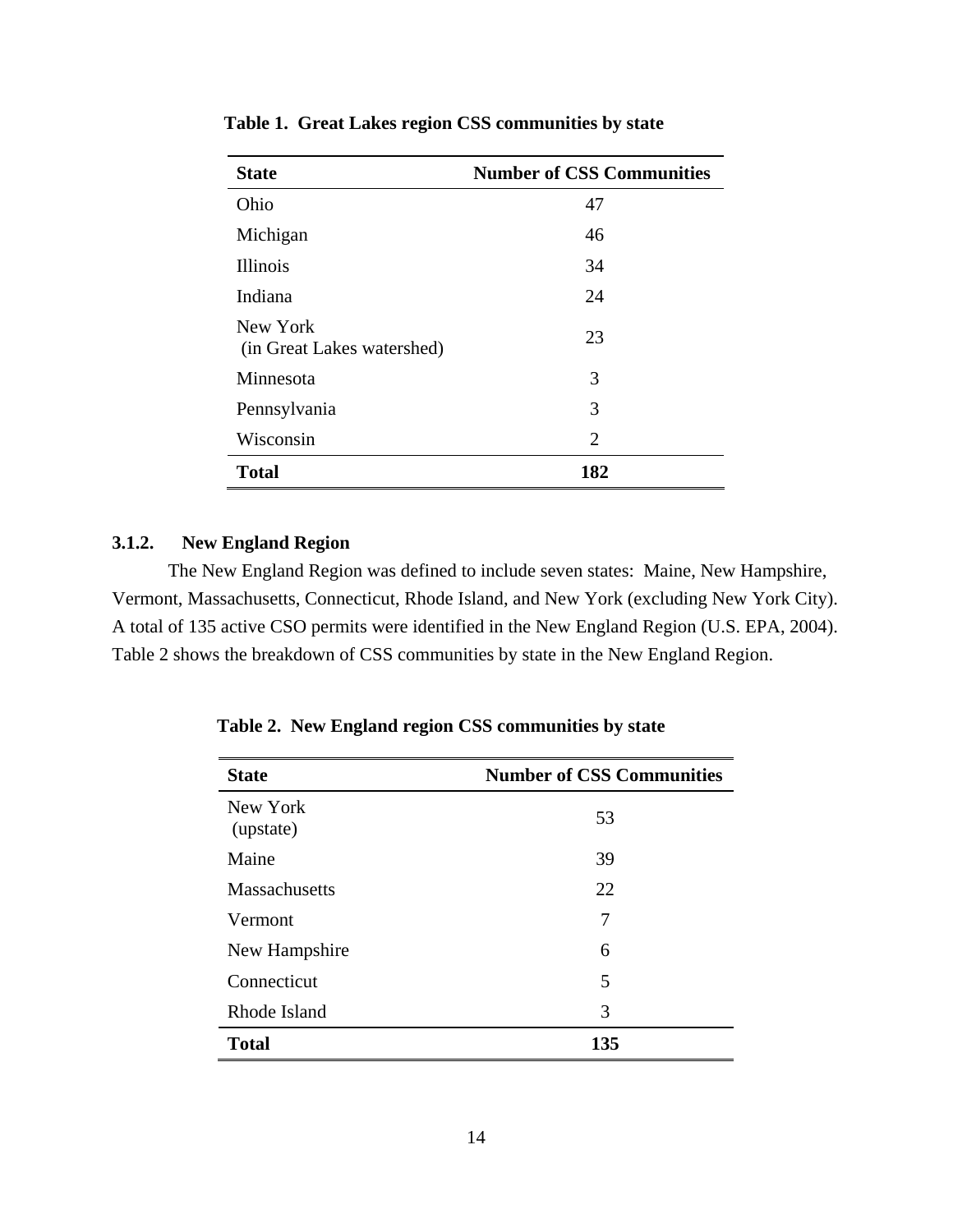| <b>State</b>                           | <b>Number of CSS Communities</b> |
|----------------------------------------|----------------------------------|
| Ohio                                   | 47                               |
| Michigan                               | 46                               |
| <b>Illinois</b>                        | 34                               |
| Indiana                                | 24                               |
| New York<br>(in Great Lakes watershed) | 23                               |
| Minnesota                              | 3                                |
| Pennsylvania                           | 3                                |
| Wisconsin                              | $\overline{2}$                   |
| <b>Total</b>                           | 182                              |

<span id="page-23-0"></span>**Table 1. Great Lakes region CSS communities by state** 

## **3.1.2. New England Region**

The New England Region was defined to include seven states: Maine, New Hampshire, Vermont, Massachusetts, Connecticut, Rhode Island, and New York (excluding New York City). A total of 135 active CSO permits were identified in the New England Region (U.S. EPA, 2004). Table 2 shows the breakdown of CSS communities by state in the New England Region.

| <b>State</b>          | <b>Number of CSS Communities</b> |
|-----------------------|----------------------------------|
| New York<br>(upstate) | 53                               |
| Maine                 | 39                               |
| <b>Massachusetts</b>  | 22                               |
| Vermont               | 7                                |
| New Hampshire         | 6                                |
| Connecticut           | 5                                |
| Rhode Island          | 3                                |
| <b>Total</b>          | 135                              |

**Table 2. New England region CSS communities by state**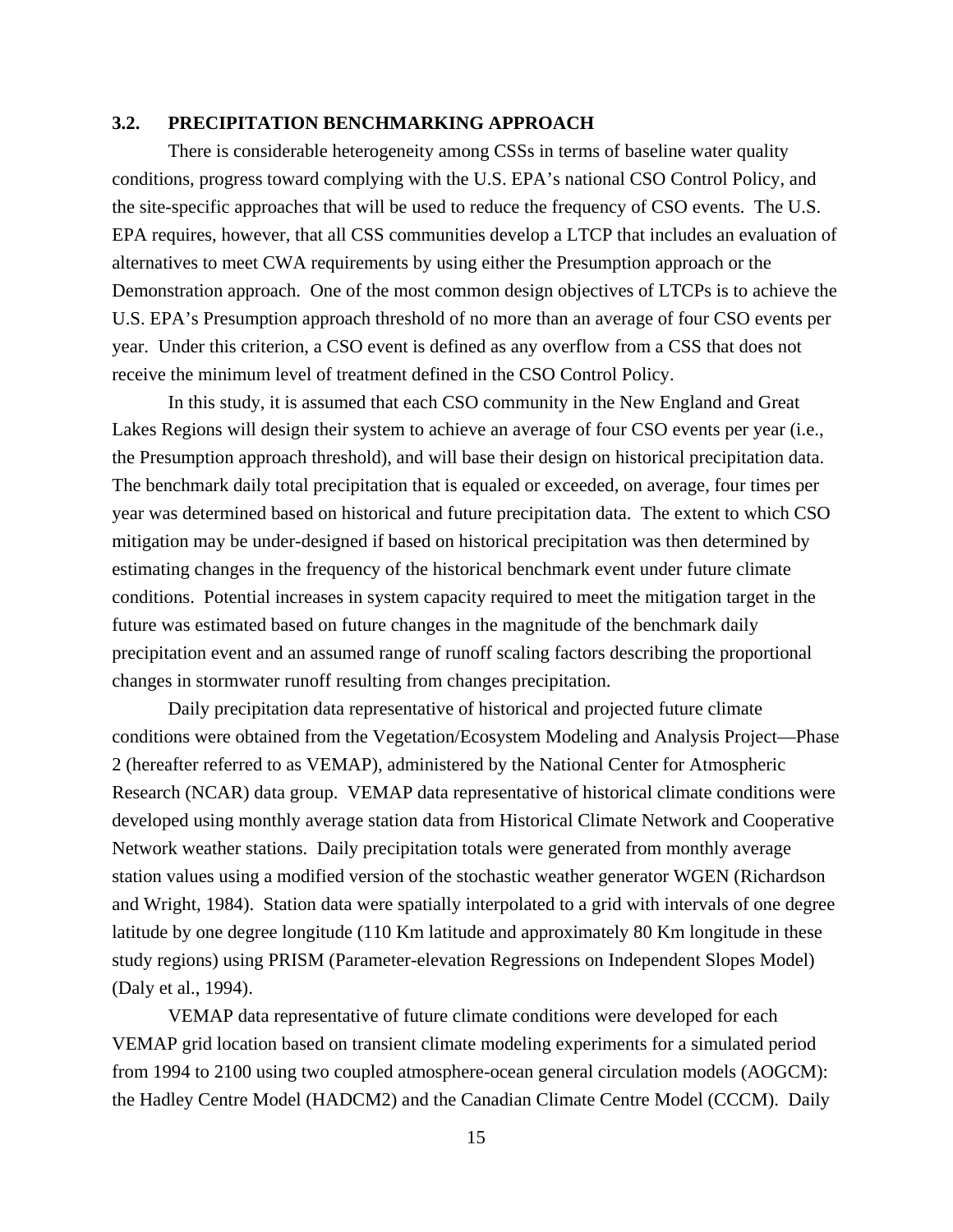## <span id="page-24-0"></span>**3.2. PRECIPITATION BENCHMARKING APPROACH**

There is considerable heterogeneity among CSSs in terms of baseline water quality conditions, progress toward complying with the U.S. EPA's national CSO Control Policy, and the site-specific approaches that will be used to reduce the frequency of CSO events. The U.S. EPA requires, however, that all CSS communities develop a LTCP that includes an evaluation of alternatives to meet CWA requirements by using either the Presumption approach or the Demonstration approach. One of the most common design objectives of LTCPs is to achieve the U.S. EPA's Presumption approach threshold of no more than an average of four CSO events per year. Under this criterion, a CSO event is defined as any overflow from a CSS that does not receive the minimum level of treatment defined in the CSO Control Policy.

In this study, it is assumed that each CSO community in the New England and Great Lakes Regions will design their system to achieve an average of four CSO events per year (i.e., the Presumption approach threshold), and will base their design on historical precipitation data. The benchmark daily total precipitation that is equaled or exceeded, on average, four times per year was determined based on historical and future precipitation data. The extent to which CSO mitigation may be under-designed if based on historical precipitation was then determined by estimating changes in the frequency of the historical benchmark event under future climate conditions. Potential increases in system capacity required to meet the mitigation target in the future was estimated based on future changes in the magnitude of the benchmark daily precipitation event and an assumed range of runoff scaling factors describing the proportional changes in stormwater runoff resulting from changes precipitation.

Daily precipitation data representative of historical and projected future climate conditions were obtained from the Vegetation/Ecosystem Modeling and Analysis Project—Phase 2 (hereafter referred to as VEMAP), administered by the National Center for Atmospheric Research (NCAR) data group. VEMAP data representative of historical climate conditions were developed using monthly average station data from Historical Climate Network and Cooperative Network weather stations. Daily precipitation totals were generated from monthly average station values using a modified version of the stochastic weather generator WGEN (Richardson and Wright, 1984). Station data were spatially interpolated to a grid with intervals of one degree latitude by one degree longitude (110 Km latitude and approximately 80 Km longitude in these study regions) using PRISM (Parameter-elevation Regressions on Independent Slopes Model) (Daly et al., 1994).

VEMAP data representative of future climate conditions were developed for each VEMAP grid location based on transient climate modeling experiments for a simulated period from 1994 to 2100 using two coupled atmosphere-ocean general circulation models (AOGCM): the Hadley Centre Model (HADCM2) and the Canadian Climate Centre Model (CCCM). Daily

15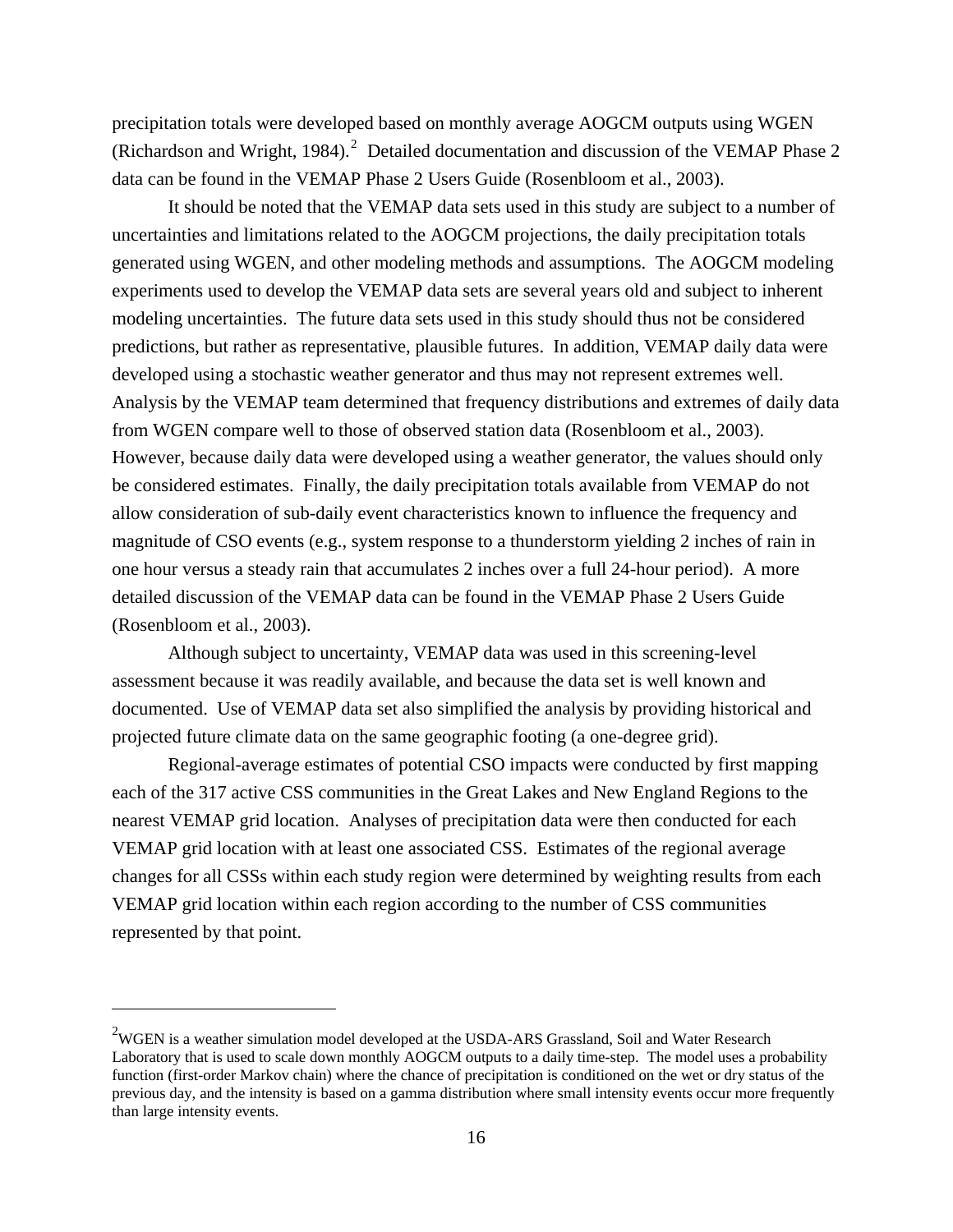precipitation totals were developed based on monthly average AOGCM outputs using WGEN (Richardson and Wright, 1984). $^2$  $^2$  Detailed documentation and discussion of the VEMAP Phase 2 data can be found in the VEMAP Phase 2 Users Guide (Rosenbloom et al., 2003).

It should be noted that the VEMAP data sets used in this study are subject to a number of uncertainties and limitations related to the AOGCM projections, the daily precipitation totals generated using WGEN, and other modeling methods and assumptions. The AOGCM modeling experiments used to develop the VEMAP data sets are several years old and subject to inherent modeling uncertainties. The future data sets used in this study should thus not be considered predictions, but rather as representative, plausible futures. In addition, VEMAP daily data were developed using a stochastic weather generator and thus may not represent extremes well. Analysis by the VEMAP team determined that frequency distributions and extremes of daily data from WGEN compare well to those of observed station data (Rosenbloom et al., 2003). However, because daily data were developed using a weather generator, the values should only be considered estimates. Finally, the daily precipitation totals available from VEMAP do not allow consideration of sub-daily event characteristics known to influence the frequency and magnitude of CSO events (e.g., system response to a thunderstorm yielding 2 inches of rain in one hour versus a steady rain that accumulates 2 inches over a full 24-hour period). A more detailed discussion of the VEMAP data can be found in the VEMAP Phase 2 Users Guide (Rosenbloom et al., 2003).

Although subject to uncertainty, VEMAP data was used in this screening-level assessment because it was readily available, and because the data set is well known and documented. Use of VEMAP data set also simplified the analysis by providing historical and projected future climate data on the same geographic footing (a one-degree grid).

Regional-average estimates of potential CSO impacts were conducted by first mapping each of the 317 active CSS communities in the Great Lakes and New England Regions to the nearest VEMAP grid location. Analyses of precipitation data were then conducted for each VEMAP grid location with at least one associated CSS. Estimates of the regional average changes for all CSSs within each study region were determined by weighting results from each VEMAP grid location within each region according to the number of CSS communities represented by that point.

 $\overline{a}$ 

<span id="page-25-0"></span> $2$ WGEN is a weather simulation model developed at the USDA-ARS Grassland, Soil and Water Research Laboratory that is used to scale down monthly AOGCM outputs to a daily time-step. The model uses a probability function (first-order Markov chain) where the chance of precipitation is conditioned on the wet or dry status of the previous day, and the intensity is based on a gamma distribution where small intensity events occur more frequently than large intensity events.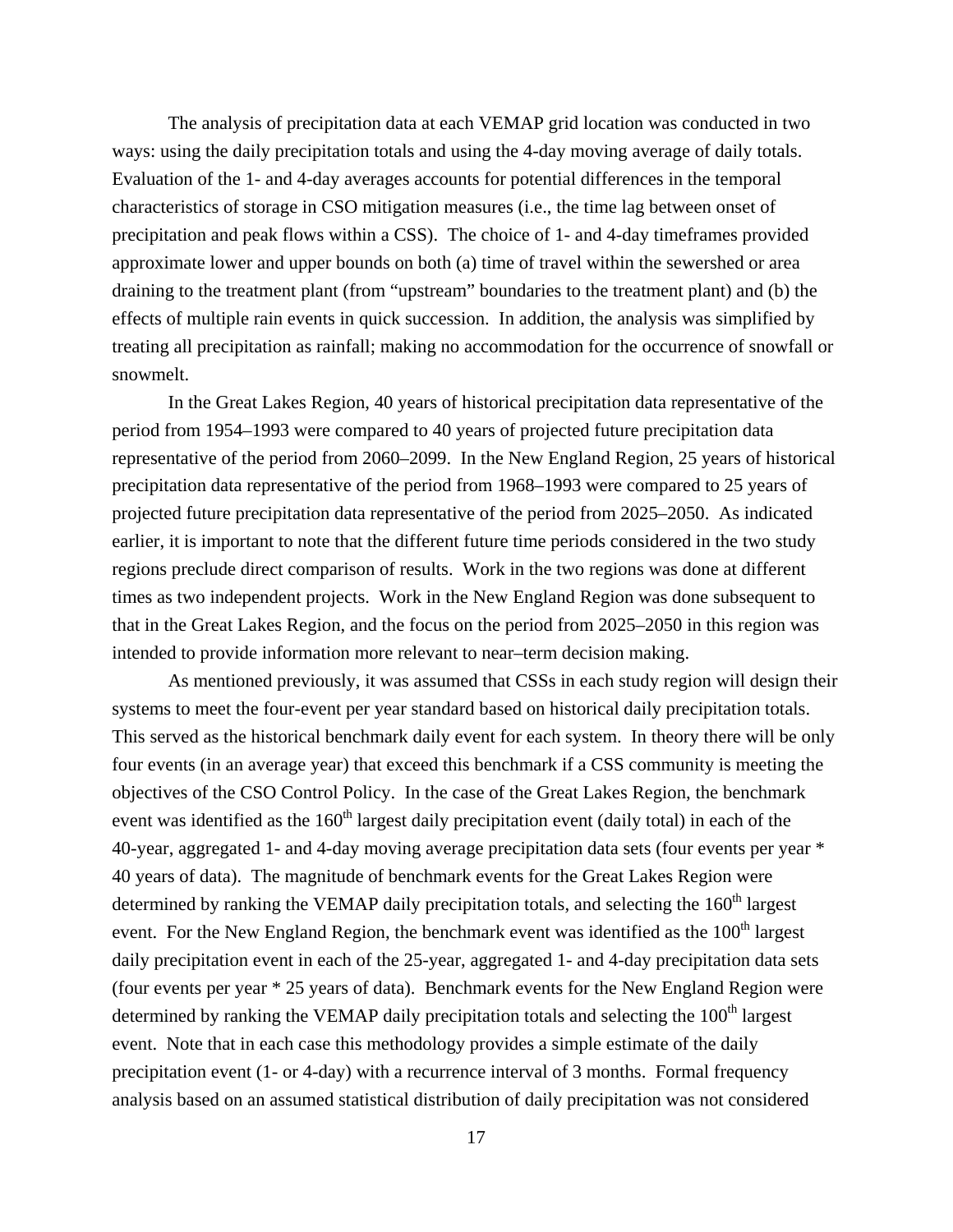The analysis of precipitation data at each VEMAP grid location was conducted in two ways: using the daily precipitation totals and using the 4-day moving average of daily totals. Evaluation of the 1- and 4-day averages accounts for potential differences in the temporal characteristics of storage in CSO mitigation measures (i.e., the time lag between onset of precipitation and peak flows within a CSS). The choice of 1- and 4-day timeframes provided approximate lower and upper bounds on both (a) time of travel within the sewershed or area draining to the treatment plant (from "upstream" boundaries to the treatment plant) and (b) the effects of multiple rain events in quick succession. In addition, the analysis was simplified by treating all precipitation as rainfall; making no accommodation for the occurrence of snowfall or snowmelt.

In the Great Lakes Region, 40 years of historical precipitation data representative of the period from 1954–1993 were compared to 40 years of projected future precipitation data representative of the period from 2060–2099. In the New England Region, 25 years of historical precipitation data representative of the period from 1968–1993 were compared to 25 years of projected future precipitation data representative of the period from 2025–2050. As indicated earlier, it is important to note that the different future time periods considered in the two study regions preclude direct comparison of results. Work in the two regions was done at different times as two independent projects. Work in the New England Region was done subsequent to that in the Great Lakes Region, and the focus on the period from 2025–2050 in this region was intended to provide information more relevant to near–term decision making.

As mentioned previously, it was assumed that CSSs in each study region will design their systems to meet the four-event per year standard based on historical daily precipitation totals. This served as the historical benchmark daily event for each system. In theory there will be only four events (in an average year) that exceed this benchmark if a CSS community is meeting the objectives of the CSO Control Policy. In the case of the Great Lakes Region, the benchmark event was identified as the  $160<sup>th</sup>$  largest daily precipitation event (daily total) in each of the 40-year, aggregated 1- and 4-day moving average precipitation data sets (four events per year \* 40 years of data). The magnitude of benchmark events for the Great Lakes Region were determined by ranking the VEMAP daily precipitation totals, and selecting the  $160<sup>th</sup>$  largest event. For the New England Region, the benchmark event was identified as the  $100<sup>th</sup>$  largest daily precipitation event in each of the 25-year, aggregated 1- and 4-day precipitation data sets (four events per year \* 25 years of data). Benchmark events for the New England Region were determined by ranking the VEMAP daily precipitation totals and selecting the 100<sup>th</sup> largest event. Note that in each case this methodology provides a simple estimate of the daily precipitation event (1- or 4-day) with a recurrence interval of 3 months. Formal frequency analysis based on an assumed statistical distribution of daily precipitation was not considered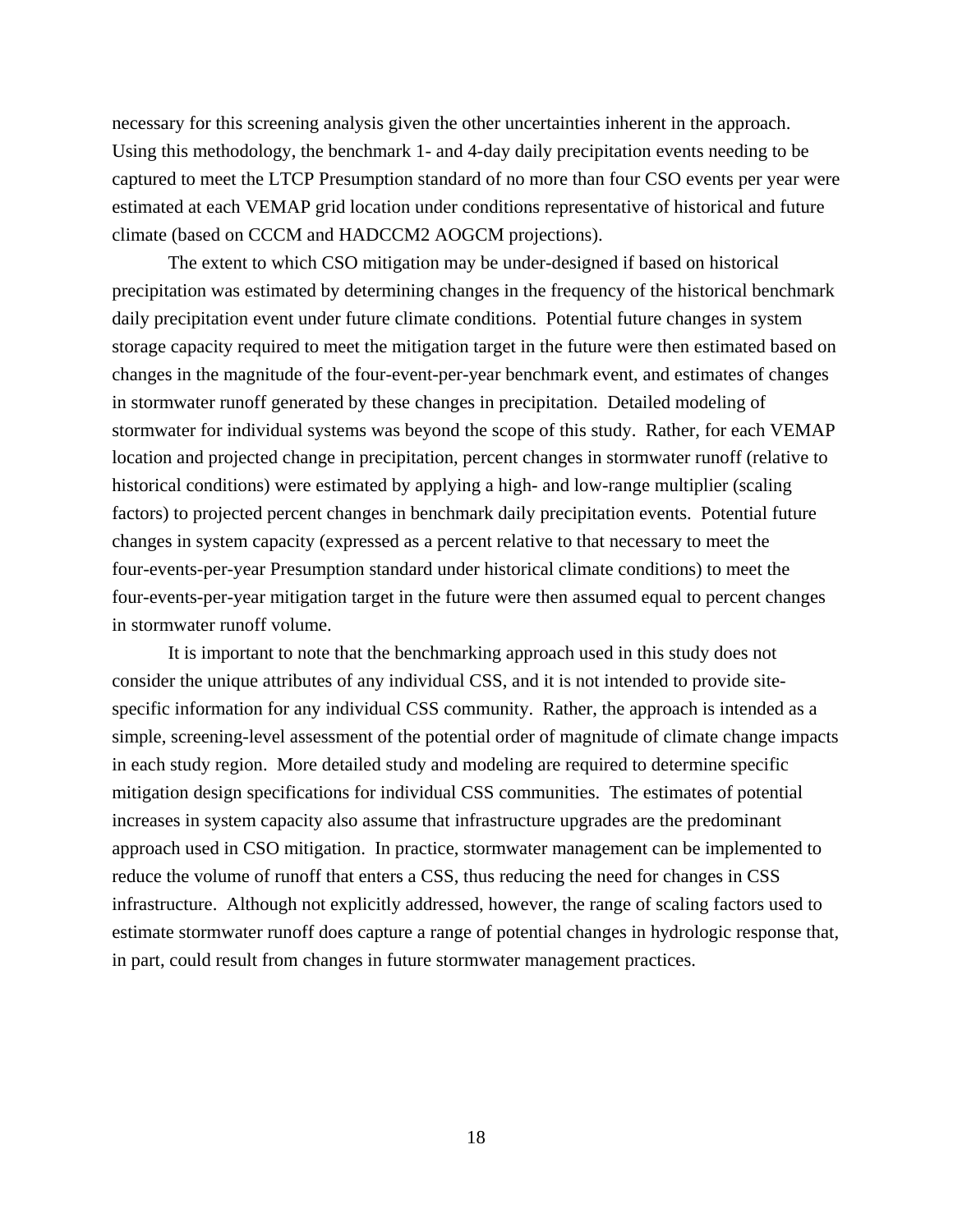necessary for this screening analysis given the other uncertainties inherent in the approach. Using this methodology, the benchmark 1- and 4-day daily precipitation events needing to be captured to meet the LTCP Presumption standard of no more than four CSO events per year were estimated at each VEMAP grid location under conditions representative of historical and future climate (based on CCCM and HADCCM2 AOGCM projections).

The extent to which CSO mitigation may be under-designed if based on historical precipitation was estimated by determining changes in the frequency of the historical benchmark daily precipitation event under future climate conditions. Potential future changes in system storage capacity required to meet the mitigation target in the future were then estimated based on changes in the magnitude of the four-event-per-year benchmark event, and estimates of changes in stormwater runoff generated by these changes in precipitation. Detailed modeling of stormwater for individual systems was beyond the scope of this study. Rather, for each VEMAP location and projected change in precipitation, percent changes in stormwater runoff (relative to historical conditions) were estimated by applying a high- and low-range multiplier (scaling factors) to projected percent changes in benchmark daily precipitation events. Potential future changes in system capacity (expressed as a percent relative to that necessary to meet the four-events-per-year Presumption standard under historical climate conditions) to meet the four-events-per-year mitigation target in the future were then assumed equal to percent changes in stormwater runoff volume.

It is important to note that the benchmarking approach used in this study does not consider the unique attributes of any individual CSS, and it is not intended to provide sitespecific information for any individual CSS community. Rather, the approach is intended as a simple, screening-level assessment of the potential order of magnitude of climate change impacts in each study region. More detailed study and modeling are required to determine specific mitigation design specifications for individual CSS communities. The estimates of potential increases in system capacity also assume that infrastructure upgrades are the predominant approach used in CSO mitigation. In practice, stormwater management can be implemented to reduce the volume of runoff that enters a CSS, thus reducing the need for changes in CSS infrastructure. Although not explicitly addressed, however, the range of scaling factors used to estimate stormwater runoff does capture a range of potential changes in hydrologic response that, in part, could result from changes in future stormwater management practices.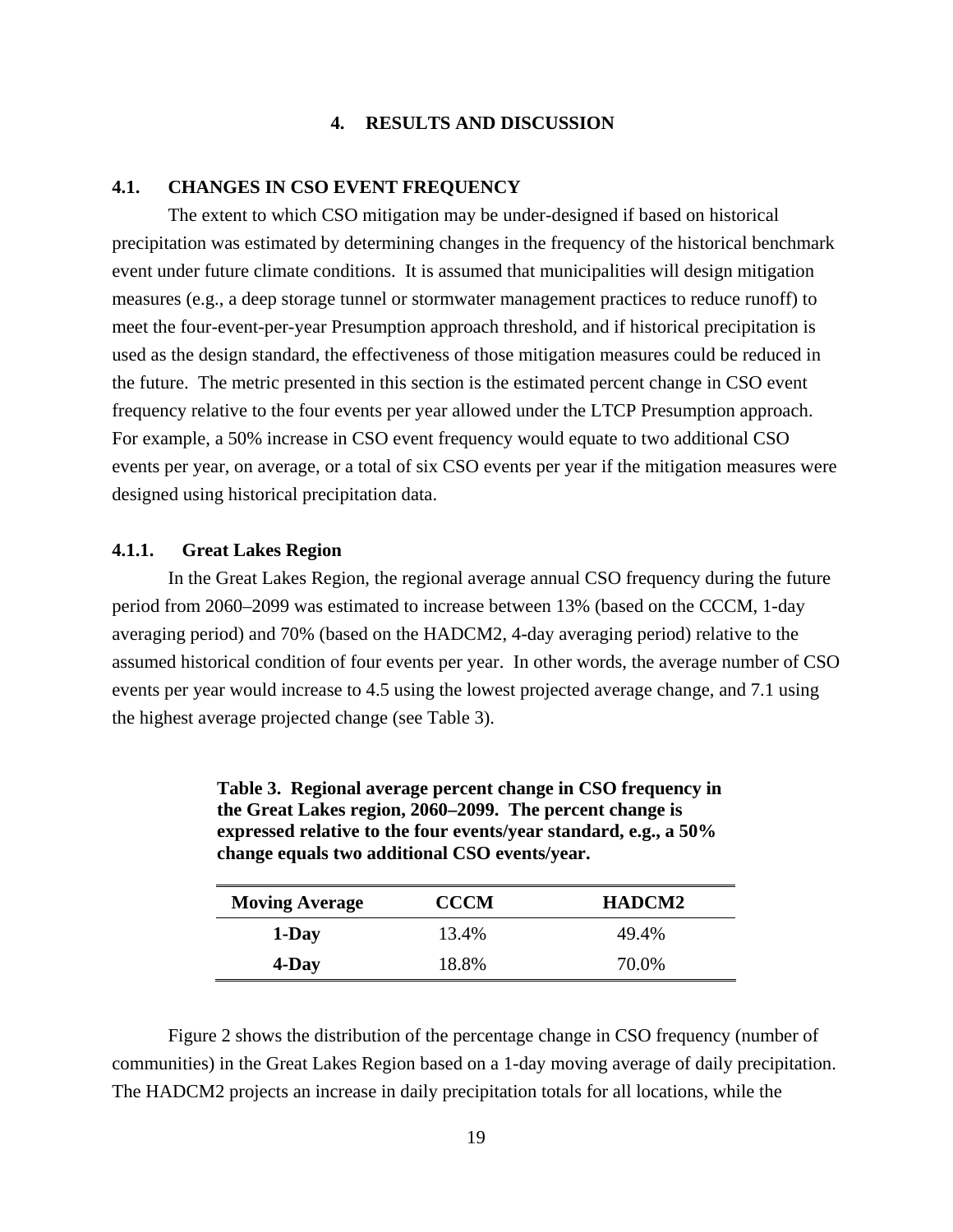### **4. RESULTS AND DISCUSSION**

### <span id="page-28-0"></span>**4.1. CHANGES IN CSO EVENT FREQUENCY**

The extent to which CSO mitigation may be under-designed if based on historical precipitation was estimated by determining changes in the frequency of the historical benchmark event under future climate conditions. It is assumed that municipalities will design mitigation measures (e.g., a deep storage tunnel or stormwater management practices to reduce runoff) to meet the four-event-per-year Presumption approach threshold, and if historical precipitation is used as the design standard, the effectiveness of those mitigation measures could be reduced in the future. The metric presented in this section is the estimated percent change in CSO event frequency relative to the four events per year allowed under the LTCP Presumption approach. For example, a 50% increase in CSO event frequency would equate to two additional CSO events per year, on average, or a total of six CSO events per year if the mitigation measures were designed using historical precipitation data.

#### **4.1.1. Great Lakes Region**

In the Great Lakes Region, the regional average annual CSO frequency during the future period from 2060–2099 was estimated to increase between 13% (based on the CCCM, 1-day averaging period) and 70% (based on the HADCM2, 4-day averaging period) relative to the assumed historical condition of four events per year. In other words, the average number of CSO events per year would increase to 4.5 using the lowest projected average change, and 7.1 using the highest average projected change (see Table 3).

| <b>Moving Average</b> | <b>CCCM</b> | <b>HADCM2</b> |
|-----------------------|-------------|---------------|
| 1-Day                 | 13.4%       | 49.4%         |
| 4-Day                 | 18.8%       | 70.0%         |

| Table 3. Regional average percent change in CSO frequency in     |
|------------------------------------------------------------------|
| the Great Lakes region, 2060–2099. The percent change is         |
| expressed relative to the four events/year standard, e.g., a 50% |
| change equals two additional CSO events/year.                    |

 Figure 2 shows the distribution of the percentage change in CSO frequency (number of communities) in the Great Lakes Region based on a 1-day moving average of daily precipitation. The HADCM2 projects an increase in daily precipitation totals for all locations, while the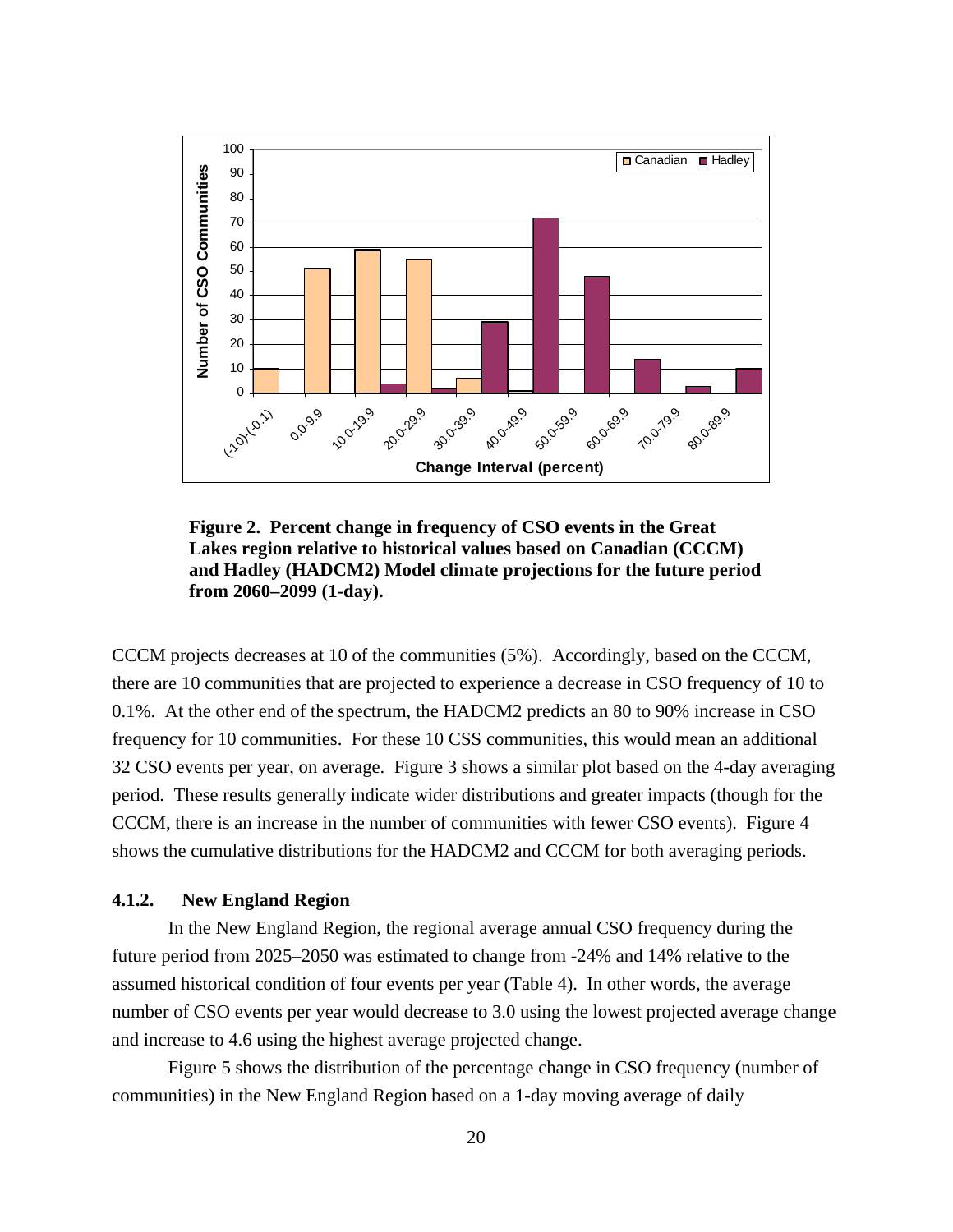<span id="page-29-0"></span>

**Figure 2. Percent change in frequency of CSO events in the Great Lakes region relative to historical values based on Canadian (CCCM) and Hadley (HADCM2) Model climate projections for the future period from 2060–2099 (1-day).**

CCCM projects decreases at 10 of the communities (5%). Accordingly, based on the CCCM, there are 10 communities that are projected to experience a decrease in CSO frequency of 10 to 0.1%. At the other end of the spectrum, the HADCM2 predicts an 80 to 90% increase in CSO frequency for 10 communities. For these 10 CSS communities, this would mean an additional 32 CSO events per year, on average. Figure 3 shows a similar plot based on the 4-day averaging period. These results generally indicate wider distributions and greater impacts (though for the CCCM, there is an increase in the number of communities with fewer CSO events). Figure 4 shows the cumulative distributions for the HADCM2 and CCCM for both averaging periods.

### **4.1.2. New England Region**

In the New England Region, the regional average annual CSO frequency during the future period from 2025–2050 was estimated to change from -24% and 14% relative to the assumed historical condition of four events per year (Table 4). In other words, the average number of CSO events per year would decrease to 3.0 using the lowest projected average change and increase to 4.6 using the highest average projected change.

Figure 5 shows the distribution of the percentage change in CSO frequency (number of communities) in the New England Region based on a 1-day moving average of daily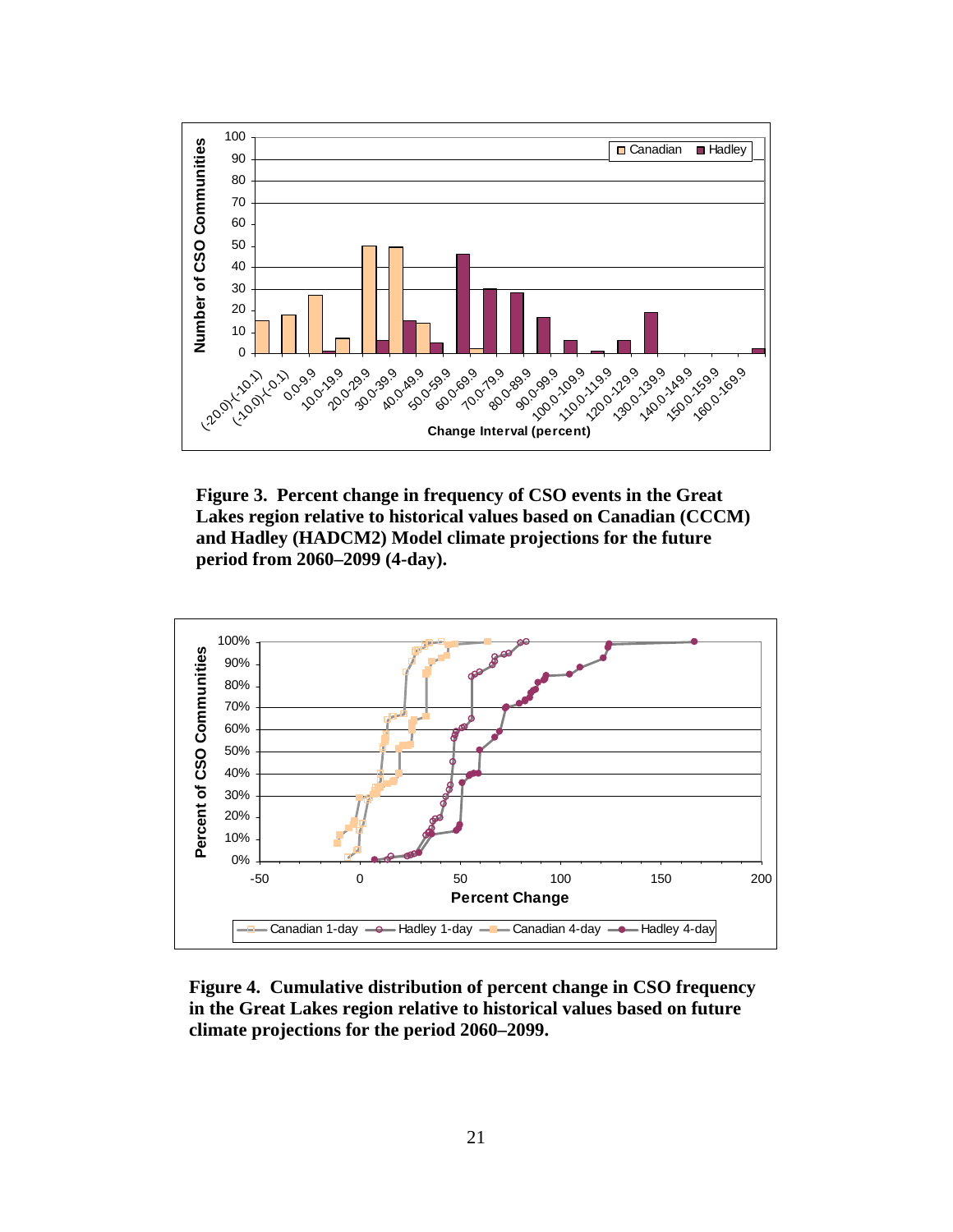<span id="page-30-0"></span>

**Figure 3. Percent change in frequency of CSO events in the Great Lakes region relative to historical values based on Canadian (CCCM) and Hadley (HADCM2) Model climate projections for the future period from 2060–2099 (4-day).**



**Figure 4. Cumulative distribution of percent change in CSO frequency in the Great Lakes region relative to historical values based on future climate projections for the period 2060–2099.**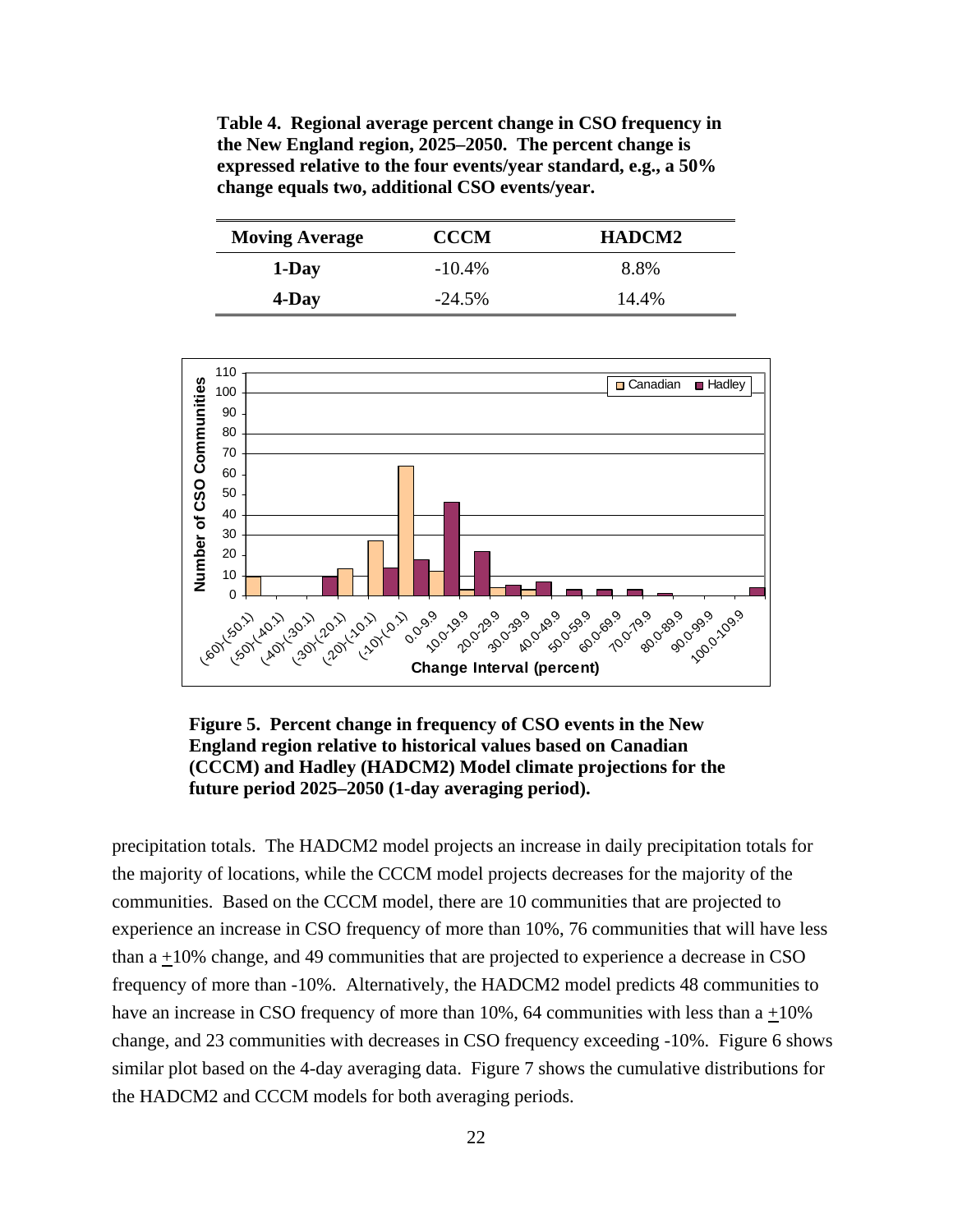<span id="page-31-0"></span>**Table 4. Regional average percent change in CSO frequency in the New England region, 2025–2050. The percent change is expressed relative to the four events/year standard, e.g., a 50% change equals two, additional CSO events/year.** 

| <b>Moving Average</b> | <b>CCCM</b> | <b>HADCM2</b> |
|-----------------------|-------------|---------------|
| 1-Day                 | $-10.4\%$   | 8.8%          |
| 4-Day                 | $-24.5%$    | 14.4%         |



**Figure 5. Percent change in frequency of CSO events in the New England region relative to historical values based on Canadian (CCCM) and Hadley (HADCM2) Model climate projections for the future period 2025–2050 (1-day averaging period).**

precipitation totals. The HADCM2 model projects an increase in daily precipitation totals for the majority of locations, while the CCCM model projects decreases for the majority of the communities. Based on the CCCM model, there are 10 communities that are projected to experience an increase in CSO frequency of more than 10%, 76 communities that will have less than  $a + 10\%$  change, and 49 communities that are projected to experience a decrease in CSO frequency of more than -10%. Alternatively, the HADCM2 model predicts 48 communities to have an increase in CSO frequency of more than  $10\%$ , 64 communities with less than a +10% change, and 23 communities with decreases in CSO frequency exceeding -10%. Figure 6 shows similar plot based on the 4-day averaging data. Figure 7 shows the cumulative distributions for the HADCM2 and CCCM models for both averaging periods.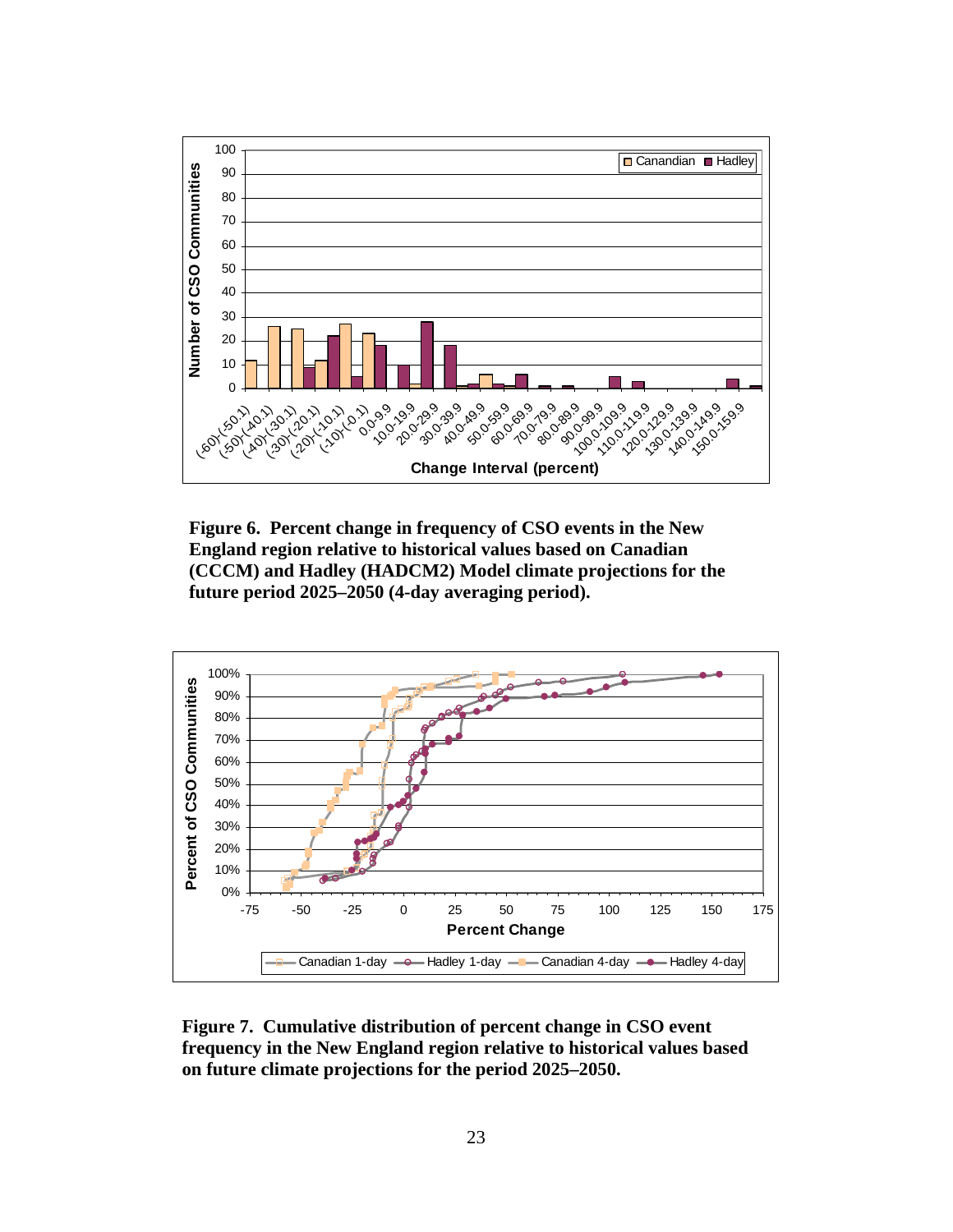<span id="page-32-0"></span>

**Figure 6. Percent change in frequency of CSO events in the New England region relative to historical values based on Canadian (CCCM) and Hadley (HADCM2) Model climate projections for the future period 2025–2050 (4-day averaging period).**



**Figure 7. Cumulative distribution of percent change in CSO event frequency in the New England region relative to historical values based on future climate projections for the period 2025–2050.**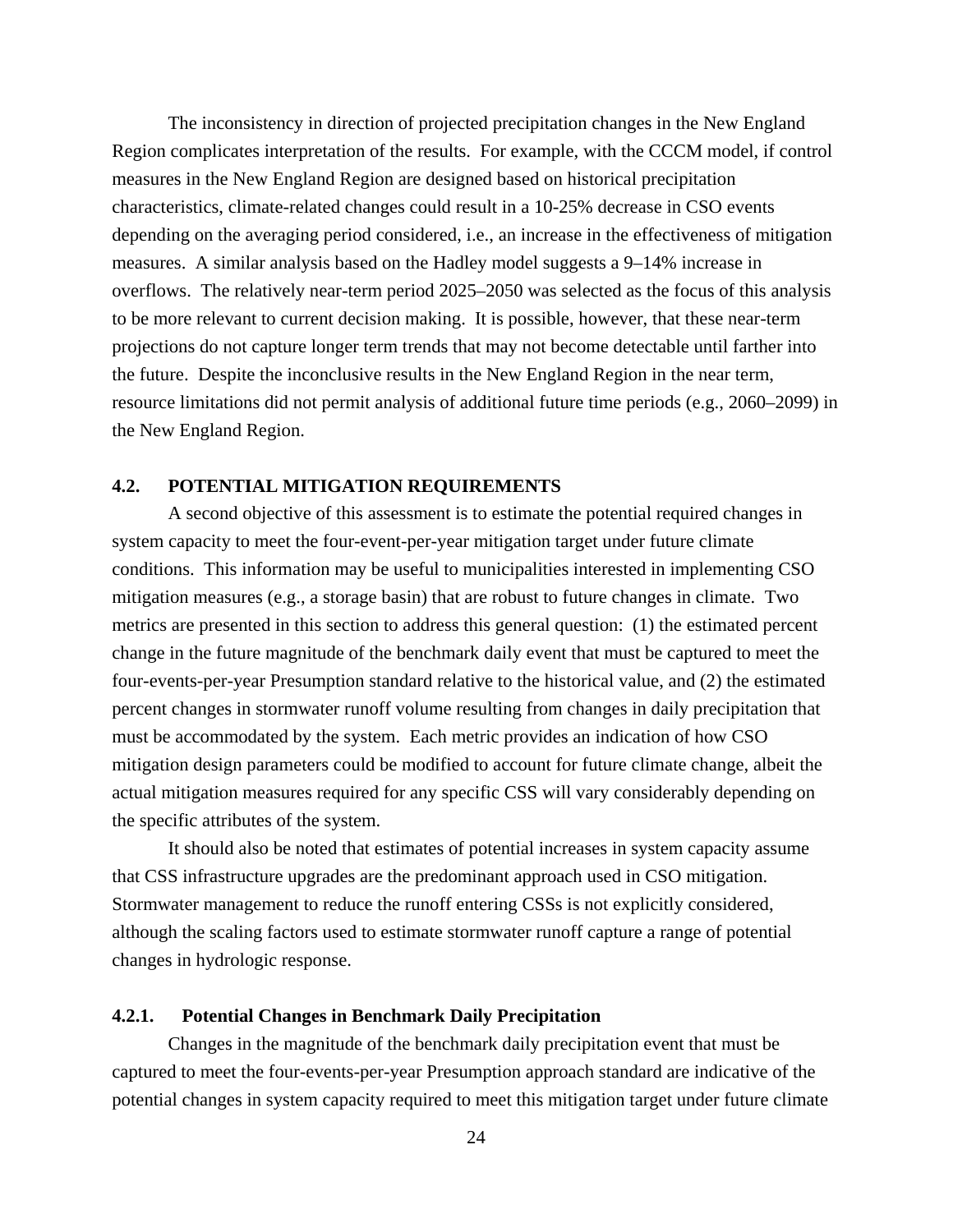<span id="page-33-0"></span> The inconsistency in direction of projected precipitation changes in the New England Region complicates interpretation of the results. For example, with the CCCM model, if control measures in the New England Region are designed based on historical precipitation characteristics, climate-related changes could result in a 10-25% decrease in CSO events depending on the averaging period considered, i.e., an increase in the effectiveness of mitigation measures. A similar analysis based on the Hadley model suggests a 9–14% increase in overflows. The relatively near-term period 2025–2050 was selected as the focus of this analysis to be more relevant to current decision making. It is possible, however, that these near-term projections do not capture longer term trends that may not become detectable until farther into the future. Despite the inconclusive results in the New England Region in the near term, resource limitations did not permit analysis of additional future time periods (e.g., 2060–2099) in the New England Region.

### **4.2. POTENTIAL MITIGATION REQUIREMENTS**

A second objective of this assessment is to estimate the potential required changes in system capacity to meet the four-event-per-year mitigation target under future climate conditions. This information may be useful to municipalities interested in implementing CSO mitigation measures (e.g., a storage basin) that are robust to future changes in climate. Two metrics are presented in this section to address this general question: (1) the estimated percent change in the future magnitude of the benchmark daily event that must be captured to meet the four-events-per-year Presumption standard relative to the historical value, and (2) the estimated percent changes in stormwater runoff volume resulting from changes in daily precipitation that must be accommodated by the system. Each metric provides an indication of how CSO mitigation design parameters could be modified to account for future climate change, albeit the actual mitigation measures required for any specific CSS will vary considerably depending on the specific attributes of the system.

It should also be noted that estimates of potential increases in system capacity assume that CSS infrastructure upgrades are the predominant approach used in CSO mitigation. Stormwater management to reduce the runoff entering CSSs is not explicitly considered, although the scaling factors used to estimate stormwater runoff capture a range of potential changes in hydrologic response.

## **4.2.1. Potential Changes in Benchmark Daily Precipitation**

Changes in the magnitude of the benchmark daily precipitation event that must be captured to meet the four-events-per-year Presumption approach standard are indicative of the potential changes in system capacity required to meet this mitigation target under future climate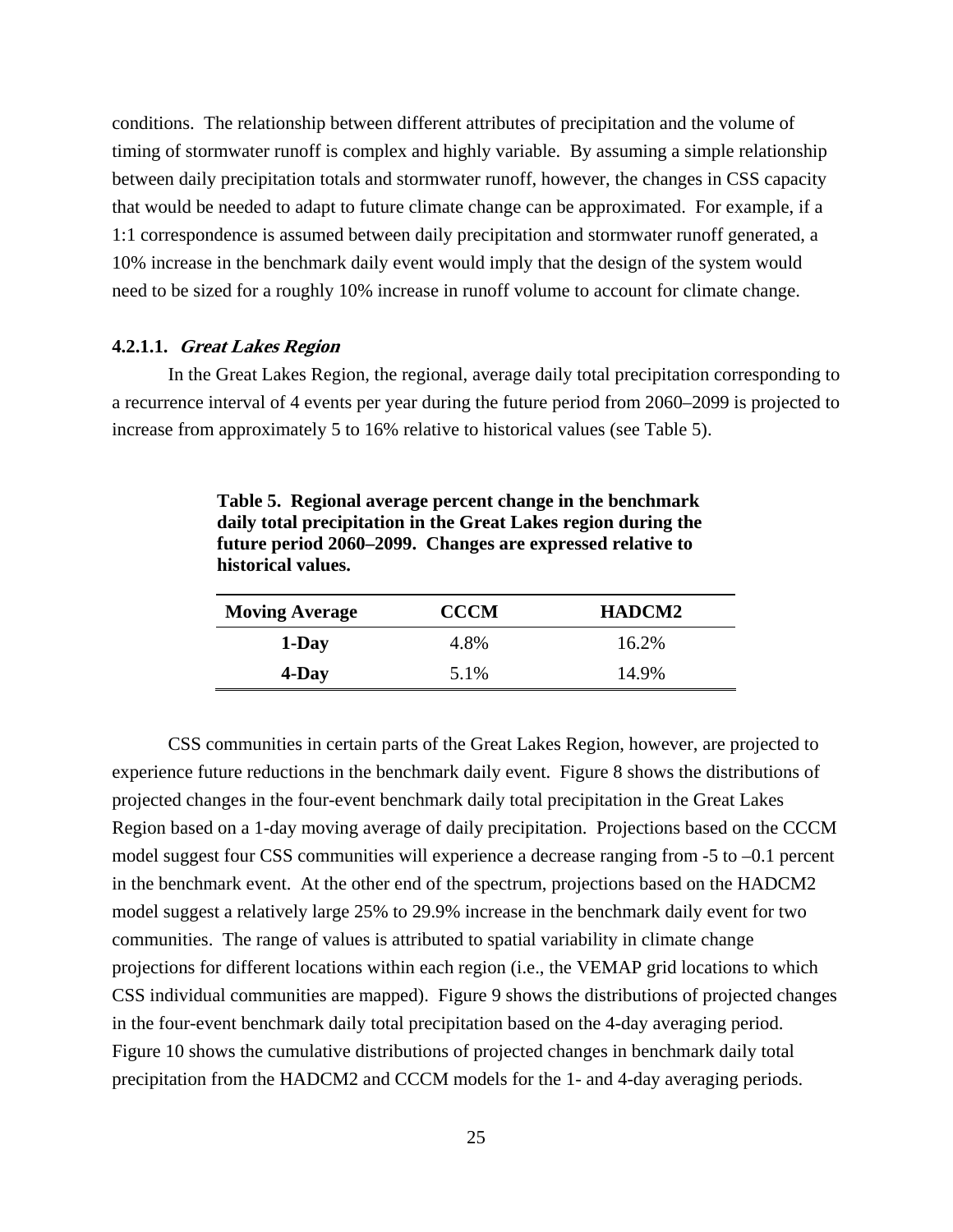<span id="page-34-0"></span>conditions. The relationship between different attributes of precipitation and the volume of timing of stormwater runoff is complex and highly variable. By assuming a simple relationship between daily precipitation totals and stormwater runoff, however, the changes in CSS capacity that would be needed to adapt to future climate change can be approximated. For example, if a 1:1 correspondence is assumed between daily precipitation and stormwater runoff generated, a 10% increase in the benchmark daily event would imply that the design of the system would need to be sized for a roughly 10% increase in runoff volume to account for climate change.

#### **4.2.1.1. Great Lakes Region**

In the Great Lakes Region, the regional, average daily total precipitation corresponding to a recurrence interval of 4 events per year during the future period from 2060–2099 is projected to increase from approximately 5 to 16% relative to historical values (see Table 5).

**daily total precipitation in the Great Lakes region during the future period 2060–2099. Changes are expressed relative to historical values.** 

**Table 5. Regional average percent change in the benchmark** 

| <b>Moving Average</b> | <b>CCCM</b> | <b>HADCM2</b> |
|-----------------------|-------------|---------------|
| 1-Day                 | 4.8%        | 16.2%         |
| 4-Day                 | 5.1%        | 14.9%         |

 CSS communities in certain parts of the Great Lakes Region, however, are projected to experience future reductions in the benchmark daily event. Figure 8 shows the distributions of projected changes in the four-event benchmark daily total precipitation in the Great Lakes Region based on a 1-day moving average of daily precipitation. Projections based on the CCCM model suggest four CSS communities will experience a decrease ranging from -5 to –0.1 percent in the benchmark event. At the other end of the spectrum, projections based on the HADCM2 model suggest a relatively large 25% to 29.9% increase in the benchmark daily event for two communities. The range of values is attributed to spatial variability in climate change projections for different locations within each region (i.e., the VEMAP grid locations to which CSS individual communities are mapped). Figure 9 shows the distributions of projected changes in the four-event benchmark daily total precipitation based on the 4-day averaging period. Figure 10 shows the cumulative distributions of projected changes in benchmark daily total precipitation from the HADCM2 and CCCM models for the 1- and 4-day averaging periods.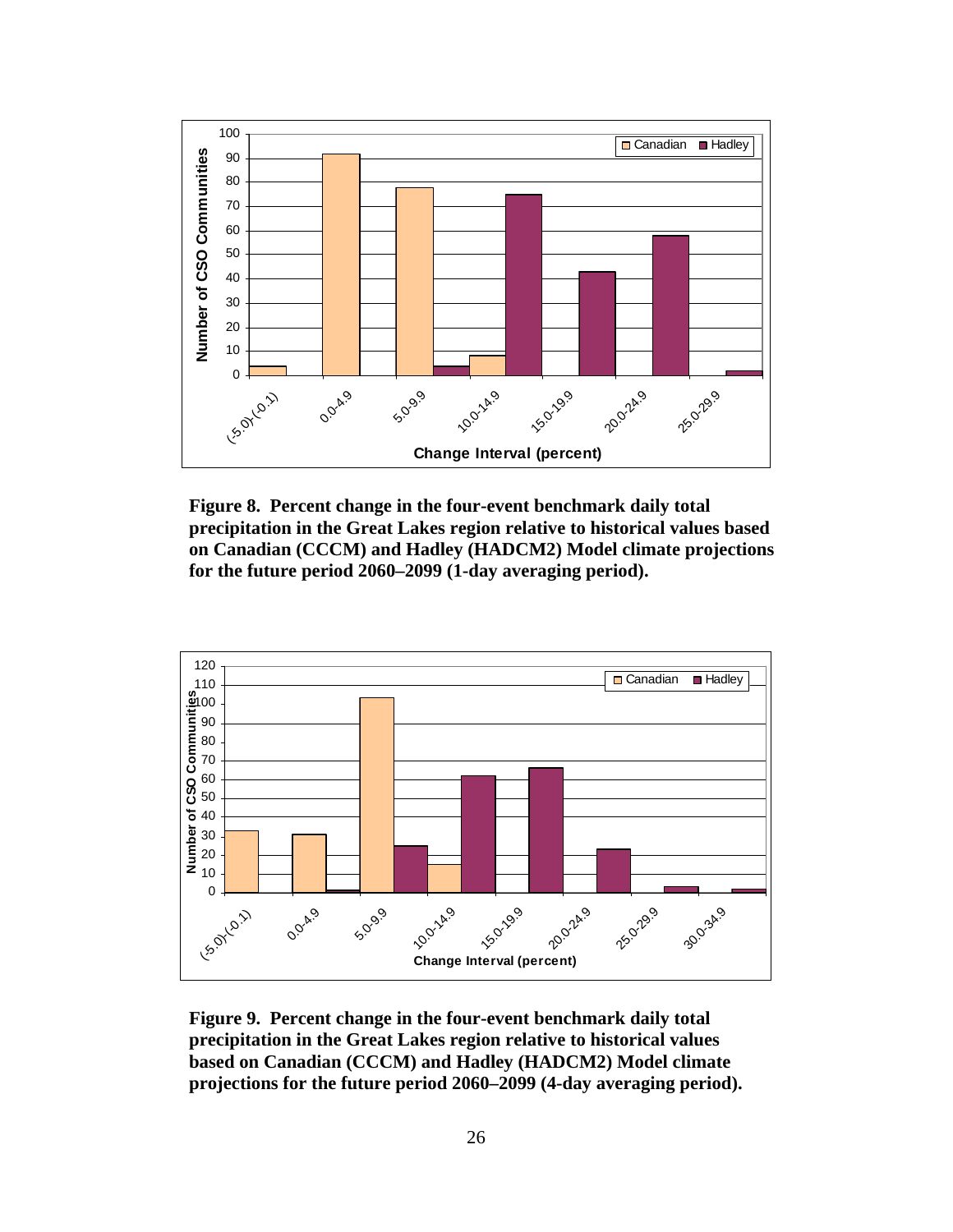<span id="page-35-0"></span>

**Figure 8. Percent change in the four-event benchmark daily total precipitation in the Great Lakes region relative to historical values based on Canadian (CCCM) and Hadley (HADCM2) Model climate projections for the future period 2060–2099 (1-day averaging period).**



**Figure 9. Percent change in the four-event benchmark daily total precipitation in the Great Lakes region relative to historical values based on Canadian (CCCM) and Hadley (HADCM2) Model climate projections for the future period 2060–2099 (4-day averaging period).**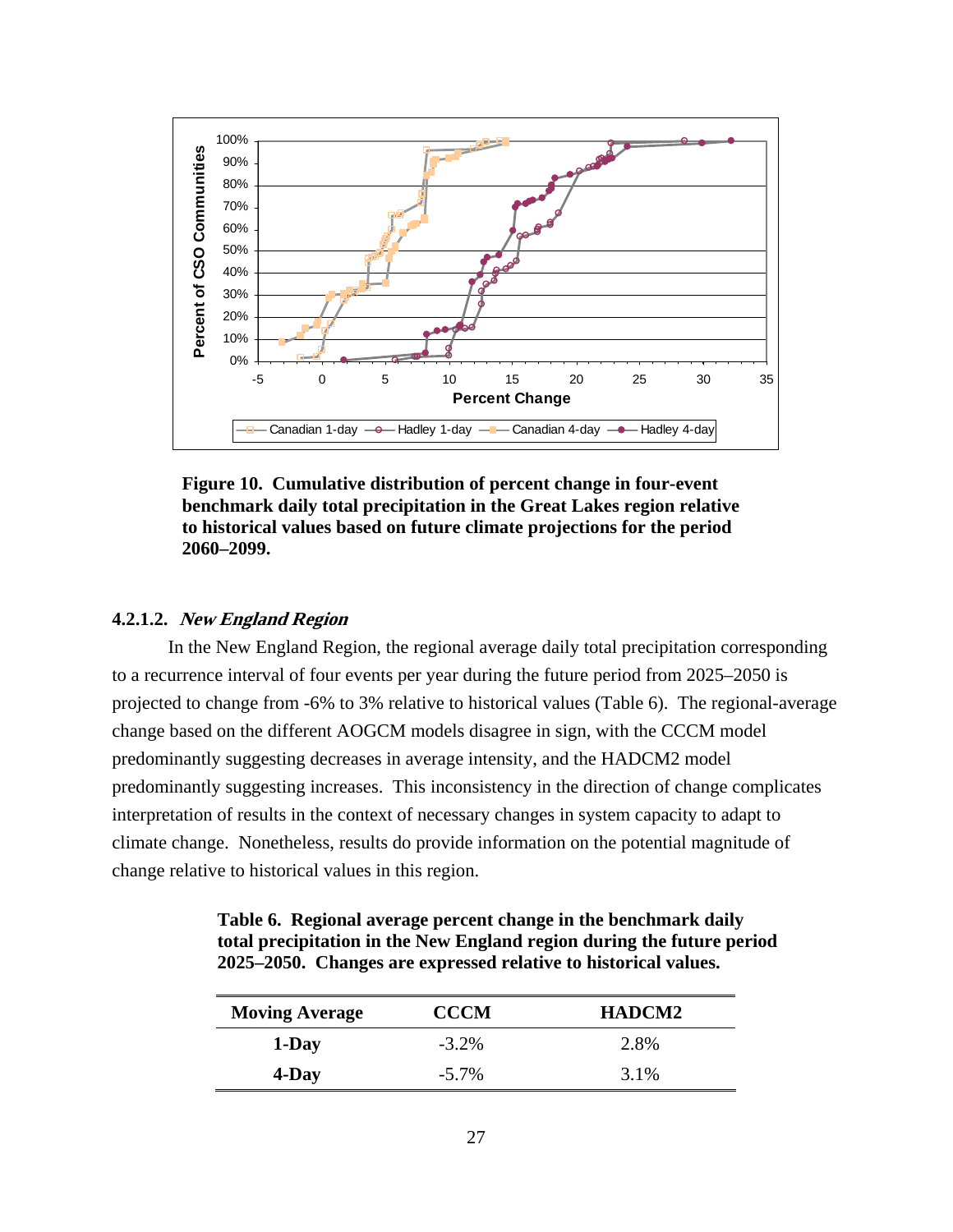<span id="page-36-0"></span>

**Figure 10. Cumulative distribution of percent change in four-event benchmark daily total precipitation in the Great Lakes region relative to historical values based on future climate projections for the period 2060–2099.** 

## **4.2.1.2. New England Region**

 In the New England Region, the regional average daily total precipitation corresponding to a recurrence interval of four events per year during the future period from 2025–2050 is projected to change from -6% to 3% relative to historical values (Table 6). The regional-average change based on the different AOGCM models disagree in sign, with the CCCM model predominantly suggesting decreases in average intensity, and the HADCM2 model predominantly suggesting increases. This inconsistency in the direction of change complicates interpretation of results in the context of necessary changes in system capacity to adapt to climate change. Nonetheless, results do provide information on the potential magnitude of change relative to historical values in this region.

| Table 6. Regional average percent change in the benchmark daily        |
|------------------------------------------------------------------------|
| total precipitation in the New England region during the future period |
| 2025–2050. Changes are expressed relative to historical values.        |

| <b>Moving Average</b> | <b>CCCM</b> | HADCM2 |
|-----------------------|-------------|--------|
| 1-Day                 | $-3.2\%$    | 2.8%   |
| 4-Day                 | $-5.7\%$    | 3.1%   |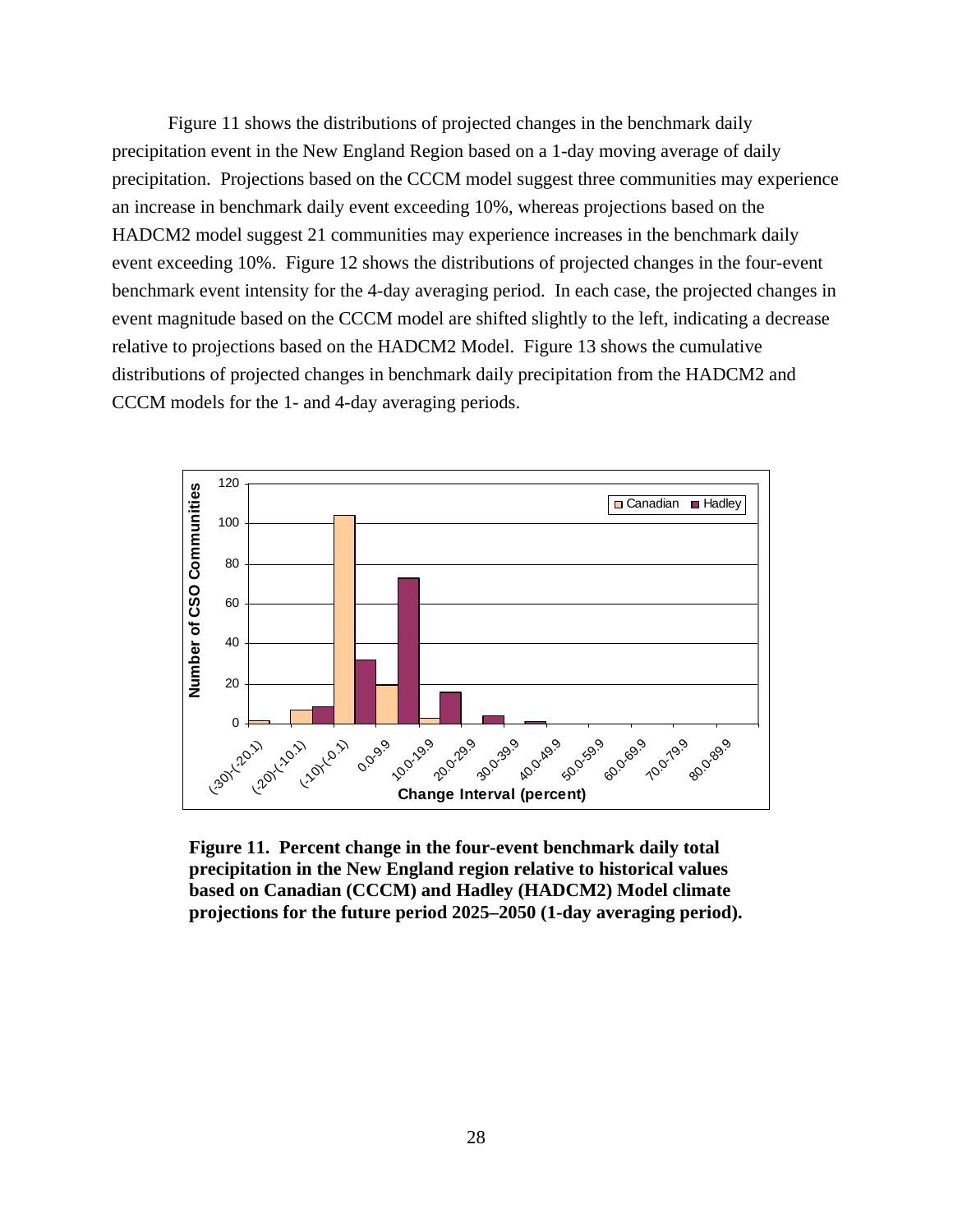<span id="page-37-0"></span> Figure 11 shows the distributions of projected changes in the benchmark daily precipitation event in the New England Region based on a 1-day moving average of daily precipitation. Projections based on the CCCM model suggest three communities may experience an increase in benchmark daily event exceeding 10%, whereas projections based on the HADCM2 model suggest 21 communities may experience increases in the benchmark daily event exceeding 10%. Figure 12 shows the distributions of projected changes in the four-event benchmark event intensity for the 4-day averaging period. In each case, the projected changes in event magnitude based on the CCCM model are shifted slightly to the left, indicating a decrease relative to projections based on the HADCM2 Model. Figure 13 shows the cumulative distributions of projected changes in benchmark daily precipitation from the HADCM2 and CCCM models for the 1- and 4-day averaging periods.



**Figure 11. Percent change in the four-event benchmark daily total precipitation in the New England region relative to historical values based on Canadian (CCCM) and Hadley (HADCM2) Model climate projections for the future period 2025–2050 (1-day averaging period).**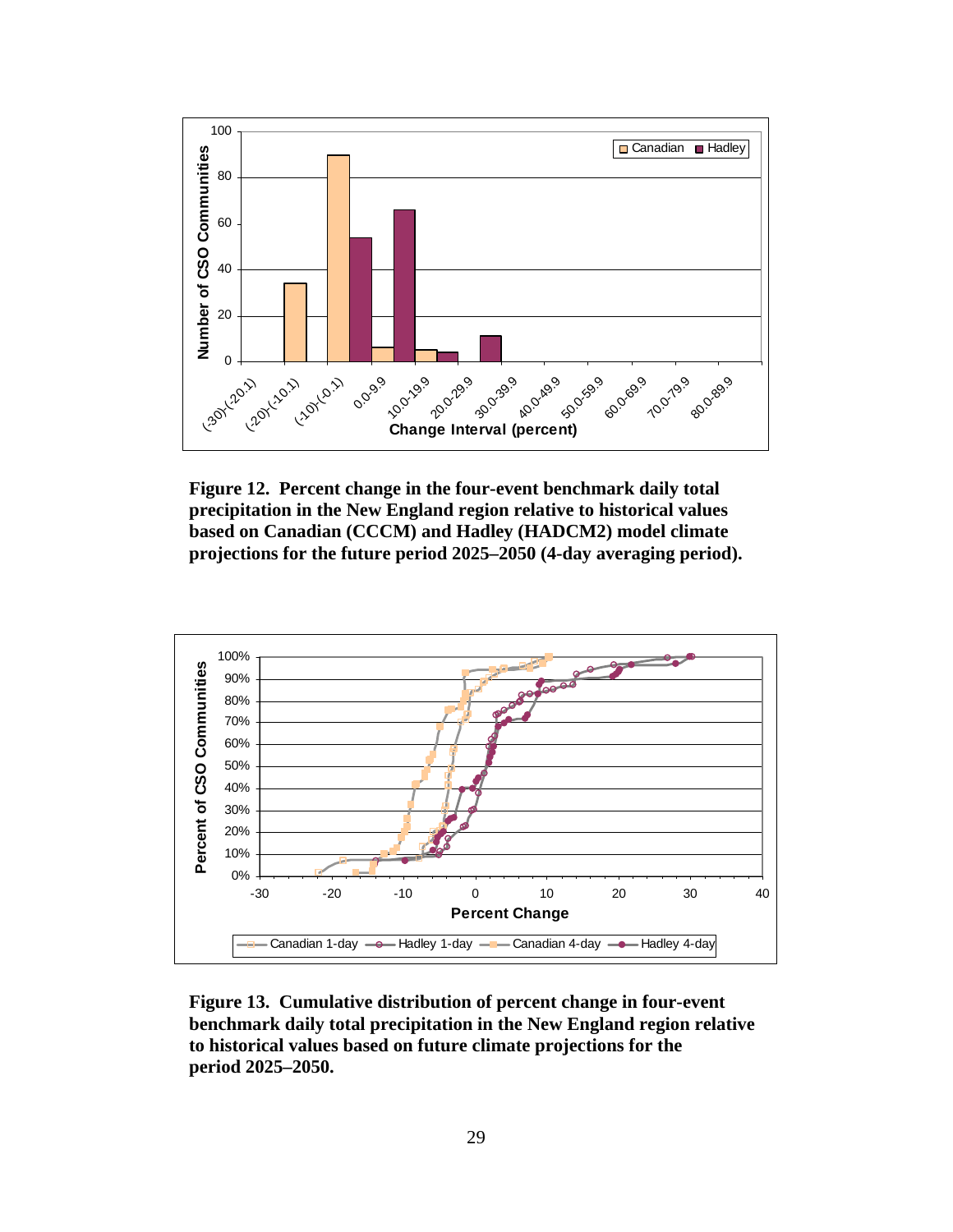<span id="page-38-0"></span>

**Figure 12. Percent change in the four-event benchmark daily total precipitation in the New England region relative to historical values based on Canadian (CCCM) and Hadley (HADCM2) model climate projections for the future period 2025–2050 (4-day averaging period).**



**Figure 13. Cumulative distribution of percent change in four-event benchmark daily total precipitation in the New England region relative to historical values based on future climate projections for the period 2025–2050.**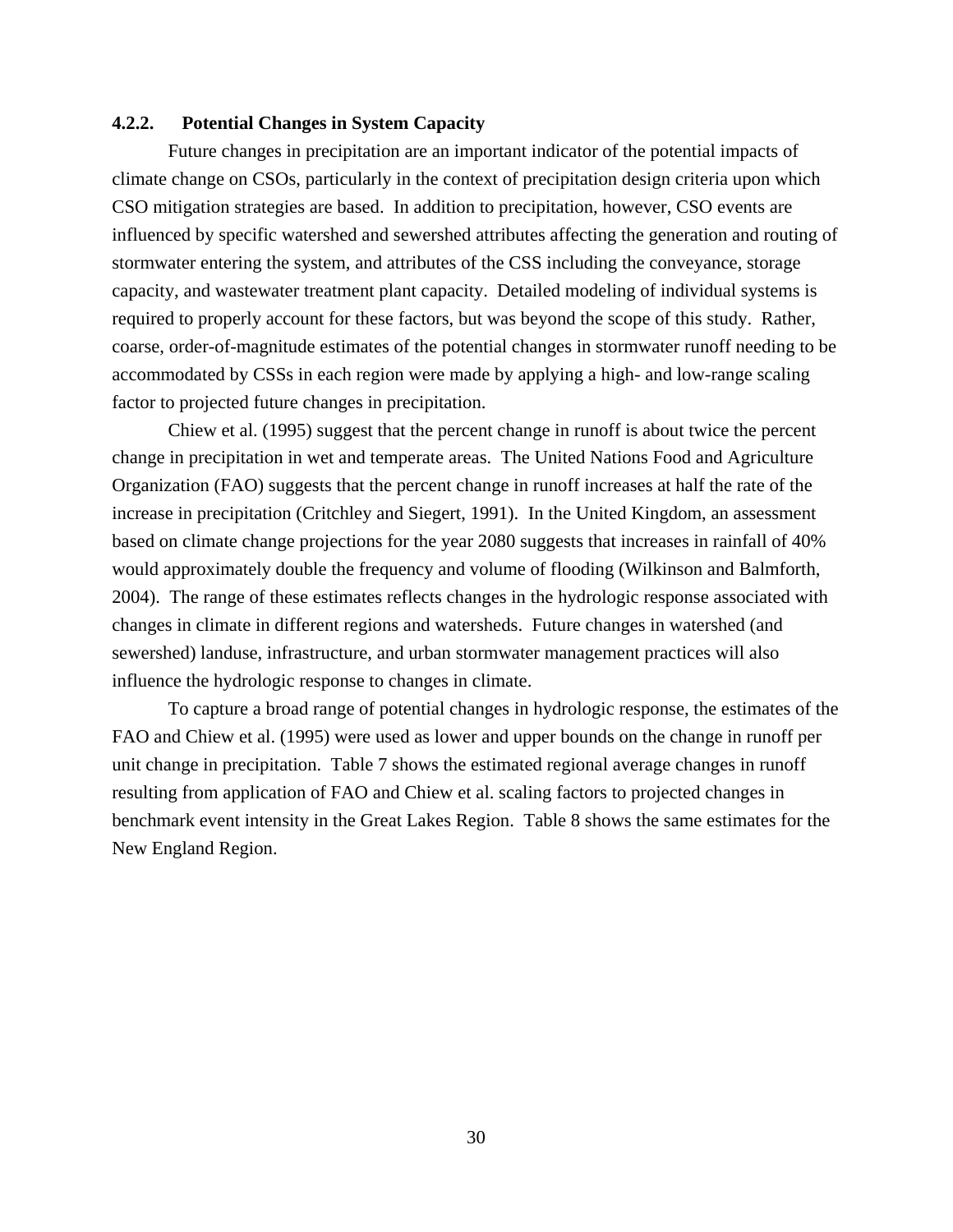## <span id="page-39-0"></span>**4.2.2. Potential Changes in System Capacity**

Future changes in precipitation are an important indicator of the potential impacts of climate change on CSOs, particularly in the context of precipitation design criteria upon which CSO mitigation strategies are based. In addition to precipitation, however, CSO events are influenced by specific watershed and sewershed attributes affecting the generation and routing of stormwater entering the system, and attributes of the CSS including the conveyance, storage capacity, and wastewater treatment plant capacity. Detailed modeling of individual systems is required to properly account for these factors, but was beyond the scope of this study. Rather, coarse, order-of-magnitude estimates of the potential changes in stormwater runoff needing to be accommodated by CSSs in each region were made by applying a high- and low-range scaling factor to projected future changes in precipitation.

Chiew et al. (1995) suggest that the percent change in runoff is about twice the percent change in precipitation in wet and temperate areas. The United Nations Food and Agriculture Organization (FAO) suggests that the percent change in runoff increases at half the rate of the increase in precipitation (Critchley and Siegert, 1991). In the United Kingdom, an assessment based on climate change projections for the year 2080 suggests that increases in rainfall of 40% would approximately double the frequency and volume of flooding (Wilkinson and Balmforth, 2004). The range of these estimates reflects changes in the hydrologic response associated with changes in climate in different regions and watersheds. Future changes in watershed (and sewershed) landuse, infrastructure, and urban stormwater management practices will also influence the hydrologic response to changes in climate.

 To capture a broad range of potential changes in hydrologic response, the estimates of the FAO and Chiew et al. (1995) were used as lower and upper bounds on the change in runoff per unit change in precipitation. Table 7 shows the estimated regional average changes in runoff resulting from application of FAO and Chiew et al. scaling factors to projected changes in benchmark event intensity in the Great Lakes Region. Table 8 shows the same estimates for the New England Region.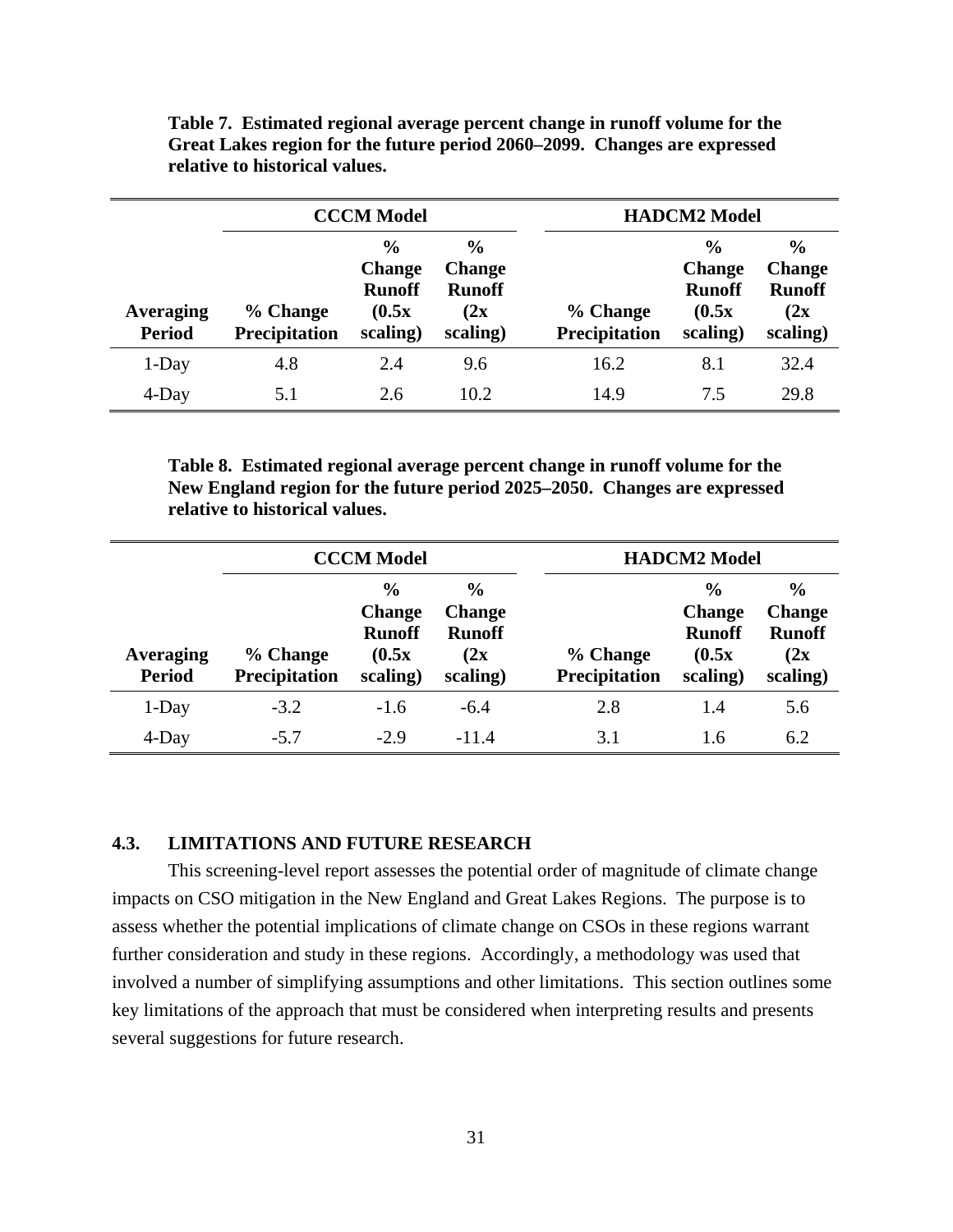|                                   | <b>CCCM Model</b>                |                                                                       |                                                                    |                           | <b>HADCM2</b> Model                                                   |                                                                     |  |
|-----------------------------------|----------------------------------|-----------------------------------------------------------------------|--------------------------------------------------------------------|---------------------------|-----------------------------------------------------------------------|---------------------------------------------------------------------|--|
| <b>Averaging</b><br><b>Period</b> | % Change<br><b>Precipitation</b> | $\frac{0}{0}$<br><b>Change</b><br><b>Runoff</b><br>(0.5x)<br>scaling) | $\frac{0}{0}$<br><b>Change</b><br><b>Runoff</b><br>(2x<br>scaling) | % Change<br>Precipitation | $\frac{0}{0}$<br><b>Change</b><br><b>Runoff</b><br>(0.5x)<br>scaling) | $\frac{0}{0}$<br><b>Change</b><br><b>Runoff</b><br>(2x)<br>scaling) |  |
| 1-Day                             | 4.8                              | 2.4                                                                   | 9.6                                                                | 16.2                      | 8.1                                                                   | 32.4                                                                |  |
| 4-Day                             | 5.1                              | 2.6                                                                   | 10.2                                                               | 14.9                      | 7.5                                                                   | 29.8                                                                |  |

<span id="page-40-0"></span>**Table 7. Estimated regional average percent change in runoff volume for the Great Lakes region for the future period 2060–2099. Changes are expressed relative to historical values.** 

**Table 8. Estimated regional average percent change in runoff volume for the New England region for the future period 2025–2050. Changes are expressed relative to historical values.** 

|                            | <b>CCCM Model</b>                |                                                                       |                                                                     |                           | <b>HADCM2</b> Model                                                   |                                                                     |  |
|----------------------------|----------------------------------|-----------------------------------------------------------------------|---------------------------------------------------------------------|---------------------------|-----------------------------------------------------------------------|---------------------------------------------------------------------|--|
| Averaging<br><b>Period</b> | % Change<br><b>Precipitation</b> | $\frac{6}{6}$<br><b>Change</b><br><b>Runoff</b><br>(0.5x)<br>scaling) | $\frac{0}{0}$<br><b>Change</b><br><b>Runoff</b><br>(2x)<br>scaling) | % Change<br>Precipitation | $\frac{0}{0}$<br><b>Change</b><br><b>Runoff</b><br>(0.5x)<br>scaling) | $\frac{0}{0}$<br><b>Change</b><br><b>Runoff</b><br>(2x)<br>scaling) |  |
| 1-Day                      | $-3.2$                           | $-1.6$                                                                | $-6.4$                                                              | 2.8                       | 1.4                                                                   | 5.6                                                                 |  |
| $4$ -Day                   | $-5.7$                           | $-2.9$                                                                | $-11.4$                                                             | 3.1                       | 1.6                                                                   | 6.2                                                                 |  |

## **4.3. LIMITATIONS AND FUTURE RESEARCH**

This screening-level report assesses the potential order of magnitude of climate change impacts on CSO mitigation in the New England and Great Lakes Regions. The purpose is to assess whether the potential implications of climate change on CSOs in these regions warrant further consideration and study in these regions. Accordingly, a methodology was used that involved a number of simplifying assumptions and other limitations. This section outlines some key limitations of the approach that must be considered when interpreting results and presents several suggestions for future research.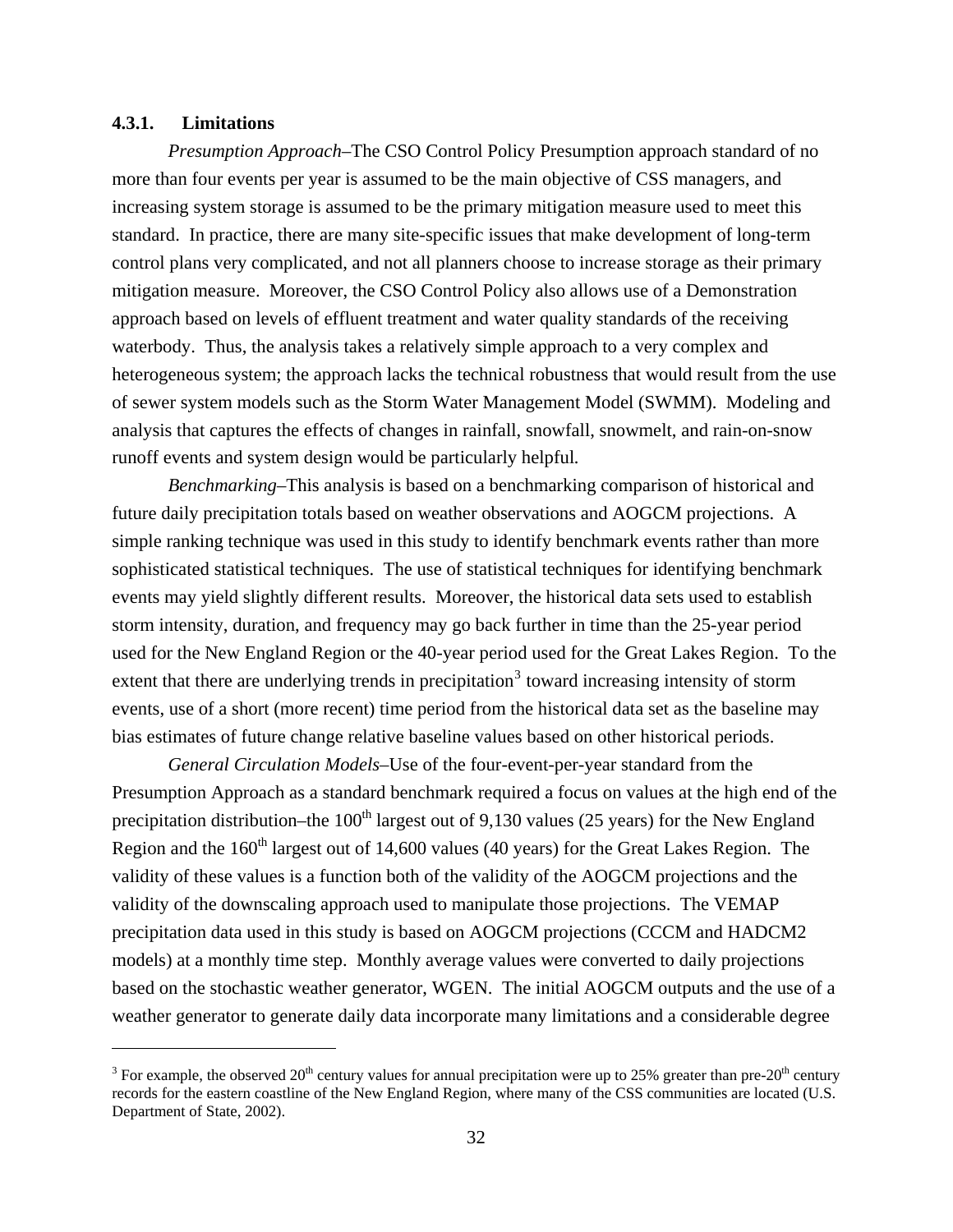#### <span id="page-41-0"></span>**4.3.1. Limitations**

 $\overline{a}$ 

*Presumption Approach*–The CSO Control Policy Presumption approach standard of no more than four events per year is assumed to be the main objective of CSS managers, and increasing system storage is assumed to be the primary mitigation measure used to meet this standard. In practice, there are many site-specific issues that make development of long-term control plans very complicated, and not all planners choose to increase storage as their primary mitigation measure. Moreover, the CSO Control Policy also allows use of a Demonstration approach based on levels of effluent treatment and water quality standards of the receiving waterbody. Thus, the analysis takes a relatively simple approach to a very complex and heterogeneous system; the approach lacks the technical robustness that would result from the use of sewer system models such as the Storm Water Management Model (SWMM). Modeling and analysis that captures the effects of changes in rainfall, snowfall, snowmelt, and rain-on-snow runoff events and system design would be particularly helpful*.* 

*Benchmarking*–This analysis is based on a benchmarking comparison of historical and future daily precipitation totals based on weather observations and AOGCM projections. A simple ranking technique was used in this study to identify benchmark events rather than more sophisticated statistical techniques. The use of statistical techniques for identifying benchmark events may yield slightly different results. Moreover, the historical data sets used to establish storm intensity, duration, and frequency may go back further in time than the 25-year period used for the New England Region or the 40-year period used for the Great Lakes Region. To the extent that there are underlying trends in precipitation<sup>[3](#page-41-1)</sup> toward increasing intensity of storm events, use of a short (more recent) time period from the historical data set as the baseline may bias estimates of future change relative baseline values based on other historical periods.

*General Circulation Models*–Use of the four-event-per-year standard from the Presumption Approach as a standard benchmark required a focus on values at the high end of the precipitation distribution–the  $100<sup>th</sup>$  largest out of 9,130 values (25 years) for the New England Region and the  $160<sup>th</sup>$  largest out of 14,600 values (40 years) for the Great Lakes Region. The validity of these values is a function both of the validity of the AOGCM projections and the validity of the downscaling approach used to manipulate those projections. The VEMAP precipitation data used in this study is based on AOGCM projections (CCCM and HADCM2 models) at a monthly time step. Monthly average values were converted to daily projections based on the stochastic weather generator, WGEN. The initial AOGCM outputs and the use of a weather generator to generate daily data incorporate many limitations and a considerable degree

<span id="page-41-1"></span><sup>&</sup>lt;sup>3</sup> For example, the observed 20<sup>th</sup> century values for annual precipitation were up to 25% greater than pre-20<sup>th</sup> century records for the eastern coastline of the New England Region, where many of the CSS communities are located (U.S. Department of State, 2002).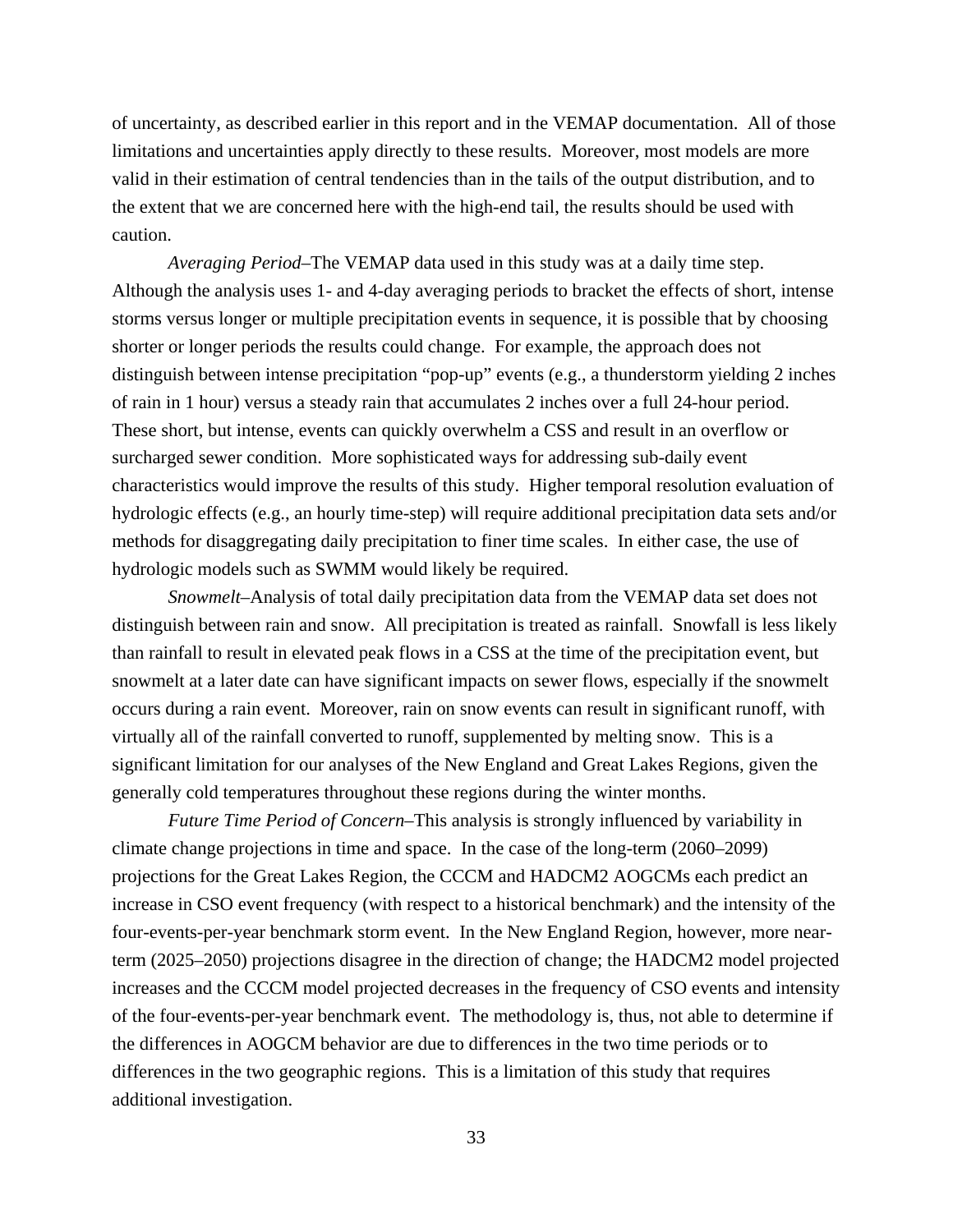of uncertainty, as described earlier in this report and in the VEMAP documentation. All of those limitations and uncertainties apply directly to these results. Moreover, most models are more valid in their estimation of central tendencies than in the tails of the output distribution, and to the extent that we are concerned here with the high-end tail, the results should be used with caution.

*Averaging Period*–The VEMAP data used in this study was at a daily time step. Although the analysis uses 1- and 4-day averaging periods to bracket the effects of short, intense storms versus longer or multiple precipitation events in sequence, it is possible that by choosing shorter or longer periods the results could change. For example, the approach does not distinguish between intense precipitation "pop-up" events (e.g., a thunderstorm yielding 2 inches of rain in 1 hour) versus a steady rain that accumulates 2 inches over a full 24-hour period. These short, but intense, events can quickly overwhelm a CSS and result in an overflow or surcharged sewer condition. More sophisticated ways for addressing sub-daily event characteristics would improve the results of this study. Higher temporal resolution evaluation of hydrologic effects (e.g., an hourly time-step) will require additional precipitation data sets and/or methods for disaggregating daily precipitation to finer time scales. In either case, the use of hydrologic models such as SWMM would likely be required.

*Snowmelt*–Analysis of total daily precipitation data from the VEMAP data set does not distinguish between rain and snow. All precipitation is treated as rainfall. Snowfall is less likely than rainfall to result in elevated peak flows in a CSS at the time of the precipitation event, but snowmelt at a later date can have significant impacts on sewer flows, especially if the snowmelt occurs during a rain event. Moreover, rain on snow events can result in significant runoff, with virtually all of the rainfall converted to runoff, supplemented by melting snow. This is a significant limitation for our analyses of the New England and Great Lakes Regions, given the generally cold temperatures throughout these regions during the winter months.

*Future Time Period of Concern*–This analysis is strongly influenced by variability in climate change projections in time and space. In the case of the long-term (2060–2099) projections for the Great Lakes Region, the CCCM and HADCM2 AOGCMs each predict an increase in CSO event frequency (with respect to a historical benchmark) and the intensity of the four-events-per-year benchmark storm event. In the New England Region, however, more nearterm (2025–2050) projections disagree in the direction of change; the HADCM2 model projected increases and the CCCM model projected decreases in the frequency of CSO events and intensity of the four-events-per-year benchmark event. The methodology is, thus, not able to determine if the differences in AOGCM behavior are due to differences in the two time periods or to differences in the two geographic regions. This is a limitation of this study that requires additional investigation.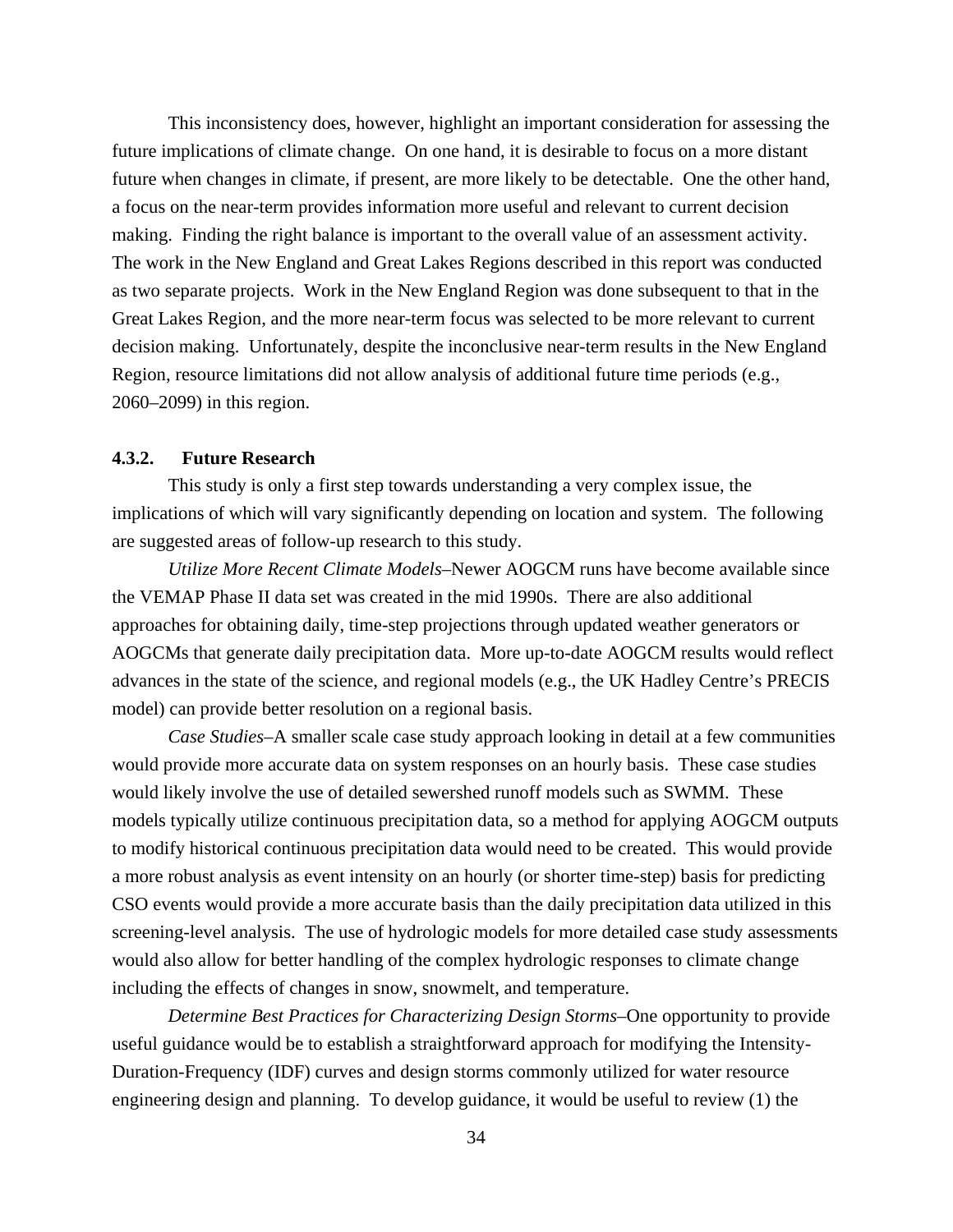<span id="page-43-0"></span>This inconsistency does, however, highlight an important consideration for assessing the future implications of climate change. On one hand, it is desirable to focus on a more distant future when changes in climate, if present, are more likely to be detectable. One the other hand, a focus on the near-term provides information more useful and relevant to current decision making. Finding the right balance is important to the overall value of an assessment activity. The work in the New England and Great Lakes Regions described in this report was conducted as two separate projects. Work in the New England Region was done subsequent to that in the Great Lakes Region, and the more near-term focus was selected to be more relevant to current decision making. Unfortunately, despite the inconclusive near-term results in the New England Region, resource limitations did not allow analysis of additional future time periods (e.g., 2060–2099) in this region.

#### **4.3.2. Future Research**

This study is only a first step towards understanding a very complex issue, the implications of which will vary significantly depending on location and system. The following are suggested areas of follow-up research to this study.

*Utilize More Recent Climate Models*–Newer AOGCM runs have become available since the VEMAP Phase II data set was created in the mid 1990s. There are also additional approaches for obtaining daily, time-step projections through updated weather generators or AOGCMs that generate daily precipitation data. More up-to-date AOGCM results would reflect advances in the state of the science, and regional models (e.g., the UK Hadley Centre's PRECIS model) can provide better resolution on a regional basis.

*Case Studies*–A smaller scale case study approach looking in detail at a few communities would provide more accurate data on system responses on an hourly basis. These case studies would likely involve the use of detailed sewershed runoff models such as SWMM. These models typically utilize continuous precipitation data, so a method for applying AOGCM outputs to modify historical continuous precipitation data would need to be created. This would provide a more robust analysis as event intensity on an hourly (or shorter time-step) basis for predicting CSO events would provide a more accurate basis than the daily precipitation data utilized in this screening-level analysis. The use of hydrologic models for more detailed case study assessments would also allow for better handling of the complex hydrologic responses to climate change including the effects of changes in snow, snowmelt, and temperature.

*Determine Best Practices for Characterizing Design Storms*–One opportunity to provide useful guidance would be to establish a straightforward approach for modifying the Intensity-Duration-Frequency (IDF) curves and design storms commonly utilized for water resource engineering design and planning. To develop guidance, it would be useful to review (1) the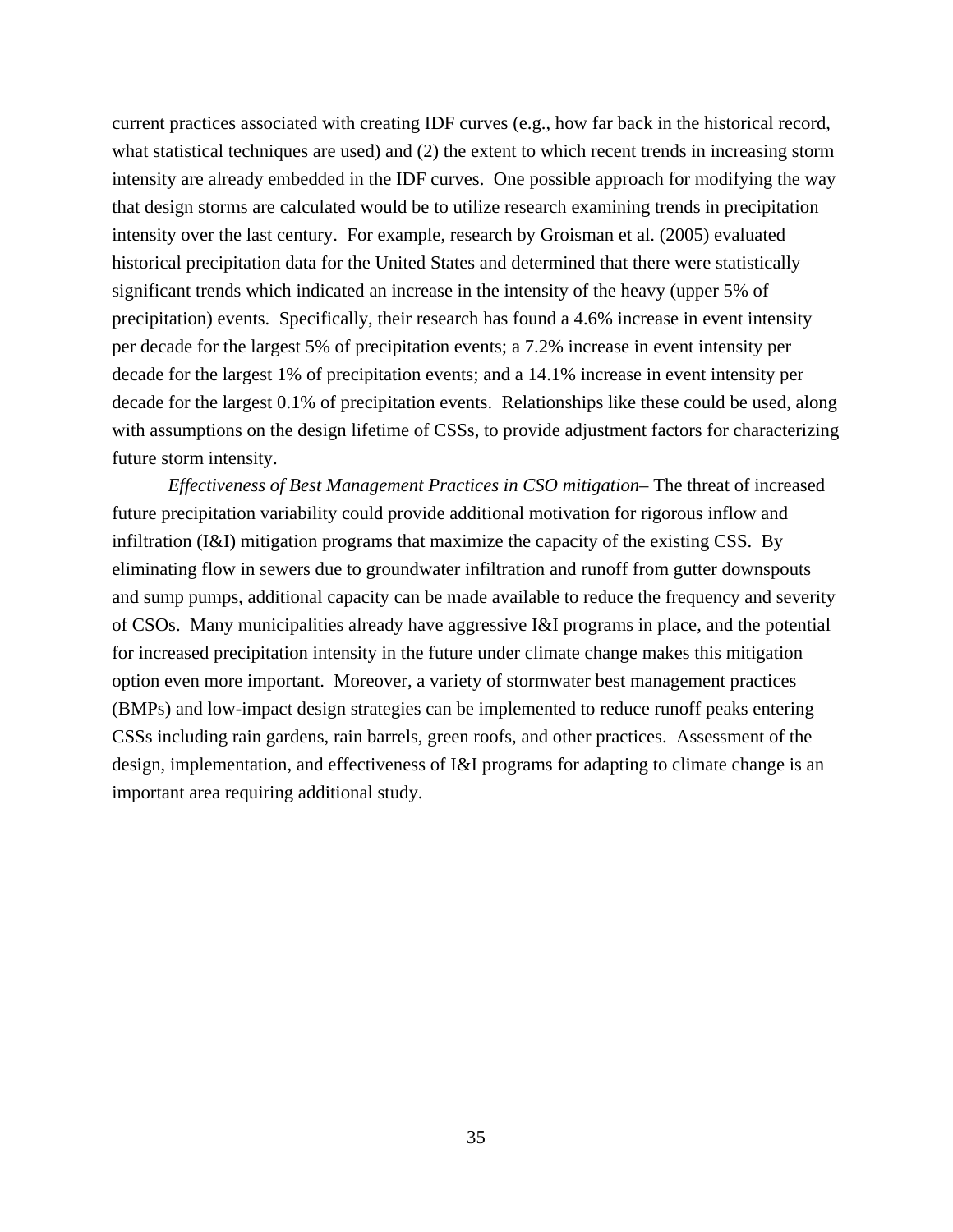current practices associated with creating IDF curves (e.g., how far back in the historical record, what statistical techniques are used) and (2) the extent to which recent trends in increasing storm intensity are already embedded in the IDF curves. One possible approach for modifying the way that design storms are calculated would be to utilize research examining trends in precipitation intensity over the last century. For example, research by Groisman et al. (2005) evaluated historical precipitation data for the United States and determined that there were statistically significant trends which indicated an increase in the intensity of the heavy (upper 5% of precipitation) events. Specifically, their research has found a 4.6% increase in event intensity per decade for the largest 5% of precipitation events; a 7.2% increase in event intensity per decade for the largest 1% of precipitation events; and a 14.1% increase in event intensity per decade for the largest 0.1% of precipitation events. Relationships like these could be used, along with assumptions on the design lifetime of CSSs, to provide adjustment factors for characterizing future storm intensity.

*Effectiveness of Best Management Practices in CSO mitigation*– The threat of increased future precipitation variability could provide additional motivation for rigorous inflow and infiltration (I&I) mitigation programs that maximize the capacity of the existing CSS. By eliminating flow in sewers due to groundwater infiltration and runoff from gutter downspouts and sump pumps, additional capacity can be made available to reduce the frequency and severity of CSOs. Many municipalities already have aggressive I&I programs in place, and the potential for increased precipitation intensity in the future under climate change makes this mitigation option even more important. Moreover, a variety of stormwater best management practices (BMPs) and low-impact design strategies can be implemented to reduce runoff peaks entering CSSs including rain gardens, rain barrels, green roofs, and other practices. Assessment of the design, implementation, and effectiveness of I&I programs for adapting to climate change is an important area requiring additional study.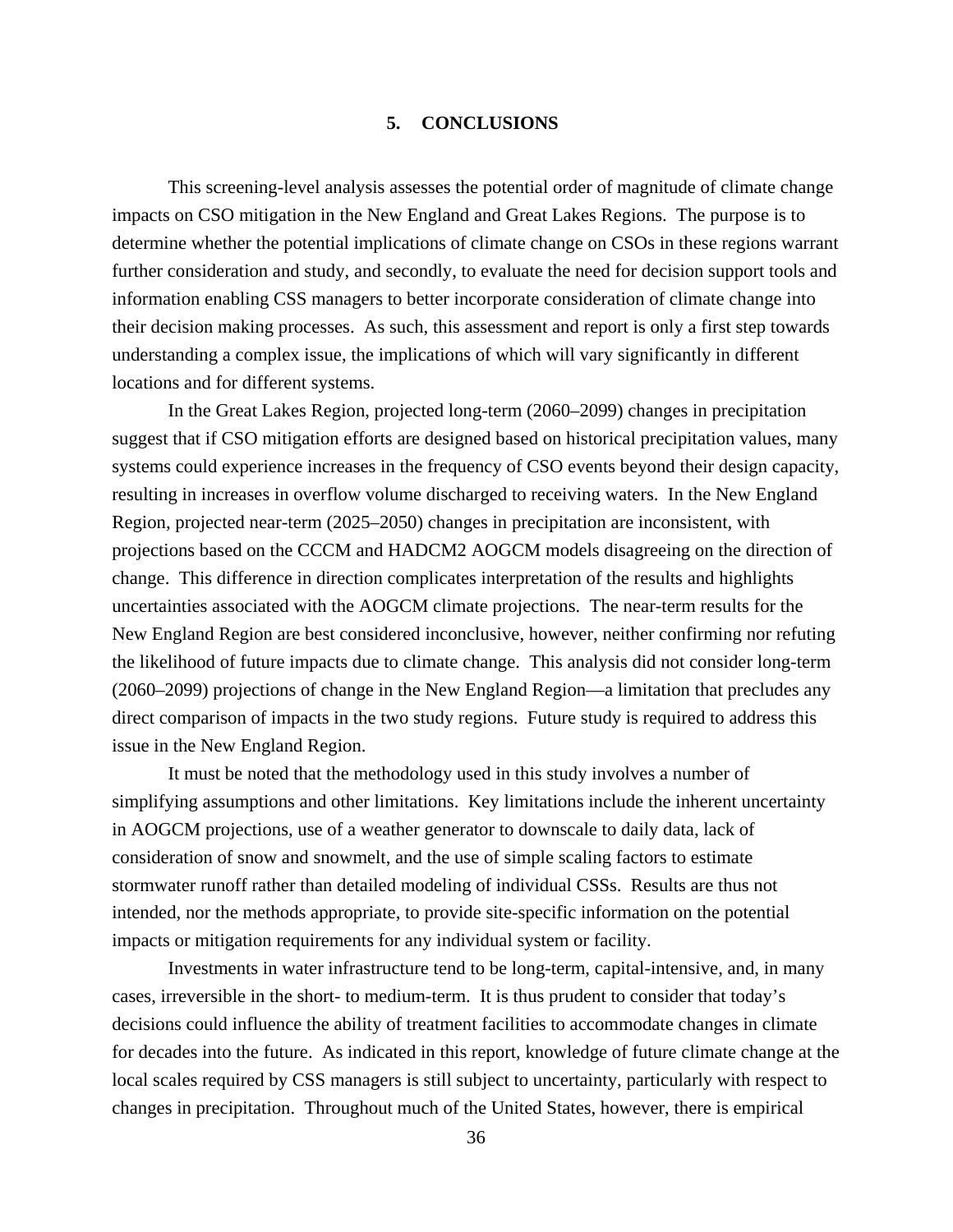### **5. CONCLUSIONS**

<span id="page-45-0"></span>This screening-level analysis assesses the potential order of magnitude of climate change impacts on CSO mitigation in the New England and Great Lakes Regions. The purpose is to determine whether the potential implications of climate change on CSOs in these regions warrant further consideration and study, and secondly, to evaluate the need for decision support tools and information enabling CSS managers to better incorporate consideration of climate change into their decision making processes. As such, this assessment and report is only a first step towards understanding a complex issue, the implications of which will vary significantly in different locations and for different systems.

In the Great Lakes Region, projected long-term (2060–2099) changes in precipitation suggest that if CSO mitigation efforts are designed based on historical precipitation values, many systems could experience increases in the frequency of CSO events beyond their design capacity, resulting in increases in overflow volume discharged to receiving waters. In the New England Region, projected near-term (2025–2050) changes in precipitation are inconsistent, with projections based on the CCCM and HADCM2 AOGCM models disagreeing on the direction of change. This difference in direction complicates interpretation of the results and highlights uncertainties associated with the AOGCM climate projections. The near-term results for the New England Region are best considered inconclusive, however, neither confirming nor refuting the likelihood of future impacts due to climate change. This analysis did not consider long-term (2060–2099) projections of change in the New England Region—a limitation that precludes any direct comparison of impacts in the two study regions. Future study is required to address this issue in the New England Region.

It must be noted that the methodology used in this study involves a number of simplifying assumptions and other limitations. Key limitations include the inherent uncertainty in AOGCM projections, use of a weather generator to downscale to daily data, lack of consideration of snow and snowmelt, and the use of simple scaling factors to estimate stormwater runoff rather than detailed modeling of individual CSSs. Results are thus not intended, nor the methods appropriate, to provide site-specific information on the potential impacts or mitigation requirements for any individual system or facility.

Investments in water infrastructure tend to be long-term, capital-intensive, and, in many cases, irreversible in the short- to medium-term. It is thus prudent to consider that today's decisions could influence the ability of treatment facilities to accommodate changes in climate for decades into the future. As indicated in this report, knowledge of future climate change at the local scales required by CSS managers is still subject to uncertainty, particularly with respect to changes in precipitation. Throughout much of the United States, however, there is empirical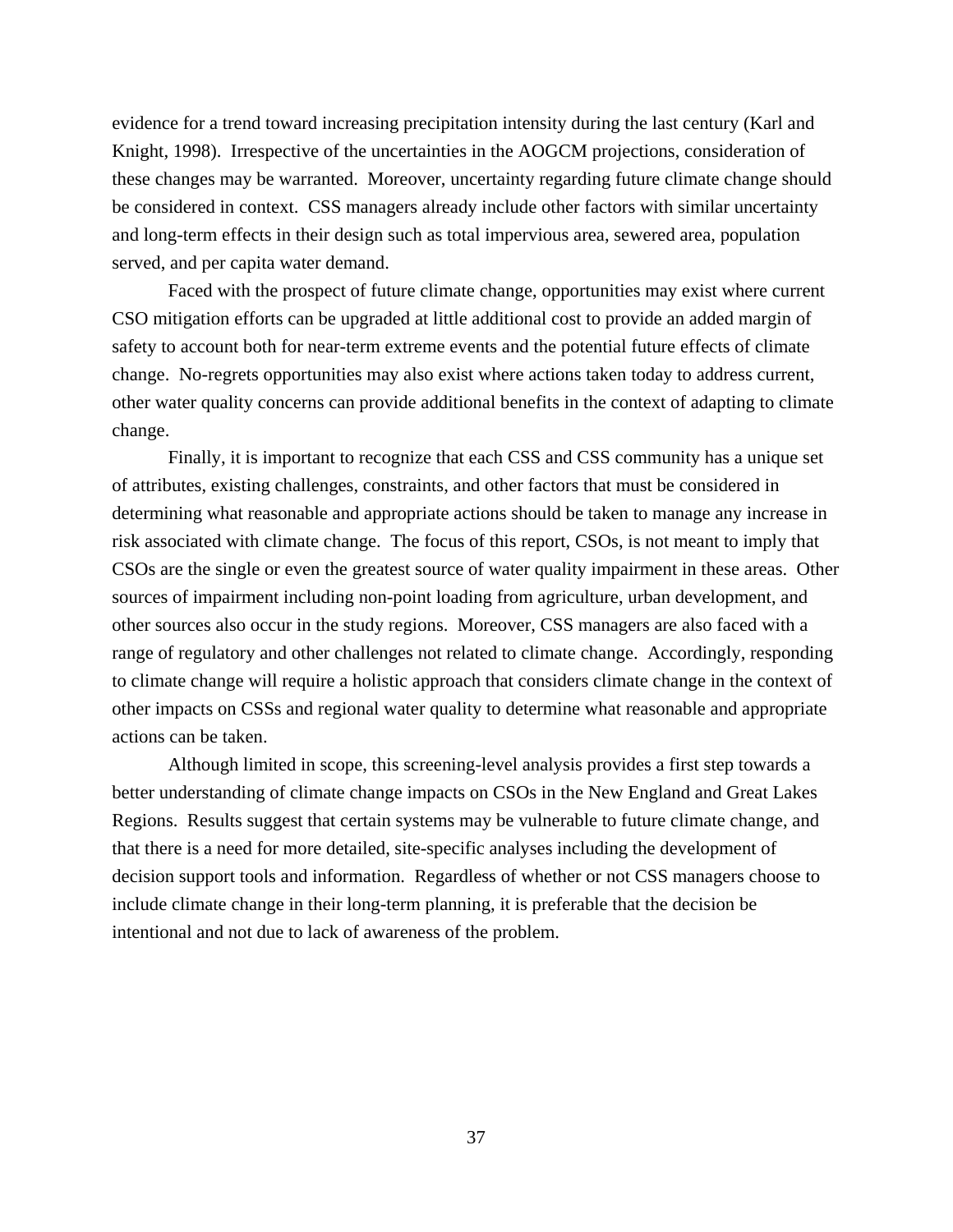evidence for a trend toward increasing precipitation intensity during the last century (Karl and Knight, 1998). Irrespective of the uncertainties in the AOGCM projections, consideration of these changes may be warranted. Moreover, uncertainty regarding future climate change should be considered in context. CSS managers already include other factors with similar uncertainty and long-term effects in their design such as total impervious area, sewered area, population served, and per capita water demand.

Faced with the prospect of future climate change, opportunities may exist where current CSO mitigation efforts can be upgraded at little additional cost to provide an added margin of safety to account both for near-term extreme events and the potential future effects of climate change. No-regrets opportunities may also exist where actions taken today to address current, other water quality concerns can provide additional benefits in the context of adapting to climate change.

Finally, it is important to recognize that each CSS and CSS community has a unique set of attributes, existing challenges, constraints, and other factors that must be considered in determining what reasonable and appropriate actions should be taken to manage any increase in risk associated with climate change. The focus of this report, CSOs, is not meant to imply that CSOs are the single or even the greatest source of water quality impairment in these areas. Other sources of impairment including non-point loading from agriculture, urban development, and other sources also occur in the study regions. Moreover, CSS managers are also faced with a range of regulatory and other challenges not related to climate change. Accordingly, responding to climate change will require a holistic approach that considers climate change in the context of other impacts on CSSs and regional water quality to determine what reasonable and appropriate actions can be taken.

Although limited in scope, this screening-level analysis provides a first step towards a better understanding of climate change impacts on CSOs in the New England and Great Lakes Regions. Results suggest that certain systems may be vulnerable to future climate change, and that there is a need for more detailed, site-specific analyses including the development of decision support tools and information. Regardless of whether or not CSS managers choose to include climate change in their long-term planning, it is preferable that the decision be intentional and not due to lack of awareness of the problem.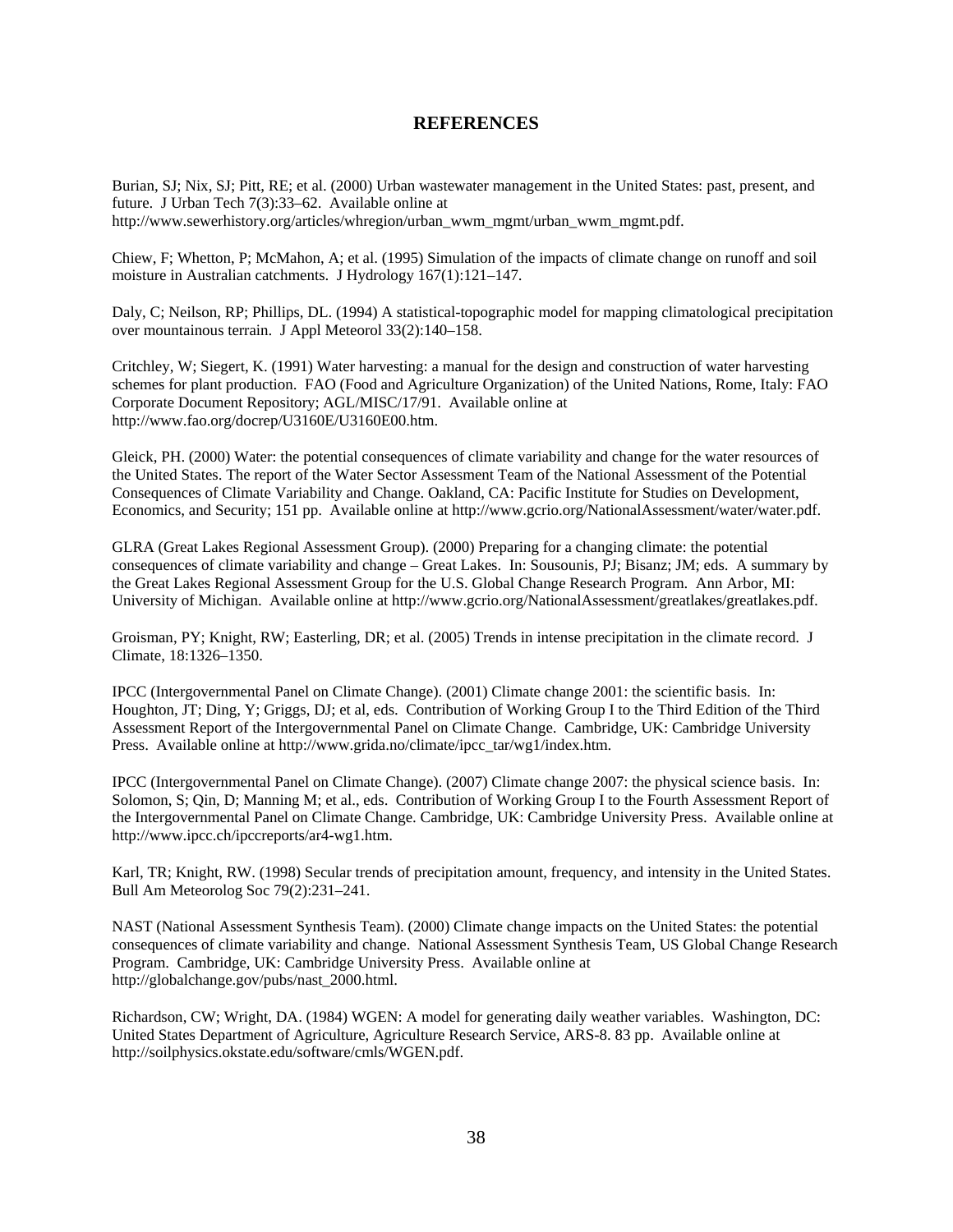## **REFERENCES**

<span id="page-47-0"></span>Burian, SJ; Nix, SJ; Pitt, RE; et al. (2000) Urban wastewater management in the United States: past, present, and future. J Urban Tech 7(3):33–62. Available online at http://www.sewerhistory.org/articles/whregion/urban\_wwm\_mgmt/urban\_wwm\_mgmt.pdf.

Chiew, F; Whetton, P; McMahon, A; et al. (1995) Simulation of the impacts of climate change on runoff and soil moisture in Australian catchments. J Hydrology 167(1):121–147.

Daly, C; Neilson, RP; Phillips, DL. (1994) A statistical-topographic model for mapping climatological precipitation over mountainous terrain. J Appl Meteorol 33(2):140–158.

Critchley, W; Siegert, K. (1991) Water harvesting: a manual for the design and construction of water harvesting schemes for plant production. FAO (Food and Agriculture Organization) of the United Nations, Rome, Italy: FAO Corporate Document Repository; AGL/MISC/17/91. Available online at http://www.fao.org/docrep/U3160E/U3160E00.htm.

Gleick, PH. (2000) Water: the potential consequences of climate variability and change for the water resources of the United States. The report of the Water Sector Assessment Team of the National Assessment of the Potential Consequences of Climate Variability and Change. Oakland, CA: Pacific Institute for Studies on Development, Economics, and Security; 151 pp. Available online at http://www.gcrio.org/NationalAssessment/water/water.pdf.

GLRA (Great Lakes Regional Assessment Group). (2000) Preparing for a changing climate: the potential consequences of climate variability and change – Great Lakes. In: Sousounis, PJ; Bisanz; JM; eds. A summary by the Great Lakes Regional Assessment Group for the U.S. Global Change Research Program. Ann Arbor, MI: University of Michigan. Available online at http://www.gcrio.org/NationalAssessment/greatlakes/greatlakes.pdf.

Groisman, PY; Knight, RW; Easterling, DR; et al. (2005) Trends in intense precipitation in the climate record. J Climate, 18:1326–1350.

IPCC (Intergovernmental Panel on Climate Change). (2001) Climate change 2001: the scientific basis. In: Houghton, JT; Ding, Y; Griggs, DJ; et al, eds. Contribution of Working Group I to the Third Edition of the Third Assessment Report of the Intergovernmental Panel on Climate Change. Cambridge, UK: Cambridge University Press. Available online at http://www.grida.no/climate/ipcc\_tar/wg1/index.htm.

IPCC (Intergovernmental Panel on Climate Change). (2007) Climate change 2007: the physical science basis. In: Solomon, S; Qin, D; Manning M; et al., eds. Contribution of Working Group I to the Fourth Assessment Report of the Intergovernmental Panel on Climate Change. Cambridge, UK: Cambridge University Press. Available online at http://www.ipcc.ch/ipccreports/ar4-wg1.htm.

Karl, TR; Knight, RW. (1998) Secular trends of precipitation amount, frequency, and intensity in the United States. Bull Am Meteorolog Soc 79(2):231–241.

NAST (National Assessment Synthesis Team). (2000) Climate change impacts on the United States: the potential consequences of climate variability and change. National Assessment Synthesis Team, US Global Change Research Program. Cambridge, UK: Cambridge University Press. Available online at http://globalchange.gov/pubs/nast\_2000.html.

Richardson, CW; Wright, DA. (1984) WGEN: A model for generating daily weather variables. Washington, DC: United States Department of Agriculture, Agriculture Research Service, ARS-8. 83 pp. Available online at http://soilphysics.okstate.edu/software/cmls/WGEN.pdf.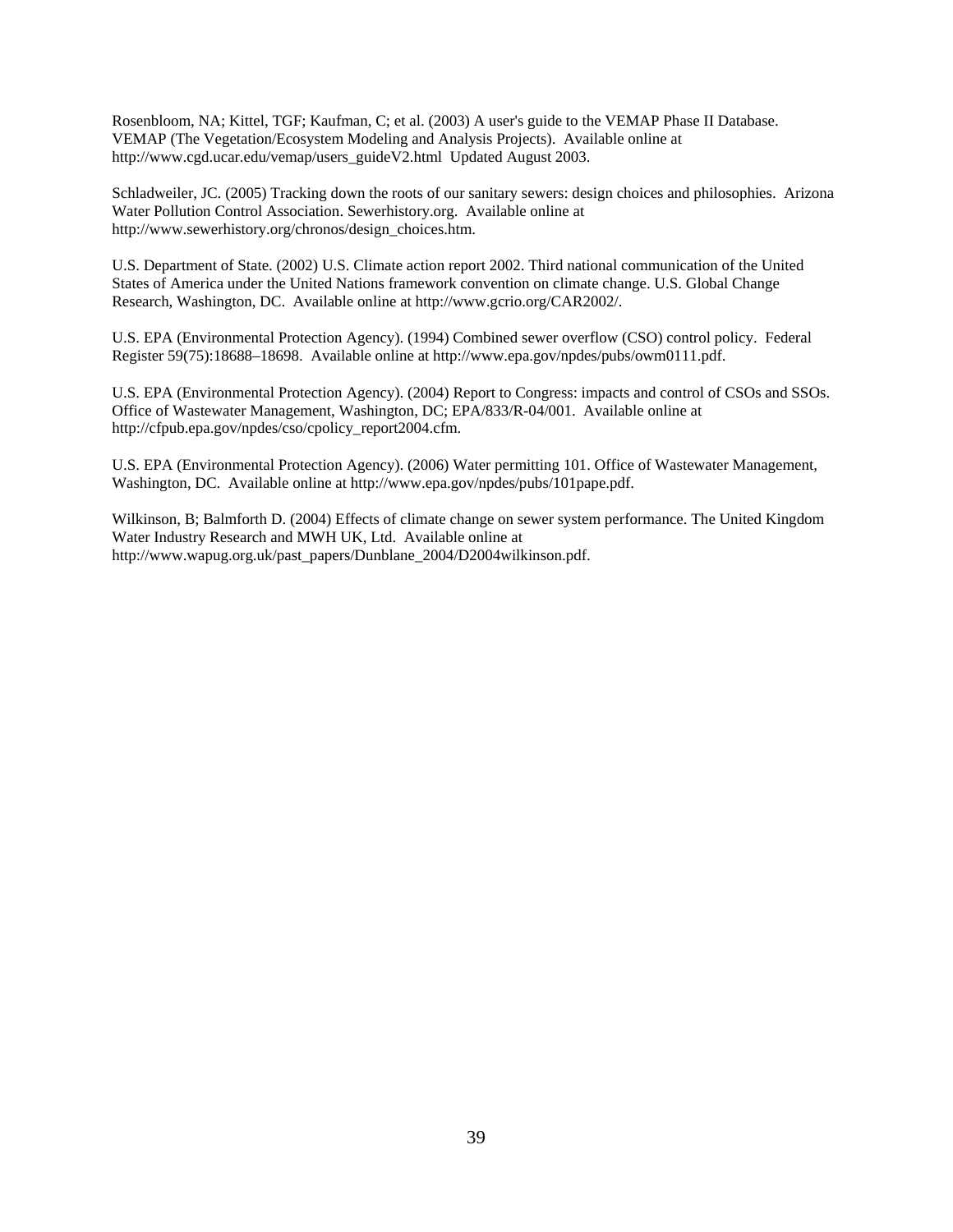Rosenbloom, NA; Kittel, TGF; Kaufman, C; et al. (2003) A user's guide to the VEMAP Phase II Database. VEMAP (The Vegetation/Ecosystem Modeling and Analysis Projects). Available online at http://www.cgd.ucar.edu/vemap/users\_guideV2.html Updated August 2003.

Schladweiler, JC. (2005) Tracking down the roots of our sanitary sewers: design choices and philosophies. Arizona Water Pollution Control Association. Sewerhistory.org. Available online at http://www.sewerhistory.org/chronos/design\_choices.htm.

U.S. Department of State. (2002) U.S. Climate action report 2002. Third national communication of the United States of America under the United Nations framework convention on climate change. U.S. Global Change Research, Washington, DC. Available online at http://www.gcrio.org/CAR2002/.

U.S. EPA (Environmental Protection Agency). (1994) Combined sewer overflow (CSO) control policy. Federal Register 59(75):18688–18698. Available online at http://www.epa.gov/npdes/pubs/owm0111.pdf.

U.S. EPA (Environmental Protection Agency). (2004) Report to Congress: impacts and control of CSOs and SSOs. Office of Wastewater Management, Washington, DC; EPA/833/R-04/001. Available online at http://cfpub.epa.gov/npdes/cso/cpolicy\_report2004.cfm.

U.S. EPA (Environmental Protection Agency). (2006) Water permitting 101. Office of Wastewater Management, Washington, DC. Available online at http://www.epa.gov/npdes/pubs/101pape.pdf.

Wilkinson, B; Balmforth D. (2004) Effects of climate change on sewer system performance. The United Kingdom Water Industry Research and MWH UK, Ltd. Available online at http://www.wapug.org.uk/past\_papers/Dunblane\_2004/D2004wilkinson.pdf.